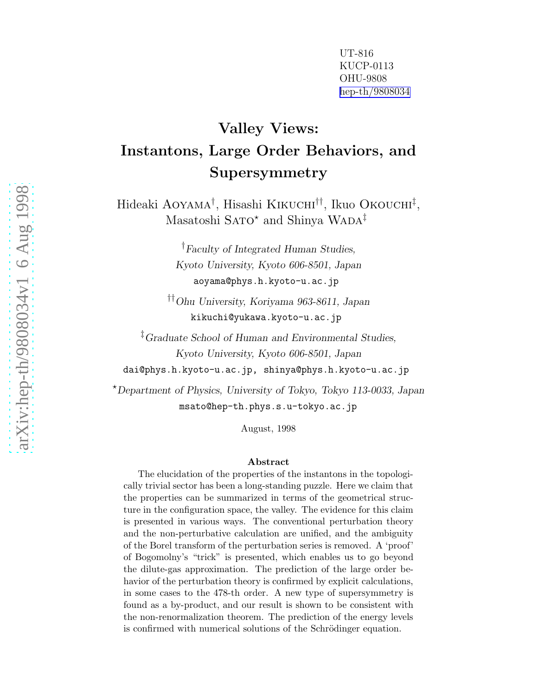UT-816 KUCP-0113 OHU-9808 [hep-th/9808034](http://arxiv.org/abs/hep-th/9808034)

# Valley Views: Instantons, Large Order Behaviors, and Supersymmetry

Hideaki Aoyama † , Hisashi Kikuchi††, Ikuo Okouchi ‡ , Masatoshi SATO\* and Shinya WADA $^\ddag$ 

> †Faculty of Integrated Human Studies, Kyoto University, Kyoto 606-8501, Japan aoyama@phys.h.kyoto-u.ac.jp

††Ohu University, Koriyama 963-8611, Japan kikuchi@yukawa.kyoto-u.ac.jp

‡Graduate School of Human and Environmental Studies, Kyoto University, Kyoto 606-8501, Japan

dai@phys.h.kyoto-u.ac.jp, shinya@phys.h.kyoto-u.ac.j p

<sup>⋆</sup>Department of Physics, University of Tokyo, Tokyo 113-0033, Japan msato@hep-th.phys.s.u-tokyo.ac.jp

August, 1998

#### Abstract

The elucidation of the properties of the instantons in the topologically trivial sector has been a long-standing puzzle. Here we claim that the properties can be summarized in terms of the geometrical structure in the configuration space, the valley. The evidence for this claim is presented in various ways. The conventional perturbation theory and the non-perturbative calculation are unified, and the ambiguity of the Borel transform of the perturbation series is removed. A 'proof' of Bogomolny's "trick" is presented, which enables us to go beyond the dilute-gas approximation. The prediction of the large order behavior of the perturbation theory is confirmed by explicit calculations, in some cases to the 478-th order. A new type of supersymmetry is found as a by-product, and our result is shown to be consistent with the non-renormalization theorem. The prediction of the energy levels is confirmed with numerical solutions of the Schrödinger equation.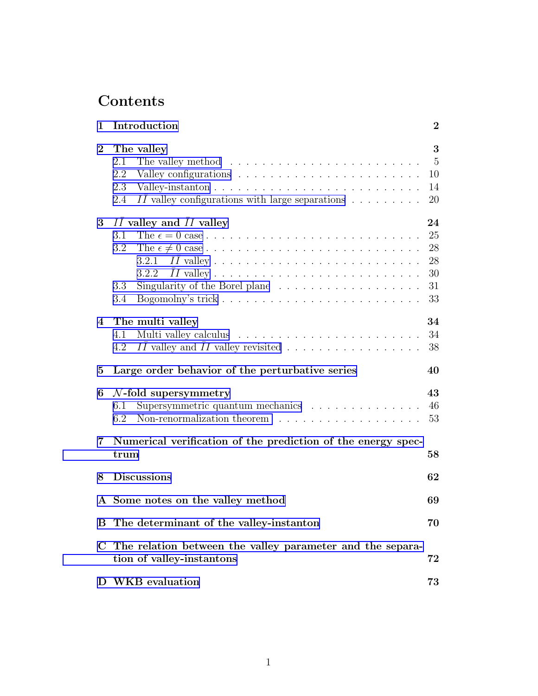# Contents

| 1        | Introduction                                                                                                                                                                                      | $\boldsymbol{2}$                       |
|----------|---------------------------------------------------------------------------------------------------------------------------------------------------------------------------------------------------|----------------------------------------|
| $\bf{2}$ | The valley<br>The valley method $\ldots \ldots \ldots \ldots \ldots \ldots \ldots \ldots$<br>2.1<br>2.2<br>2.3<br>$II$ valley configurations with large separations $\ldots \ldots \ldots$<br>2.4 | 3<br>$\overline{5}$<br>10<br>14<br>20  |
| 3        | II valley and II valley<br>3.1<br>3.2<br>3.2.1<br>3.2.2<br>3.3<br>3.4                                                                                                                             | 24<br>25<br>28<br>28<br>30<br>31<br>33 |
| 4        | The multi valley<br>4.1<br>II valley and II valley revisited<br>4.2                                                                                                                               | 34<br>34<br>38                         |
| 5        | Large order behavior of the perturbative series                                                                                                                                                   | 40                                     |
| 6        | $\mathcal{N}\text{-fold supersymmetry}$<br>Supersymmetric quantum mechanics<br>6.1<br>Non-renormalization theorem $\dots \dots \dots \dots \dots \dots$<br>6.2                                    | 43<br>46<br>53                         |
| 7        | Numerical verification of the prediction of the energy spec-<br>trum                                                                                                                              | 58                                     |
| 8        | <b>Discussions</b>                                                                                                                                                                                | 62                                     |
|          | A Some notes on the valley method                                                                                                                                                                 | 69                                     |
|          | B The determinant of the valley-instanton                                                                                                                                                         | 70                                     |
| C        | The relation between the valley parameter and the separa-<br>tion of valley-instantons                                                                                                            | 72                                     |
|          |                                                                                                                                                                                                   |                                        |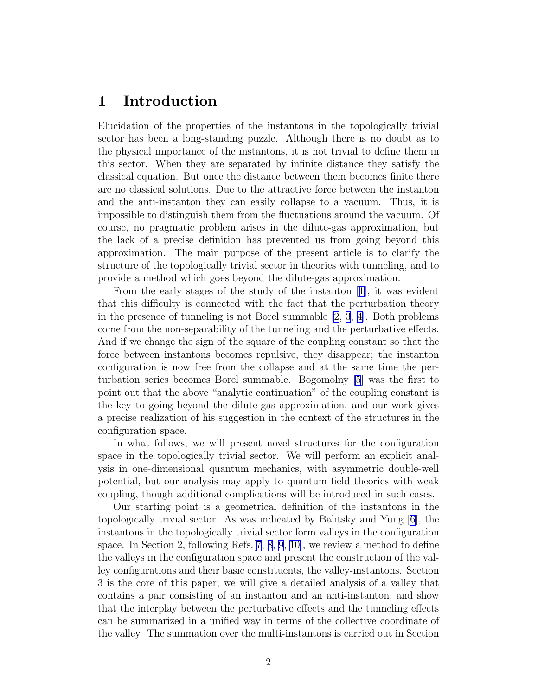## <span id="page-2-0"></span>1 Introduction

Elucidation of the properties of the instantons in the topologically trivial sector has been a long-standing puzzle. Although there is no doubt as to the physical importance of the instantons, it is not trivial to define them in this sector. When they are separated by infinite distance they satisfy the classical equation. But once the distance between them becomes finite there are no classical solutions. Due to the attractive force between the instanton and the anti-instanton they can easily collapse to a vacuum. Thus, it is impossible to distinguish them from the fluctuations around the vacuum. Of course, no pragmatic problem arises in the dilute-gas approximation, but the lack of a precise definition has prevented us from going beyond this approximation. The main purpose of the present article is to clarify the structure of the topologically trivial sector in theories with tunneling, and to provide a method which goes beyond the dilute-gas approximation.

From the early stages of the study of the instanton[[1\]](#page-76-0), it was evident that this difficulty is connected with the fact that the perturbation theory in the presence of tunneling is not Borel summable [\[2](#page-76-0), [3](#page-76-0), [4\]](#page-76-0). Both problems come from the non-separability of the tunneling and the perturbative effects. And if we change the sign of the square of the coupling constant so that the force between instantons becomes repulsive, they disappear; the instanton configuration is now free from the collapse and at the same time the perturbation series becomes Borel summable. Bogomolny [\[5](#page-76-0)] was the first to point out that the above "analytic continuation" of the coupling constant is the key to going beyond the dilute-gas approximation, and our work gives a precise realization of his suggestion in the context of the structures in the configuration space.

In what follows, we will present novel structures for the configuration space in the topologically trivial sector. We will perform an explicit analysis in one-dimensional quantum mechanics, with asymmetric double-well potential, but our analysis may apply to quantum field theories with weak coupling, though additional complications will be introduced in such cases.

Our starting point is a geometrical definition of the instantons in the topologically trivial sector. As was indicated by Balitsky and Yung[[6\]](#page-76-0), the instantons in the topologically trivial sector form valleys in the configuration space. In Section 2, following Refs.[[7, 8](#page-76-0), [9](#page-76-0), [10\]](#page-76-0), we review a method to define the valleys in the configuration space and present the construction of the valley configurations and their basic constituents, the valley-instantons. Section 3 is the core of this paper; we will give a detailed analysis of a valley that contains a pair consisting of an instanton and an anti-instanton, and show that the interplay between the perturbative effects and the tunneling effects can be summarized in a unified way in terms of the collective coordinate of the valley. The summation over the multi-instantons is carried out in Section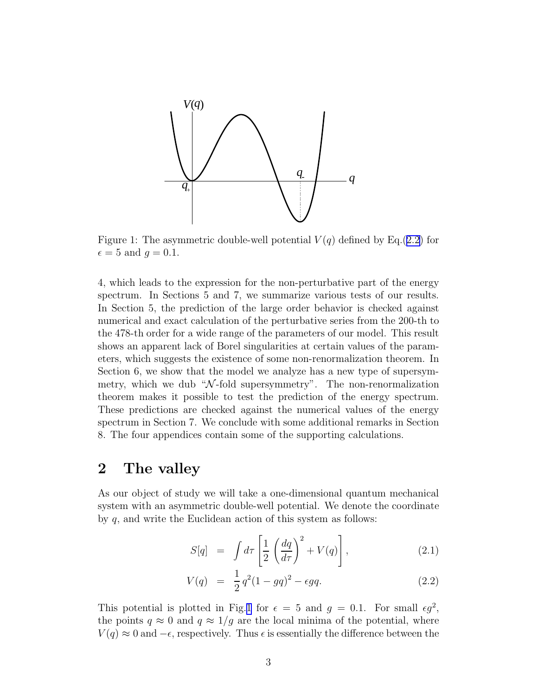<span id="page-3-0"></span>

Figure 1: The asymmetric double-well potential  $V(q)$  defined by Eq.(2.2) for  $\epsilon = 5$  and  $q = 0.1$ .

4, which leads to the expression for the non-perturbative part of the energy spectrum. In Sections 5 and 7, we summarize various tests of our results. In Section 5, the prediction of the large order behavior is checked against numerical and exact calculation of the perturbative series from the 200-th to the 478-th order for a wide range of the parameters of our model. This result shows an apparent lack of Borel singularities at certain values of the parameters, which suggests the existence of some non-renormalization theorem. In Section 6, we show that the model we analyze has a new type of supersymmetry, which we dub " $\mathcal{N}$ -fold supersymmetry". The non-renormalization theorem makes it possible to test the prediction of the energy spectrum. These predictions are checked against the numerical values of the energy spectrum in Section 7. We conclude with some additional remarks in Section 8. The four appendices contain some of the supporting calculations.

## 2 The valley

As our object of study we will take a one-dimensional quantum mechanical system with an asymmetric double-well potential. We denote the coordinate by q, and write the Euclidean action of this system as follows:

$$
S[q] = \int d\tau \left[ \frac{1}{2} \left( \frac{dq}{d\tau} \right)^2 + V(q) \right], \tag{2.1}
$$

$$
V(q) = \frac{1}{2}q^2(1 - qq)^2 - \epsilon qq.
$$
 (2.2)

This potential is plotted in Fig.1 for  $\epsilon = 5$  and  $g = 0.1$ . For small  $\epsilon g^2$ , the points  $q \approx 0$  and  $q \approx 1/g$  are the local minima of the potential, where  $V(q) \approx 0$  and  $-\epsilon$ , respectively. Thus  $\epsilon$  is essentially the difference between the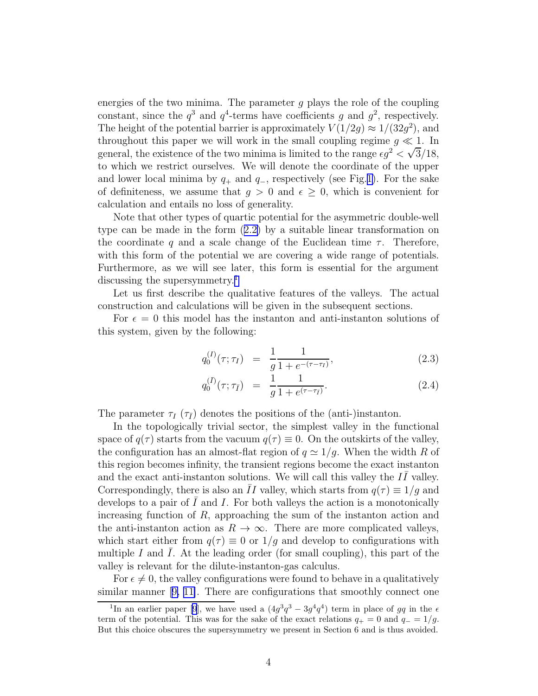energies of the two minima. The parameter  $g$  plays the role of the coupling constant, since the  $q^3$  and  $q^4$ -terms have coefficients g and  $q^2$ , respectively. The height of the potential barrier is approximately  $V(1/2g) \approx 1/(32g^2)$ , and throughout this paper we will work in the small coupling regime  $g \ll 1$ . In general, the existence of the two minima is limited to the range  $\epsilon g^2 < \sqrt{3}/18$ , to which we restrict ourselves. We will denote the coordinate of the upper and lower local minima by  $q_+$  and  $q_-$ , respectively (see Fig.[1\)](#page-3-0). For the sake of definiteness, we assume that  $g > 0$  and  $\epsilon \geq 0$ , which is convenient for calculation and entails no loss of generality.

Note that other types of quartic potential for the asymmetric double-well type can be made in the form([2.2\)](#page-3-0) by a suitable linear transformation on the coordinate q and a scale change of the Euclidean time  $\tau$ . Therefore, with this form of the potential we are covering a wide range of potentials. Furthermore, as we will see later, this form is essential for the argument discussing the supersymmetry.<sup>1</sup>

Let us first describe the qualitative features of the valleys. The actual construction and calculations will be given in the subsequent sections.

For  $\epsilon = 0$  this model has the instanton and anti-instanton solutions of this system, given by the following:

$$
q_0^{(I)}(\tau;\tau_I) = \frac{1}{g} \frac{1}{1 + e^{-(\tau - \tau_I)}}, \tag{2.3}
$$

$$
q_0^{(\bar{I})}(\tau;\tau_{\bar{I}}) = \frac{1}{g} \frac{1}{1 + e^{(\tau - \tau_{\bar{I}})}}.
$$
\n(2.4)

The parameter  $\tau_I$  ( $\tau_{\bar{I}}$ ) denotes the positions of the (anti-)instanton.

In the topologically trivial sector, the simplest valley in the functional space of  $q(\tau)$  starts from the vacuum  $q(\tau) \equiv 0$ . On the outskirts of the valley, the configuration has an almost-flat region of  $q \simeq 1/g$ . When the width R of this region becomes infinity, the transient regions become the exact instanton and the exact anti-instanton solutions. We will call this valley the  $I\overline{I}$  valley. Correspondingly, there is also an II valley, which starts from  $q(\tau) \equiv 1/g$  and develops to a pair of  $I$  and  $I$ . For both valleys the action is a monotonically increasing function of R, approaching the sum of the instanton action and the anti-instanton action as  $R \to \infty$ . There are more complicated valleys, which start either from  $q(\tau) \equiv 0$  or  $1/g$  and develop to configurations with multiple I and I. At the leading order (for small coupling), this part of the valley is relevant for the dilute-instanton-gas calculus.

For  $\epsilon \neq 0$ , the valley configurations were found to behave in a qualitatively similar manner[[9, 11\]](#page-76-0). There are configurations that smoothly connect one

<sup>&</sup>lt;sup>1</sup>In an earlier paper [\[9](#page-76-0)], we have used a  $(4g^3q^3 - 3g^4q^4)$  term in place of gq in the  $\epsilon$ term of the potential. This was for the sake of the exact relations  $q_{+} = 0$  and  $q_{-} = 1/g$ . But this choice obscures the supersymmetry we present in Section 6 and is thus avoided.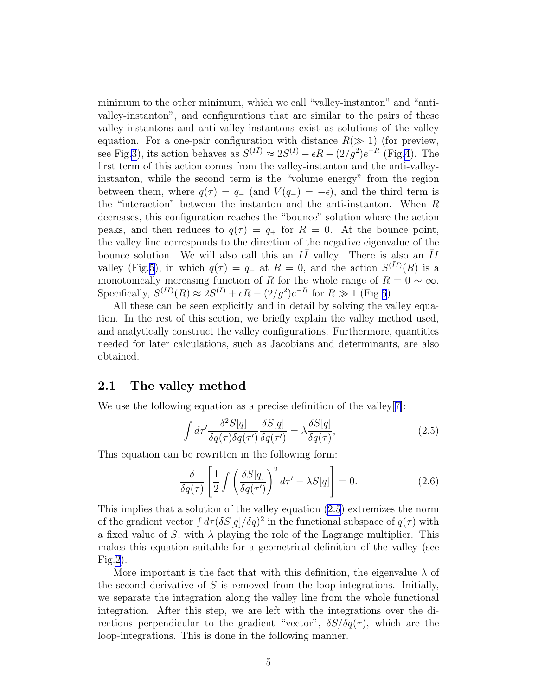<span id="page-5-0"></span>minimum to the other minimum, which we call "valley-instanton" and "antivalley-instanton", and configurations that are similar to the pairs of these valley-instantons and anti-valley-instantons exist as solutions of the valley equation. For a one-pair configuration with distance  $R(\gg 1)$  (for preview, see Fig[.3\)](#page-12-0), its action behaves as  $S^{(I\bar{I})} \approx 2S^{(I)} - \epsilon R - (2/g^2)e^{-R}$  (Fig[.4\)](#page-12-0). The first term of this action comes from the valley-instanton and the anti-valleyinstanton, while the second term is the "volume energy" from the region between them, where  $q(\tau) = q_{-}$  (and  $V(q_{-}) = -\epsilon$ ), and the third term is the "interaction" between the instanton and the anti-instanton. When R decreases, this configuration reaches the "bounce" solution where the action peaks, and then reduces to  $q(\tau) = q_+$  for  $R = 0$ . At the bounce point, the valley line corresponds to the direction of the negative eigenvalue of the bounce solution. We will also call this an  $I\bar{I}$  valley. There is also an  $\bar{I}I$ valley (Fig[.5](#page-13-0)), in which  $q(\tau) = q_{-}$  at  $R = 0$ , and the action  $S^{(\bar{I}I)}(R)$  is a monotonically increasing function of R for the whole range of  $R = 0 \sim \infty$ . Specifically,  $S^{(\overline{I}I)}(R) \approx 2S^{(I)} + \epsilon R - (2/g^2)e^{-R}$  for  $R \gg 1$  (Fig.[6](#page-13-0)).

All these can be seen explicitly and in detail by solving the valley equation. In the rest of this section, we briefly explain the valley method used, and analytically construct the valley configurations. Furthermore, quantities needed for later calculations, such as Jacobians and determinants, are also obtained.

## 2.1 The valley method

We use the following equation as a precise definition of the valley[[7\]](#page-76-0):

$$
\int d\tau' \frac{\delta^2 S[q]}{\delta q(\tau)\delta q(\tau')} \frac{\delta S[q]}{\delta q(\tau')} = \lambda \frac{\delta S[q]}{\delta q(\tau)},\tag{2.5}
$$

This equation can be rewritten in the following form:

$$
\frac{\delta}{\delta q(\tau)} \left[ \frac{1}{2} \int \left( \frac{\delta S[q]}{\delta q(\tau')} \right)^2 d\tau' - \lambda S[q] \right] = 0. \tag{2.6}
$$

This implies that a solution of the valley equation (2.5) extremizes the norm of the gradient vector  $\int d\tau (\delta S[q]/\delta q)^2$  in the functional subspace of  $q(\tau)$  with a fixed value of S, with  $\lambda$  playing the role of the Lagrange multiplier. This makes this equation suitable for a geometrical definition of the valley (see Fig[.2](#page-6-0)).

More important is the fact that with this definition, the eigenvalue  $\lambda$  of the second derivative of  $S$  is removed from the loop integrations. Initially, we separate the integration along the valley line from the whole functional integration. After this step, we are left with the integrations over the directions perpendicular to the gradient "vector",  $\delta S/\delta q(\tau)$ , which are the loop-integrations. This is done in the following manner.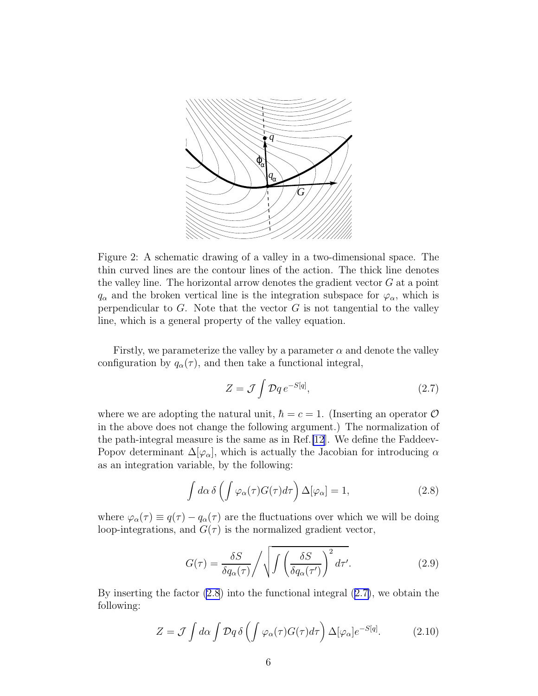<span id="page-6-0"></span>

Figure 2: A schematic drawing of a valley in a two-dimensional space. The thin curved lines are the contour lines of the action. The thick line denotes the valley line. The horizontal arrow denotes the gradient vector  $G$  at a point  $q_{\alpha}$  and the broken vertical line is the integration subspace for  $\varphi_{\alpha}$ , which is perpendicular to  $G$ . Note that the vector  $G$  is not tangential to the valley line, which is a general property of the valley equation.

Firstly, we parameterize the valley by a parameter  $\alpha$  and denote the valley configuration by  $q_{\alpha}(\tau)$ , and then take a functional integral,

$$
Z = \mathcal{J} \int \mathcal{D}q \, e^{-S[q]},\tag{2.7}
$$

where we are adopting the natural unit,  $\hbar = c = 1$ . (Inserting an operator  $\mathcal O$ in the above does not change the following argument.) The normalization of the path-integral measure is the same as in Ref.[\[12](#page-76-0)]. We define the Faddeev-Popov determinant  $\Delta[\varphi_\alpha]$ , which is actually the Jacobian for introducing  $\alpha$ as an integration variable, by the following:

$$
\int d\alpha \,\delta\left(\int \varphi_{\alpha}(\tau)G(\tau)d\tau\right)\Delta[\varphi_{\alpha}] = 1, \tag{2.8}
$$

where  $\varphi_{\alpha}(\tau) \equiv q(\tau) - q_{\alpha}(\tau)$  are the fluctuations over which we will be doing loop-integrations, and  $G(\tau)$  is the normalized gradient vector,

$$
G(\tau) = \frac{\delta S}{\delta q_{\alpha}(\tau)} / \sqrt{\int \left(\frac{\delta S}{\delta q_{\alpha}(\tau')}\right)^2 d\tau'}.
$$
 (2.9)

By inserting the factor  $(2.8)$  into the functional integral  $(2.7)$ , we obtain the following:

$$
Z = \mathcal{J} \int d\alpha \int \mathcal{D}q \,\delta \left( \int \varphi_{\alpha}(\tau) G(\tau) d\tau \right) \Delta[\varphi_{\alpha}] e^{-S[q]}.
$$
 (2.10)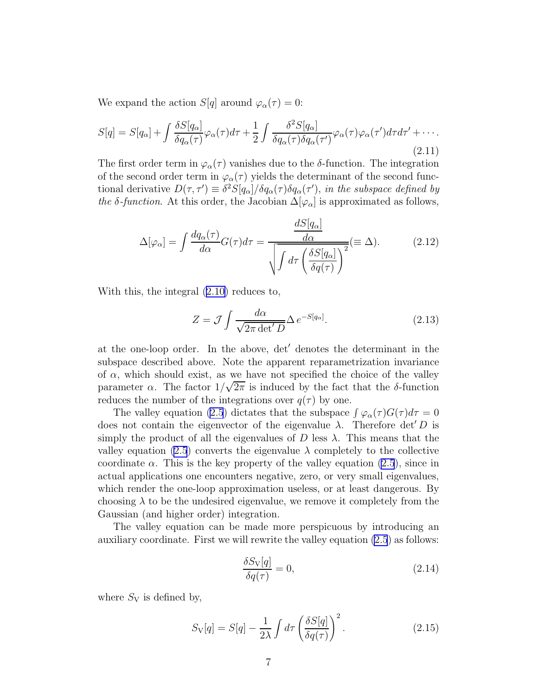<span id="page-7-0"></span>We expand the action  $S[q]$  around  $\varphi_{\alpha}(\tau) = 0$ :

$$
S[q] = S[q_{\alpha}] + \int \frac{\delta S[q_{\alpha}]}{\delta q_{\alpha}(\tau)} \varphi_{\alpha}(\tau) d\tau + \frac{1}{2} \int \frac{\delta^2 S[q_{\alpha}]}{\delta q_{\alpha}(\tau) \delta q_{\alpha}(\tau')} \varphi_{\alpha}(\tau) \varphi_{\alpha}(\tau') d\tau d\tau' + \cdots
$$
\n(2.11)

The first order term in  $\varphi_{\alpha}(\tau)$  vanishes due to the δ-function. The integration of the second order term in  $\varphi_{\alpha}(\tau)$  yields the determinant of the second functional derivative  $D(\tau, \tau') \equiv \delta^2 S[q_\alpha]/\delta q_\alpha(\tau) \delta q_\alpha(\tau')$ , in the subspace defined by the  $\delta$ -function. At this order, the Jacobian  $\Delta[\varphi_\alpha]$  is approximated as follows,

$$
\Delta[\varphi_{\alpha}] = \int \frac{dq_{\alpha}(\tau)}{d\alpha} G(\tau) d\tau = \frac{\frac{dS[q_{\alpha}]}{d\alpha}}{\sqrt{\int d\tau \left(\frac{\delta S[q_{\alpha}]}{\delta q(\tau)}\right)^{2}}} (\equiv \Delta). \tag{2.12}
$$

With this, the integral([2.10\)](#page-6-0) reduces to,

$$
Z = \mathcal{J} \int \frac{d\alpha}{\sqrt{2\pi \det' D}} \Delta e^{-S[q_{\alpha}]}.
$$
 (2.13)

at the one-loop order. In the above, det′ denotes the determinant in the subspace described above. Note the apparent reparametrization invariance of  $\alpha$ , which should exist, as we have not specified the choice of the valley parameter  $\alpha$ . The factor  $1/\sqrt{2\pi}$  is induced by the fact that the  $\delta$ -function reduces the number of the integrations over  $q(\tau)$  by one.

The valley equation [\(2.5](#page-5-0)) dictates that the subspace  $\int \varphi_{\alpha}(\tau)G(\tau)d\tau = 0$ does not contain the eigenvector of the eigenvalue  $\lambda$ . Therefore det' D is simply the product of all the eigenvalues of D less  $\lambda$ . This means that the valley equation [\(2.5](#page-5-0)) converts the eigenvalue  $\lambda$  completely to the collective coordinate  $\alpha$ . This is the key property of the valley equation [\(2.5](#page-5-0)), since in actual applications one encounters negative, zero, or very small eigenvalues, which render the one-loop approximation useless, or at least dangerous. By choosing  $\lambda$  to be the undesired eigenvalue, we remove it completely from the Gaussian (and higher order) integration.

The valley equation can be made more perspicuous by introducing an auxiliary coordinate. First we will rewrite the valley equation [\(2.5](#page-5-0)) as follows:

$$
\frac{\delta S_{\rm V}[q]}{\delta q(\tau)} = 0,\tag{2.14}
$$

where  $S_V$  is defined by,

$$
S_{\rm V}[q] = S[q] - \frac{1}{2\lambda} \int d\tau \left(\frac{\delta S[q]}{\delta q(\tau)}\right)^2.
$$
 (2.15)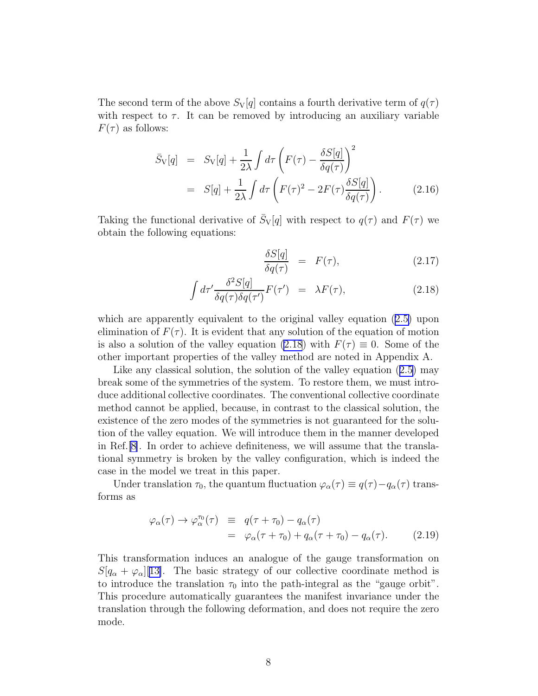<span id="page-8-0"></span>The second term of the above  $S_{\rm V}[q]$  contains a fourth derivative term of  $q(\tau)$ with respect to  $\tau$ . It can be removed by introducing an auxiliary variable  $F(\tau)$  as follows:

$$
\bar{S}_{\rm V}[q] = S_{\rm V}[q] + \frac{1}{2\lambda} \int d\tau \left( F(\tau) - \frac{\delta S[q]}{\delta q(\tau)} \right)^2
$$
  
= 
$$
S[q] + \frac{1}{2\lambda} \int d\tau \left( F(\tau)^2 - 2F(\tau) \frac{\delta S[q]}{\delta q(\tau)} \right).
$$
 (2.16)

Taking the functional derivative of  $\bar{S}_{V}[q]$  with respect to  $q(\tau)$  and  $F(\tau)$  we obtain the following equations:

$$
\frac{\delta S[q]}{\delta q(\tau)} = F(\tau),\tag{2.17}
$$

$$
\int d\tau' \frac{\delta^2 S[q]}{\delta q(\tau) \delta q(\tau')} F(\tau') = \lambda F(\tau), \qquad (2.18)
$$

which are apparently equivalent to the original valley equation([2.5\)](#page-5-0) upon elimination of  $F(\tau)$ . It is evident that any solution of the equation of motion is also a solution of the valley equation (2.18) with  $F(\tau) \equiv 0$ . Some of the other important properties of the valley method are noted in Appendix A.

Likeany classical solution, the solution of the valley equation  $(2.5)$  $(2.5)$  may break some of the symmetries of the system. To restore them, we must introduce additional collective coordinates. The conventional collective coordinate method cannot be applied, because, in contrast to the classical solution, the existence of the zero modes of the symmetries is not guaranteed for the solution of the valley equation. We will introduce them in the manner developed in Ref.[\[8\]](#page-76-0). In order to achieve definiteness, we will assume that the translational symmetry is broken by the valley configuration, which is indeed the case in the model we treat in this paper.

Under translation  $\tau_0$ , the quantum fluctuation  $\varphi_\alpha(\tau) \equiv q(\tau) - q_\alpha(\tau)$  transforms as

$$
\varphi_{\alpha}(\tau) \to \varphi_{\alpha}^{\tau_0}(\tau) \equiv q(\tau + \tau_0) - q_{\alpha}(\tau)
$$
  
= 
$$
\varphi_{\alpha}(\tau + \tau_0) + q_{\alpha}(\tau + \tau_0) - q_{\alpha}(\tau). \qquad (2.19)
$$

This transformation induces an analogue of the gauge transformation on  $S[q_{\alpha} + \varphi_{\alpha}]$ [[13\]](#page-76-0). The basic strategy of our collective coordinate method is to introduce the translation  $\tau_0$  into the path-integral as the "gauge orbit". This procedure automatically guarantees the manifest invariance under the translation through the following deformation, and does not require the zero mode.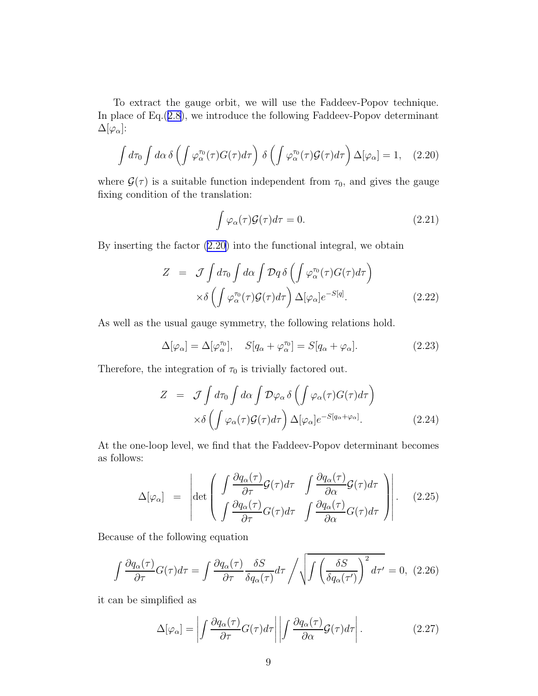<span id="page-9-0"></span>To extract the gauge orbit, we will use the Faddeev-Popov technique. In place of Eq.([2.8\)](#page-6-0), we introduce the following Faddeev-Popov determinant  $\Delta[\varphi_\alpha]$ :

$$
\int d\tau_0 \int d\alpha \,\delta\left(\int \varphi_\alpha^{\tau_0}(\tau) G(\tau) d\tau\right) \,\delta\left(\int \varphi_\alpha^{\tau_0}(\tau) \mathcal{G}(\tau) d\tau\right) \Delta[\varphi_\alpha] = 1, \quad (2.20)
$$

where  $\mathcal{G}(\tau)$  is a suitable function independent from  $\tau_0$ , and gives the gauge fixing condition of the translation:

$$
\int \varphi_{\alpha}(\tau) \mathcal{G}(\tau) d\tau = 0. \tag{2.21}
$$

By inserting the factor (2.20) into the functional integral, we obtain

$$
Z = \mathcal{J} \int d\tau_0 \int d\alpha \int \mathcal{D}q \,\delta \left( \int \varphi_\alpha^{\tau_0}(\tau) G(\tau) d\tau \right) \times \delta \left( \int \varphi_\alpha^{\tau_0}(\tau) \mathcal{G}(\tau) d\tau \right) \Delta [\varphi_\alpha] e^{-S[q]}.
$$
\n(2.22)

As well as the usual gauge symmetry, the following relations hold.

$$
\Delta[\varphi_{\alpha}] = \Delta[\varphi_{\alpha}^{\tau_0}], \quad S[q_{\alpha} + \varphi_{\alpha}^{\tau_0}] = S[q_{\alpha} + \varphi_{\alpha}]. \tag{2.23}
$$

Therefore, the integration of  $\tau_0$  is trivially factored out.

$$
Z = \mathcal{J} \int d\tau_0 \int d\alpha \int \mathcal{D}\varphi_\alpha \delta \left( \int \varphi_\alpha(\tau) G(\tau) d\tau \right) \times \delta \left( \int \varphi_\alpha(\tau) \mathcal{G}(\tau) d\tau \right) \Delta [\varphi_\alpha] e^{-S[q_\alpha + \varphi_\alpha]}.
$$
\n(2.24)

At the one-loop level, we find that the Faddeev-Popov determinant becomes as follows:

$$
\Delta[\varphi_{\alpha}] = \left| \det \left( \int \frac{\partial q_{\alpha}(\tau)}{\partial \tau} \mathcal{G}(\tau) d\tau \int \frac{\partial q_{\alpha}(\tau)}{\partial \alpha} \mathcal{G}(\tau) d\tau \right) \right|.
$$
\n(2.25)

Because of the following equation

$$
\int \frac{\partial q_{\alpha}(\tau)}{\partial \tau} G(\tau) d\tau = \int \frac{\partial q_{\alpha}(\tau)}{\partial \tau} \frac{\delta S}{\delta q_{\alpha}(\tau)} d\tau / \sqrt{\int \left(\frac{\delta S}{\delta q_{\alpha}(\tau')}\right)^2 d\tau'} = 0, (2.26)
$$

it can be simplified as

$$
\Delta[\varphi_{\alpha}] = \left| \int \frac{\partial q_{\alpha}(\tau)}{\partial \tau} G(\tau) d\tau \right| \left| \int \frac{\partial q_{\alpha}(\tau)}{\partial \alpha} \mathcal{G}(\tau) d\tau \right|.
$$
 (2.27)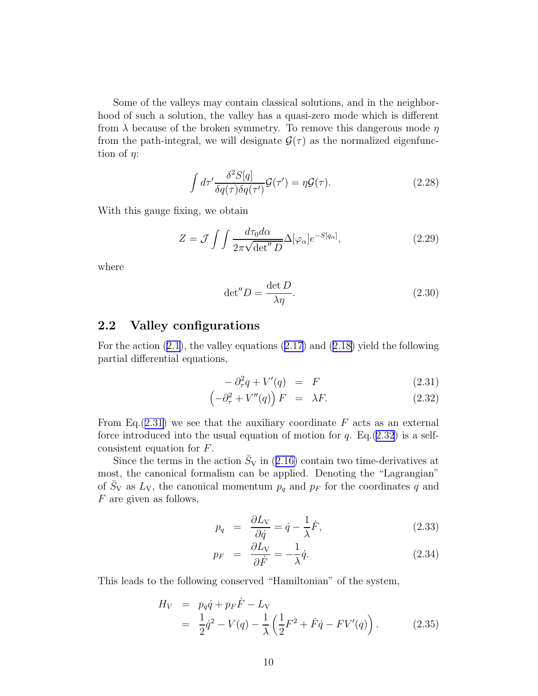<span id="page-10-0"></span>Some of the valleys may contain classical solutions, and in the neighborhood of such a solution, the valley has a quasi-zero mode which is different from  $\lambda$  because of the broken symmetry. To remove this dangerous mode  $\eta$ from the path-integral, we will designate  $\mathcal{G}(\tau)$  as the normalized eigenfunction of  $\eta$ :

$$
\int d\tau' \frac{\delta^2 S[q]}{\delta q(\tau)\delta q(\tau')} \mathcal{G}(\tau') = \eta \mathcal{G}(\tau). \tag{2.28}
$$

With this gauge fixing, we obtain

$$
Z = \mathcal{J} \int \int \frac{d\tau_0 d\alpha}{2\pi \sqrt{\det'' D}} \Delta[\varphi_\alpha] e^{-S[q_\alpha]}, \qquad (2.29)
$$

where

$$
\det'' D = \frac{\det D}{\lambda \eta}.
$$
 (2.30)

## 2.2 Valley configurations

For the action([2.1\)](#page-3-0), the valley equations([2.17\)](#page-8-0) and([2.18\)](#page-8-0) yield the following partial differential equations,

$$
-\partial_{\tau}^{2}q + V'(q) = F \tag{2.31}
$$

$$
\left(-\partial_{\tau}^{2} + V''(q)\right)F = \lambda F. \tag{2.32}
$$

From Eq.  $(2.31)$  we see that the auxiliary coordinate F acts as an external force introduced into the usual equation of motion for q. Eq.(2.32) is a selfconsistent equation for F.

Sincethe terms in the action  $\bar{S}_V$  in ([2.16\)](#page-8-0) contain two time-derivatives at most, the canonical formalism can be applied. Denoting the "Lagrangian" of  $\bar{S}_V$  as  $L_V$ , the canonical momentum  $p_q$  and  $p_F$  for the coordinates q and F are given as follows,

$$
p_q = \frac{\partial L_V}{\partial \dot{q}} = \dot{q} - \frac{1}{\lambda} \dot{F}, \qquad (2.33)
$$

$$
p_F = \frac{\partial L_V}{\partial \dot{F}} = -\frac{1}{\lambda} \dot{q}.\tag{2.34}
$$

This leads to the following conserved "Hamiltonian" of the system,

$$
H_V = p_q \dot{q} + p_F \dot{F} - L_V = \frac{1}{2} \dot{q}^2 - V(q) - \frac{1}{\lambda} \left( \frac{1}{2} F^2 + \dot{F} \dot{q} - F V'(q) \right).
$$
(2.35)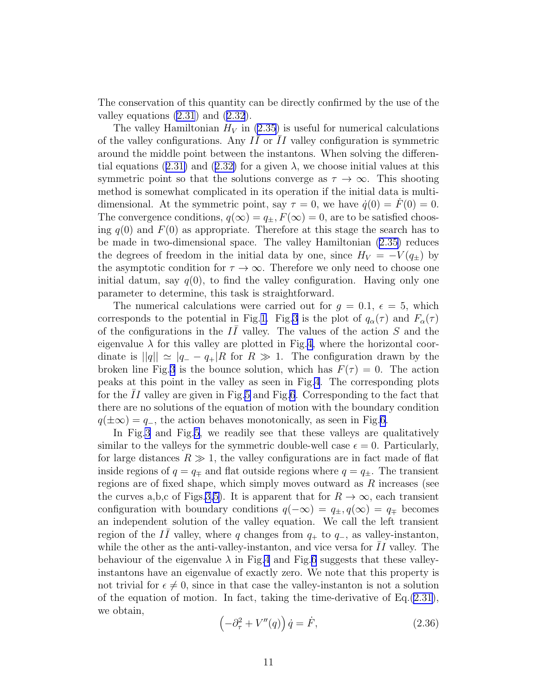<span id="page-11-0"></span>The conservation of this quantity can be directly confirmed by the use of the valley equations [\(2.31](#page-10-0)) and [\(2.32\)](#page-10-0).

The valley Hamiltonian  $H_V$  in [\(2.35](#page-10-0)) is useful for numerical calculations of the valley configurations. Any  $I\bar{I}$  or  $\bar{I}I$  valley configuration is symmetric around the middle point between the instantons. When solving the differen-tialequations ([2.31\)](#page-10-0) and ([2.32\)](#page-10-0) for a given  $\lambda$ , we choose initial values at this symmetric point so that the solutions converge as  $\tau \to \infty$ . This shooting method is somewhat complicated in its operation if the initial data is multidimensional. At the symmetric point, say  $\tau = 0$ , we have  $\dot{q}(0) = F(0) = 0$ . The convergence conditions,  $q(\infty) = q_{\pm}, F(\infty) = 0$ , are to be satisfied choosing  $q(0)$  and  $F(0)$  as appropriate. Therefore at this stage the search has to be made in two-dimensional space. The valley Hamiltonian([2.35\)](#page-10-0) reduces the degrees of freedom in the initial data by one, since  $H_V = -V(q_{\pm})$  by the asymptotic condition for  $\tau \to \infty$ . Therefore we only need to choose one initial datum, say  $q(0)$ , to find the valley configuration. Having only one parameter to determine, this task is straightforward.

The numerical calculations were carried out for  $g = 0.1, \epsilon = 5$ , which corresponds to the potential in Fig.[1.](#page-3-0) Fig[.3](#page-12-0) is the plot of  $q_\alpha(\tau)$  and  $F_\alpha(\tau)$ of the configurations in the  $I\bar{I}$  valley. The values of the action S and the eigenvalue  $\lambda$  for this valley are plotted in Fig.[4,](#page-12-0) where the horizontal coordinate is  $||q|| \simeq |q_{-} - q_{+}|$  for  $R \gg 1$ . The configuration drawn by the broken line Fig.[3](#page-12-0) is the bounce solution, which has  $F(\tau) = 0$ . The action peaks at this point in the valley as seen in Fig[.4](#page-12-0). The corresponding plots for the  $II$  valley are given in Fig.[5](#page-13-0) and Fig[.6](#page-13-0). Corresponding to the fact that there are no solutions of the equation of motion with the boundary condition  $q(\pm\infty) = q_-,$ , the action behaves monotonically, as seen in Fig.[6.](#page-13-0)

In Fig[.3](#page-12-0) and Fig[.5](#page-13-0), we readily see that these valleys are qualitatively similar to the valleys for the symmetric double-well case  $\epsilon = 0$ . Particularly, for large distances  $R \gg 1$ , the valley configurations are in fact made of flat inside regions of  $q = q_{\pm}$  and flat outside regions where  $q = q_{\pm}$ . The transient regions are of fixed shape, which simply moves outward as  $R$  increases (see the curves a,b,c of Figs.[3,](#page-12-0)[5\)](#page-13-0). It is apparent that for  $R \to \infty$ , each transient configuration with boundary conditions  $q(-\infty) = q_{\pm}, q(\infty) = q_{\mp}$  becomes an independent solution of the valley equation. We call the left transient region of the  $I\bar{I}$  valley, where q changes from  $q_+$  to  $q_-$ , as valley-instanton, while the other as the anti-valley-instanton, and vice versa for  $II$  valley. The behaviour of the eigenvalue  $\lambda$  in Fig[.4](#page-12-0) and Fig.[6](#page-13-0) suggests that these valleyinstantons have an eigenvalue of exactly zero. We note that this property is not trivial for  $\epsilon \neq 0$ , since in that case the valley-instanton is not a solution of the equation of motion. In fact, taking the time-derivative of  $Eq.(2.31)$  $Eq.(2.31)$ , we obtain,

$$
\left(-\partial_{\tau}^{2} + V''(q)\right)\dot{q} = \dot{F},\qquad(2.36)
$$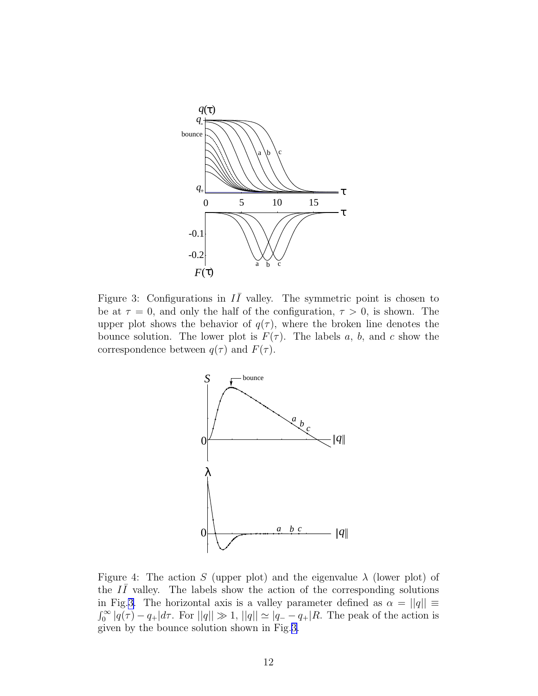<span id="page-12-0"></span>

Figure 3: Configurations in  $I\bar{I}$  valley. The symmetric point is chosen to be at  $\tau = 0$ , and only the half of the configuration,  $\tau > 0$ , is shown. The upper plot shows the behavior of  $q(\tau)$ , where the broken line denotes the bounce solution. The lower plot is  $F(\tau)$ . The labels a, b, and c show the correspondence between  $q(\tau)$  and  $F(\tau)$ .



Figure 4: The action S (upper plot) and the eigenvalue  $\lambda$  (lower plot) of the  $I\bar{I}$  valley. The labels show the action of the corresponding solutions in Fig.3. The horizontal axis is a valley parameter defined as  $\alpha = ||q|| \equiv$  $\int_0^\infty |q(\tau) - q_+|d\tau$ . For  $||q|| \gg 1$ ,  $||q|| \simeq |q_- - q_+|R$ . The peak of the action is given by the bounce solution shown in Fig.3.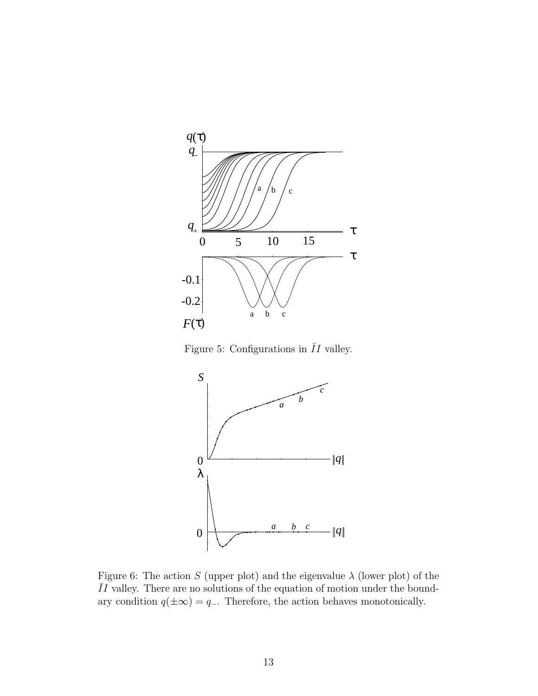<span id="page-13-0"></span>

Figure 5: Configurations in  $\overline{I}I$  valley.



Figure 6: The action S (upper plot) and the eigenvalue  $\lambda$  (lower plot) of the  $\overline{I}I$  valley. There are no solutions of the equation of motion under the boundary condition  $q(\pm\infty) = q_-\$ . Therefore, the action behaves monotonically.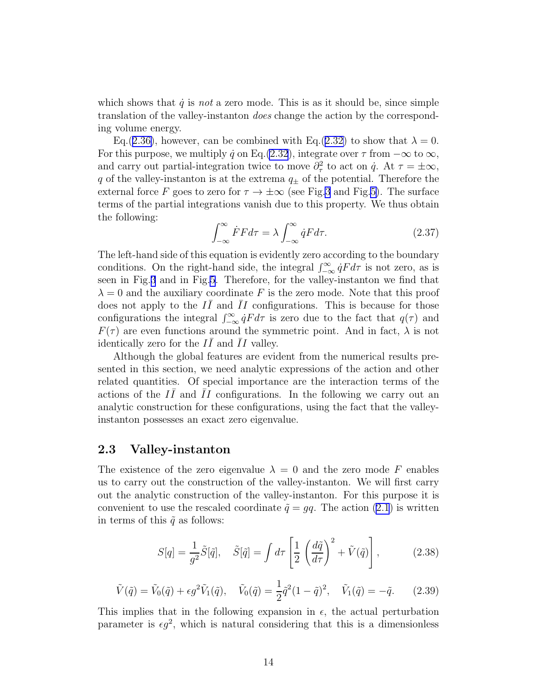<span id="page-14-0"></span>which shows that  $\dot{q}$  is not a zero mode. This is as it should be, since simple translation of the valley-instanton does change the action by the corresponding volume energy.

Eq.([2.36\)](#page-11-0), however, can be combined with Eq.([2.32\)](#page-10-0) to show that  $\lambda = 0$ . For this purpose, we multiply  $\dot{q}$  on Eq.[\(2.32](#page-10-0)), integrate over  $\tau$  from  $-\infty$  to  $\infty$ , and carry out partial-integration twice to move  $\partial_{\tau}^{2}$  to act on  $\dot{q}$ . At  $\tau = \pm \infty$ , q of the valley-instanton is at the extrema  $q_{\pm}$  of the potential. Therefore the external force F goes to zero for  $\tau \to \pm \infty$  (see Fig[.3](#page-12-0) and Fig[.5\)](#page-13-0). The surface terms of the partial integrations vanish due to this property. We thus obtain the following:

$$
\int_{-\infty}^{\infty} \dot{F}F d\tau = \lambda \int_{-\infty}^{\infty} \dot{q}F d\tau.
$$
 (2.37)

The left-hand side of this equation is evidently zero according to the boundary conditions. On the right-hand side, the integral  $\int_{-\infty}^{\infty} \dot{q} F d\tau$  is not zero, as is seen in Fig.[3](#page-12-0) and in Fig[.5](#page-13-0). Therefore, for the valley-instanton we find that  $\lambda = 0$  and the auxiliary coordinate F is the zero mode. Note that this proof does not apply to the  $I\bar{I}$  and  $\bar{I}I$  configurations. This is because for those configurations the integral  $\int_{-\infty}^{\infty} \dot{q} F d\tau$  is zero due to the fact that  $q(\tau)$  and  $F(\tau)$  are even functions around the symmetric point. And in fact,  $\lambda$  is not identically zero for the  $I\bar{I}$  and  $\bar{I}I$  valley.

Although the global features are evident from the numerical results presented in this section, we need analytic expressions of the action and other related quantities. Of special importance are the interaction terms of the actions of the  $I\bar{I}$  and  $\bar{I}I$  configurations. In the following we carry out an analytic construction for these configurations, using the fact that the valleyinstanton possesses an exact zero eigenvalue.

## 2.3 Valley-instanton

The existence of the zero eigenvalue  $\lambda = 0$  and the zero mode F enables us to carry out the construction of the valley-instanton. We will first carry out the analytic construction of the valley-instanton. For this purpose it is convenient to use the rescaled coordinate  $\tilde{q} = gq$ . The action [\(2.1](#page-3-0)) is written in terms of this  $\tilde{q}$  as follows:

$$
S[q] = \frac{1}{g^2} \tilde{S}[\tilde{q}], \quad \tilde{S}[\tilde{q}] = \int d\tau \left[ \frac{1}{2} \left( \frac{d\tilde{q}}{d\tau} \right)^2 + \tilde{V}(\tilde{q}) \right], \quad (2.38)
$$

$$
\tilde{V}(\tilde{q}) = \tilde{V}_0(\tilde{q}) + \epsilon g^2 \tilde{V}_1(\tilde{q}), \quad \tilde{V}_0(\tilde{q}) = \frac{1}{2} \tilde{q}^2 (1 - \tilde{q})^2, \quad \tilde{V}_1(\tilde{q}) = -\tilde{q}.
$$
 (2.39)

This implies that in the following expansion in  $\epsilon$ , the actual perturbation parameter is  $\epsilon g^2$ , which is natural considering that this is a dimensionless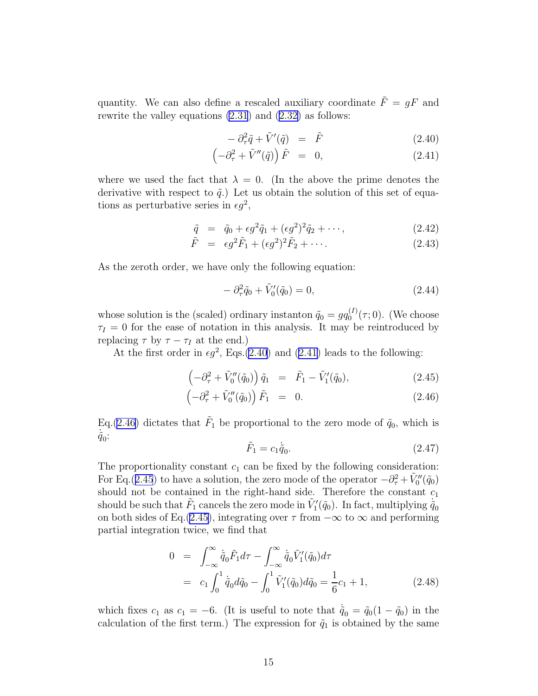<span id="page-15-0"></span>quantity. We can also define a rescaled auxiliary coordinate  $\tilde{F} = gF$  and rewrite the valley equations [\(2.31](#page-10-0)) and([2.32\)](#page-10-0) as follows:

$$
- \partial_{\tau}^{2} \tilde{q} + \tilde{V}'(\tilde{q}) = \tilde{F} \tag{2.40}
$$

$$
\left(-\partial_{\tau}^{2} + \tilde{V}''(\tilde{q})\right)\tilde{F} = 0, \qquad (2.41)
$$

where we used the fact that  $\lambda = 0$ . (In the above the prime denotes the derivative with respect to  $\tilde{q}$ .) Let us obtain the solution of this set of equations as perturbative series in  $\epsilon g^2$ ,

$$
\tilde{q} = \tilde{q}_0 + \epsilon g^2 \tilde{q}_1 + (\epsilon g^2)^2 \tilde{q}_2 + \cdots, \qquad (2.42)
$$

$$
\tilde{F} = \epsilon g^2 \tilde{F}_1 + (\epsilon g^2)^2 \tilde{F}_2 + \cdots. \tag{2.43}
$$

As the zeroth order, we have only the following equation:

$$
-\partial_{\tau}^{2}\tilde{q}_{0} + \tilde{V}_{0}'(\tilde{q}_{0}) = 0, \qquad (2.44)
$$

whose solution is the (scaled) ordinary instanton  $\tilde{q}_0 = g q_0^{(I)}$  $_{0}^{(1)}(\tau;0)$ . (We choose  $\tau_I = 0$  for the ease of notation in this analysis. It may be reintroduced by replacing  $\tau$  by  $\tau - \tau_I$  at the end.)

At the first order in  $\epsilon g^2$ , Eqs.(2.40) and (2.41) leads to the following:

$$
\left(-\partial_{\tau}^{2} + \tilde{V}_{0}''(\tilde{q}_{0})\right)\tilde{q}_{1} = \tilde{F}_{1} - \tilde{V}_{1}'(\tilde{q}_{0}), \qquad (2.45)
$$

$$
\left(-\partial_{\tau}^{2} + \tilde{V}_{0}''(\tilde{q}_{0})\right)\tilde{F}_{1} = 0. \qquad (2.46)
$$

Eq.(2.46) dictates that  $\tilde{F}_1$  be proportional to the zero mode of  $\tilde{q}_0$ , which is  $\dot{\tilde{q}}_0$ :

$$
\tilde{F}_1 = c_1 \dot{\tilde{q}}_0. \tag{2.47}
$$

The proportionality constant  $c_1$  can be fixed by the following consideration: For Eq.(2.45) to have a solution, the zero mode of the operator  $-\partial_{\tau}^2 + \tilde{V}_0''(\tilde{q}_0)$ should not be contained in the right-hand side. Therefore the constant  $c_1$ should be such that  $\tilde{F}_1$  cancels the zero mode in  $\tilde{V}'_1(\tilde{q}_0)$ . In fact, multiplying  $\dot{\tilde{q}}_0$ on both sides of Eq.(2.45), integrating over  $\tau$  from  $-\infty$  to  $\infty$  and performing partial integration twice, we find that

$$
0 = \int_{-\infty}^{\infty} \dot{\tilde{q}}_0 \tilde{F}_1 d\tau - \int_{-\infty}^{\infty} \dot{\tilde{q}}_0 \tilde{V}'_1(\tilde{q}_0) d\tau
$$
  
=  $c_1 \int_0^1 \dot{\tilde{q}}_0 d\tilde{q}_0 - \int_0^1 \tilde{V}'_1(\tilde{q}_0) d\tilde{q}_0 = \frac{1}{6} c_1 + 1,$  (2.48)

which fixes  $c_1$  as  $c_1 = -6$ . (It is useful to note that  $\dot{\tilde{q}}_0 = \tilde{q}_0(1 - \tilde{q}_0)$  in the calculation of the first term.) The expression for  $\tilde{q}_1$  is obtained by the same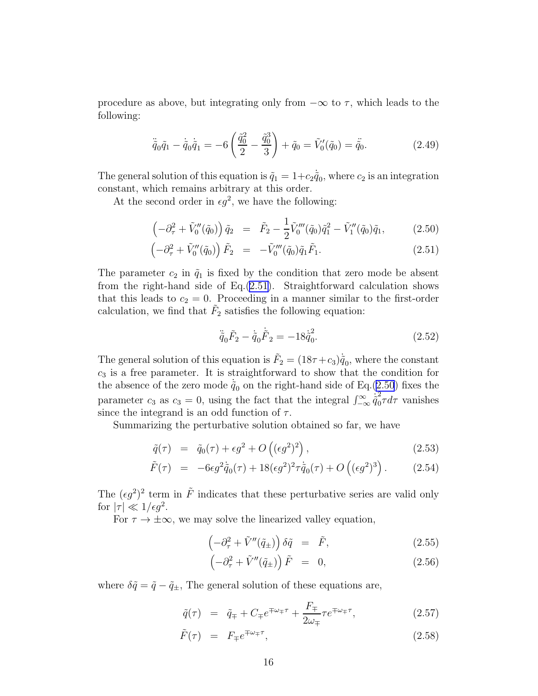<span id="page-16-0"></span>procedure as above, but integrating only from  $-\infty$  to  $\tau$ , which leads to the following:

$$
\ddot{\tilde{q}}_0 \tilde{q}_1 - \ddot{\tilde{q}}_0 \dot{\tilde{q}}_1 = -6 \left( \frac{\tilde{q}_0^2}{2} - \frac{\tilde{q}_0^3}{3} \right) + \tilde{q}_0 = \tilde{V}_0'(\tilde{q}_0) = \ddot{\tilde{q}}_0.
$$
 (2.49)

The general solution of this equation is  $\tilde{q}_1 = 1 + c_2 \dot{\tilde{q}}_0$ , where  $c_2$  is an integration constant, which remains arbitrary at this order.

At the second order in  $\epsilon g^2$ , we have the following:

$$
\left(-\partial_{\tau}^{2} + \tilde{V}_{0}''(\tilde{q}_{0})\right)\tilde{q}_{2} = \tilde{F}_{2} - \frac{1}{2}\tilde{V}_{0}'''(\tilde{q}_{0})\tilde{q}_{1}^{2} - \tilde{V}_{1}''(\tilde{q}_{0})\tilde{q}_{1}, \qquad (2.50)
$$

$$
\left(-\partial_{\tau}^{2} + \tilde{V}_{0}^{"}(\tilde{q}_{0})\right)\tilde{F}_{2} = -\tilde{V}_{0}^{"}(\tilde{q}_{0})\tilde{q}_{1}\tilde{F}_{1}.
$$
\n(2.51)

The parameter  $c_2$  in  $\tilde{q}_1$  is fixed by the condition that zero mode be absent from the right-hand side of Eq.(2.51). Straightforward calculation shows that this leads to  $c_2 = 0$ . Proceeding in a manner similar to the first-order calculation, we find that  $\tilde{F}_2$  satisfies the following equation:

$$
\ddot{\tilde{q}}_0 \tilde{F}_2 - \dot{\tilde{q}}_0 \dot{\tilde{F}}_2 = -18 \dot{\tilde{q}}_0^2.
$$
\n(2.52)

The general solution of this equation is  $\tilde{F}_2 = (18\tau + c_3)\dot{\tilde{q}}_0$ , where the constant  $c<sub>3</sub>$  is a free parameter. It is straightforward to show that the condition for the absence of the zero mode  $\tilde{q}_0$  on the right-hand side of Eq.(2.50) fixes the parameter  $c_3$  as  $c_3 = 0$ , using the fact that the integral  $\int_{-\infty}^{\infty} \dot{q}_0^2$  $\int_0^{\pi} \tau d\tau$  vanishes since the integrand is an odd function of  $\tau$ .

Summarizing the perturbative solution obtained so far, we have

$$
\tilde{q}(\tau) = \tilde{q}_0(\tau) + \epsilon g^2 + O\left((\epsilon g^2)^2\right),\tag{2.53}
$$

$$
\tilde{F}(\tau) = -6\epsilon g^2 \dot{\tilde{q}}_0(\tau) + 18(\epsilon g^2)^2 \tau \dot{\tilde{q}}_0(\tau) + O((\epsilon g^2)^3). \tag{2.54}
$$

The  $(\epsilon g^2)^2$  term in  $\tilde{F}$  indicates that these perturbative series are valid only for  $|\tau| \ll 1/\epsilon g^2$ .

For  $\tau \to \pm \infty$ , we may solve the linearized valley equation,

$$
\left(-\partial_{\tau}^{2} + \tilde{V}''(\tilde{q}_{\pm})\right)\delta\tilde{q} = \tilde{F}, \qquad (2.55)
$$

$$
\left(-\partial_{\tau}^{2} + \tilde{V}''(\tilde{q}_{\pm})\right)\tilde{F} = 0, \qquad (2.56)
$$

where  $\delta \tilde{q} = \tilde{q} - \tilde{q}_{\pm}$ , The general solution of these equations are,

$$
\tilde{q}(\tau) = \tilde{q}_{\mp} + C_{\mp}e^{\mp\omega_{\mp}\tau} + \frac{F_{\mp}}{2\omega_{\mp}}\tau e^{\mp\omega_{\mp}\tau},\tag{2.57}
$$

$$
\tilde{F}(\tau) = F_{\mp} e^{\mp \omega_{\mp} \tau}, \qquad (2.58)
$$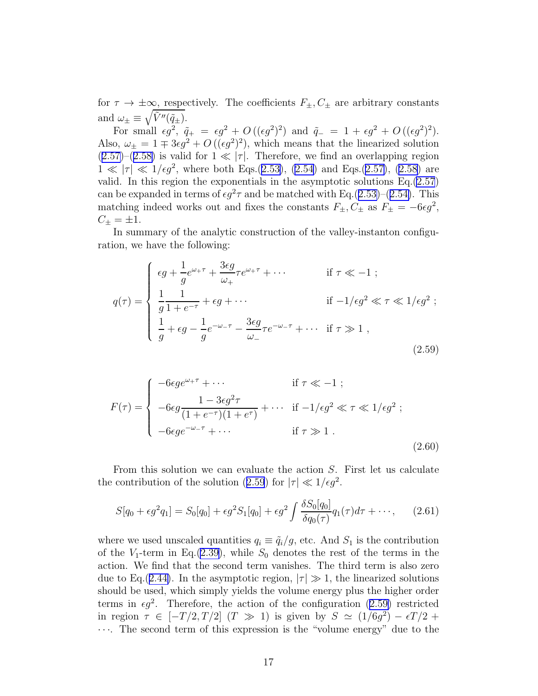<span id="page-17-0"></span>for  $\tau \to \pm \infty$ , respectively. The coefficients  $F_{\pm}$ ,  $C_{\pm}$  are arbitrary constants and  $\omega_{\pm} \equiv \sqrt{\tilde{V}''(\tilde{q}_{\pm})}.$ 

For small  $\epsilon g^2$ ,  $\tilde{q}_+ = \epsilon g^2 + O((\epsilon g^2)^2)$  and  $\tilde{q}_- = 1 + \epsilon g^2 + O((\epsilon g^2)^2)$ . Also,  $\omega_{\pm} = 1 \mp 3\epsilon g^2 + O((\epsilon g^2)^2)$ , which means that the linearized solution  $(2.57)$  $(2.57)$ – $(2.58)$  $(2.58)$  is valid for  $1 \ll |\tau|$ . Therefore, we find an overlapping region  $1 \ll |\tau| \ll 1/\epsilon g^2$  $1 \ll |\tau| \ll 1/\epsilon g^2$  $1 \ll |\tau| \ll 1/\epsilon g^2$ , where both Eqs.([2.53\)](#page-16-0), ([2.54\)](#page-16-0) and Eqs.[\(2.57\)](#page-16-0), [\(2.58](#page-16-0)) are valid. In this region the exponentials in the asymptotic solutions Eq.[\(2.57](#page-16-0)) can be expanded in terms of  $\epsilon g^2 \tau$  and be matched with Eq.([2.53\)](#page-16-0)–([2.54\)](#page-16-0). This matching indeed works out and fixes the constants  $F_{\pm}$ ,  $C_{\pm}$  as  $F_{\pm} = -6\epsilon g^2$ ,  $C_{\pm} = \pm 1.$ 

In summary of the analytic construction of the valley-instanton configuration, we have the following:

$$
q(\tau) = \begin{cases} \n\epsilon g + \frac{1}{g} e^{\omega_{+}\tau} + \frac{3\epsilon g}{\omega_{+}} \tau e^{\omega_{+}\tau} + \cdots & \text{if } \tau \ll -1; \\
\frac{1}{g} \frac{1}{1 + e^{-\tau}} + \epsilon g + \cdots & \text{if } -1/\epsilon g^{2} \ll \tau \ll 1/\epsilon g^{2}; \\
\frac{1}{g} + \epsilon g - \frac{1}{g} e^{-\omega_{-}\tau} - \frac{3\epsilon g}{\omega_{-}} \tau e^{-\omega_{-}\tau} + \cdots & \text{if } \tau \gg 1 \,, \n\end{cases} \tag{2.59}
$$

$$
F(\tau) = \begin{cases}\n-6\epsilon g e^{\omega_{+}\tau} + \cdots & \text{if } \tau \ll -1; \\
-6\epsilon g \frac{1 - 3\epsilon g^2 \tau}{(1 + e^{-\tau})(1 + e^{\tau})} + \cdots & \text{if } -1/\epsilon g^2 \ll \tau \ll 1/\epsilon g^2; \\
-6\epsilon g e^{-\omega_{-}\tau} + \cdots & \text{if } \tau \gg 1.\n\end{cases}
$$
\n(2.60)

From this solution we can evaluate the action S. First let us calculate the contribution of the solution (2.59) for  $|\tau| \ll 1/\epsilon g^2$ .

$$
S[q_0 + \epsilon g^2 q_1] = S_0[q_0] + \epsilon g^2 S_1[q_0] + \epsilon g^2 \int \frac{\delta S_0[q_0]}{\delta q_0(\tau)} q_1(\tau) d\tau + \cdots, \qquad (2.61)
$$

where we used unscaled quantities  $q_i \equiv \tilde{q}_i / g$ , etc. And  $S_1$  is the contribution of the  $V_1$ -term in Eq.[\(2.39](#page-14-0)), while  $S_0$  denotes the rest of the terms in the action. We find that the second term vanishes. The third term is also zero due to Eq.([2.44\)](#page-15-0). In the asymptotic region,  $|\tau| \gg 1$ , the linearized solutions should be used, which simply yields the volume energy plus the higher order terms in  $\epsilon g^2$ . Therefore, the action of the configuration (2.59) restricted in region  $\tau \in [-T/2, T/2]$   $(T \gg 1)$  is given by  $S \simeq (1/6g^2) - \epsilon T/2 +$ · · ·. The second term of this expression is the "volume energy" due to the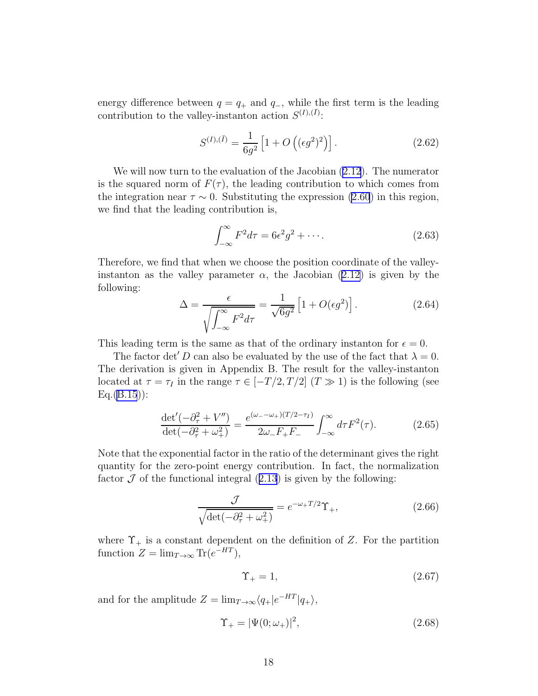<span id="page-18-0"></span>energy difference between  $q = q_+$  and  $q_-$ , while the first term is the leading contribution to the valley-instanton action  $S^{(I),(\bar{I})}$ :

$$
S^{(I),(\bar{I})} = \frac{1}{6g^2} \left[ 1 + O\left( (\epsilon g^2)^2 \right) \right]. \tag{2.62}
$$

We will now turn to the evaluation of the Jacobian [\(2.12](#page-7-0)). The numerator is the squared norm of  $F(\tau)$ , the leading contribution to which comes from the integration near  $\tau \sim 0$ . Substituting the expression [\(2.60](#page-17-0)) in this region, we find that the leading contribution is,

$$
\int_{-\infty}^{\infty} F^2 d\tau = 6\epsilon^2 g^2 + \cdots. \tag{2.63}
$$

Therefore, we find that when we choose the position coordinate of the valleyinstanton as the valley parameter  $\alpha$ , the Jacobian [\(2.12\)](#page-7-0) is given by the following:

$$
\Delta = \frac{\epsilon}{\sqrt{\int_{-\infty}^{\infty} F^2 d\tau}} = \frac{1}{\sqrt{6g^2}} \left[ 1 + O(\epsilon g^2) \right].
$$
 (2.64)

This leading term is the same as that of the ordinary instanton for  $\epsilon = 0$ .

The factor det' D can also be evaluated by the use of the fact that  $\lambda = 0$ . The derivation is given in Appendix B. The result for the valley-instanton located at  $\tau = \tau_I$  in the range  $\tau \in [-T/2, T/2]$   $(T \gg 1)$  is the following (see  $Eq.(B.15)$  $Eq.(B.15)$  $Eq.(B.15)$ :

$$
\frac{\det'(-\partial_\tau^2 + V'')}{\det(-\partial_\tau^2 + \omega_+^2)} = \frac{e^{(\omega_- - \omega_+)(T/2 - \tau_I)}}{2\omega_- F_+ F_-} \int_{-\infty}^{\infty} d\tau F^2(\tau). \tag{2.65}
$$

Note that the exponential factor in the ratio of the determinant gives the right quantity for the zero-point energy contribution. In fact, the normalization factor $\mathcal J$  of the functional integral ([2.13](#page-7-0)) is given by the following:

$$
\frac{\mathcal{J}}{\sqrt{\det(-\partial_{\tau}^2 + \omega_+^2)}} = e^{-\omega_+ T/2} \Upsilon_+, \qquad (2.66)
$$

where  $\Upsilon_+$  is a constant dependent on the definition of Z. For the partition function  $Z = \lim_{T \to \infty} \text{Tr}(e^{-HT}),$ 

$$
\Upsilon_{+} = 1,\tag{2.67}
$$

and for the amplitude  $Z = \lim_{T \to \infty} \langle q_+|e^{-HT}|q_+\rangle$ ,

$$
\Upsilon_{+} = |\Psi(0; \omega_{+})|^{2}, \tag{2.68}
$$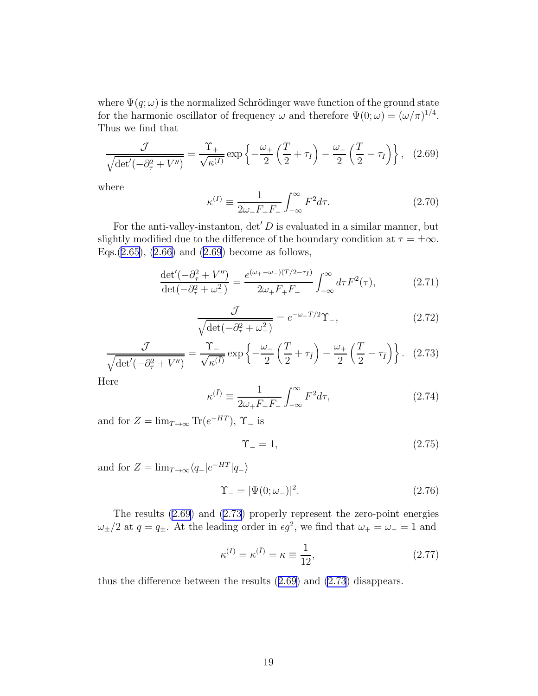<span id="page-19-0"></span>where  $\Psi(q;\omega)$  is the normalized Schrödinger wave function of the ground state for the harmonic oscillator of frequency  $\omega$  and therefore  $\Psi(0; \omega) = (\omega/\pi)^{1/4}$ . Thus we find that

$$
\frac{\mathcal{J}}{\sqrt{\det'(-\partial_\tau^2 + V'')}} = \frac{\Upsilon_+}{\sqrt{\kappa^{(I)}}} \exp\left\{-\frac{\omega_+}{2}\left(\frac{T}{2} + \tau_I\right) - \frac{\omega_-}{2}\left(\frac{T}{2} - \tau_I\right)\right\}, \quad (2.69)
$$

where

$$
\kappa^{(I)} \equiv \frac{1}{2\omega_{-}F_{+}F_{-}} \int_{-\infty}^{\infty} F^{2} d\tau.
$$
 (2.70)

For the anti-valley-instanton,  $\det' D$  is evaluated in a similar manner, but slightly modified due to the difference of the boundary condition at  $\tau = \pm \infty$ . Eqs.([2.65\)](#page-18-0),([2.66\)](#page-18-0) and (2.69) become as follows,

$$
\frac{\det'(-\partial_{\tau}^{2} + V'')}{\det(-\partial_{\tau}^{2} + \omega_{-}^{2})} = \frac{e^{(\omega_{+} - \omega_{-})(T/2 - \tau_{\bar{I}})}}{2\omega_{+}F_{+}F_{-}} \int_{-\infty}^{\infty} d\tau F^{2}(\tau), \tag{2.71}
$$

$$
\frac{\mathcal{J}}{\sqrt{\det(-\partial_{\tau}^2 + \omega_-^2)}} = e^{-\omega_-T/2} \Upsilon_-,
$$
\n(2.72)

$$
\frac{\mathcal{J}}{\sqrt{\det'(-\partial_{\tau}^2 + V'')}} = \frac{\Upsilon}{\sqrt{\kappa^{(\bar{I})}}}\exp\left\{-\frac{\omega_{-}}{2}\left(\frac{T}{2} + \tau_{\bar{I}}\right) - \frac{\omega_{+}}{2}\left(\frac{T}{2} - \tau_{\bar{I}}\right)\right\}.
$$
 (2.73)

Here

$$
\kappa^{(\bar{I})} \equiv \frac{1}{2\omega_{+}F_{+}F_{-}} \int_{-\infty}^{\infty} F^{2}d\tau, \qquad (2.74)
$$

and for  $Z = \lim_{T \to \infty} \text{Tr}(e^{-HT})$ ,  $\Upsilon_{-}$  is

$$
\Upsilon_{-} = 1,\tag{2.75}
$$

and for  $Z = \lim_{T \to \infty} \langle q_- | e^{-HT} | q_- \rangle$ 

$$
\Upsilon_{-} = |\Psi(0; \omega_{-})|^{2}.
$$
\n(2.76)

The results (2.69) and (2.73) properly represent the zero-point energies  $\omega_{\pm}/2$  at  $q = q_{\pm}$ . At the leading order in  $\epsilon g^2$ , we find that  $\omega_{+} = \omega_{-} = 1$  and

$$
\kappa^{(I)} = \kappa^{(\bar{I})} = \kappa \equiv \frac{1}{12},\tag{2.77}
$$

thus the difference between the results (2.69) and (2.73) disappears.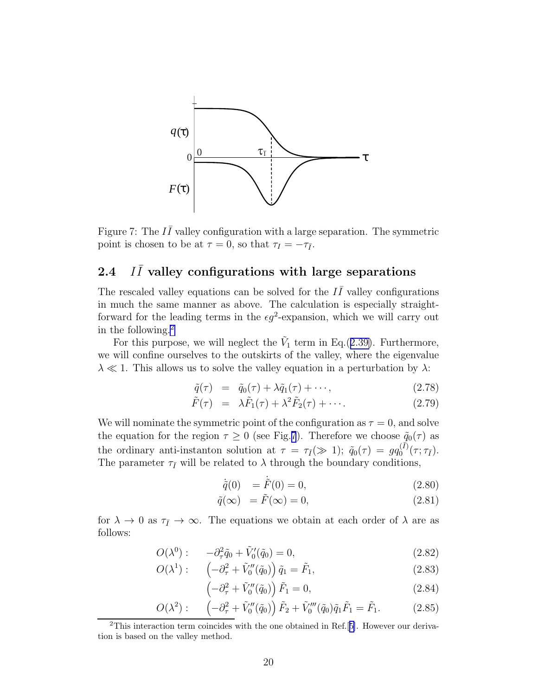<span id="page-20-0"></span>

Figure 7: The  $I\bar{I}$  valley configuration with a large separation. The symmetric point is chosen to be at  $\tau = 0$ , so that  $\tau_I = -\tau_{\bar{I}}$ .

#### $2.4$  $I\bar{I}$  valley configurations with large separations

The rescaled valley equations can be solved for the  $I\overline{I}$  valley configurations in much the same manner as above. The calculation is especially straightforward for the leading terms in the  $\epsilon g^2$ -expansion, which we will carry out in the following.<sup>2</sup>

For this purpose, we will neglect the  $\tilde{V}_1$  term in Eq.([2.39\)](#page-14-0). Furthermore, we will confine ourselves to the outskirts of the valley, where the eigenvalue  $\lambda \ll 1$ . This allows us to solve the valley equation in a perturbation by  $\lambda$ :

$$
\tilde{q}(\tau) = \tilde{q}_0(\tau) + \lambda \tilde{q}_1(\tau) + \cdots, \qquad (2.78)
$$

$$
\tilde{F}(\tau) = \lambda \tilde{F}_1(\tau) + \lambda^2 \tilde{F}_2(\tau) + \cdots. \qquad (2.79)
$$

We will nominate the symmetric point of the configuration as  $\tau = 0$ , and solve the equation for the region  $\tau \geq 0$  (see Fig.7). Therefore we choose  $\tilde{q}_0(\tau)$  as the ordinary anti-instanton solution at  $\tau = \tau_{\bar{I}}(\gg 1)$ ;  $\tilde{q}_0(\tau) = g q_0^{(\bar{I})}$  $\mathcal{O}^{(I)}(\tau;\tau_{\bar{I}}).$ The parameter  $\tau_{\bar{I}}$  will be related to  $\lambda$  through the boundary conditions,

$$
\dot{\tilde{q}}(0) = \dot{\tilde{F}}(0) = 0, \tag{2.80}
$$

$$
\tilde{q}(\infty) = \tilde{F}(\infty) = 0,\tag{2.81}
$$

for  $\lambda \to 0$  as  $\tau_{\bar{I}} \to \infty$ . The equations we obtain at each order of  $\lambda$  are as follows:

$$
O(\lambda^{0}): \quad -\partial_{\tau}^{2}\tilde{q}_{0} + \tilde{V}_{0}'(\tilde{q}_{0}) = 0, \tag{2.82}
$$

$$
O(\lambda^1): \quad \left(-\partial_\tau^2 + \tilde{V}_0''(\tilde{q}_0)\right)\tilde{q}_1 = \tilde{F}_1,\tag{2.83}
$$

$$
\left(-\partial_{\tau}^{2} + \tilde{V}_{0}^{"}(\tilde{q}_{0})\right)\tilde{F}_{1} = 0, \qquad (2.84)
$$

$$
O(\lambda^2): \left(-\partial_{\tau}^2 + \tilde{V}_0''(\tilde{q}_0)\right)\tilde{F}_2 + \tilde{V}_0'''(\tilde{q}_0)\tilde{q}_1\tilde{F}_1 = \tilde{F}_1.
$$
 (2.85)

<sup>2</sup>This interaction term coincides with the one obtained in Ref.[[5\]](#page-76-0). However our derivation is based on the valley method.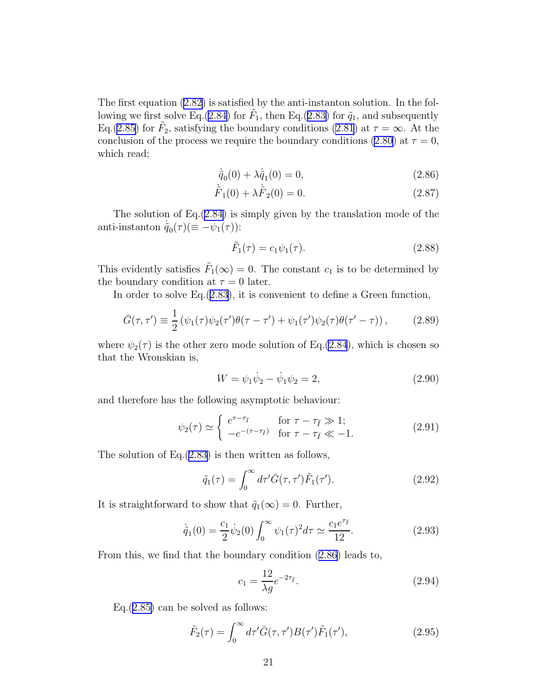<span id="page-21-0"></span>The first equation [\(2.82](#page-20-0)) is satisfied by the anti-instanton solution. In the fol-lowing we first solve Eq.[\(2.84](#page-20-0)) for  $\tilde{F}_1$ , then Eq.([2.83\)](#page-20-0) for  $\tilde{q}_1$ , and subsequently Eq.[\(2.85](#page-20-0)) for  $\tilde{F}_2$ , satisfying the boundary conditions [\(2.81](#page-20-0)) at  $\tau = \infty$ . At the conclusion of the process we require the boundary conditions [\(2.80](#page-20-0)) at  $\tau = 0$ , which read;

$$
\dot{\tilde{q}}_0(0) + \lambda \dot{\tilde{q}}_1(0) = 0, \qquad (2.86)
$$

$$
\dot{\tilde{F}}_1(0) + \lambda \dot{\tilde{F}}_2(0) = 0.
$$
\n(2.87)

The solution of Eq.([2.84\)](#page-20-0) is simply given by the translation mode of the anti-instanton  $\dot{\tilde{q}}_0(\tau) (\equiv -\psi_1(\tau))$ :

$$
\tilde{F}_1(\tau) = c_1 \psi_1(\tau). \tag{2.88}
$$

This evidently satisfies  $\tilde{F}_1(\infty) = 0$ . The constant  $c_1$  is to be determined by the boundary condition at  $\tau = 0$  later.

In order to solve Eq.([2.83\)](#page-20-0), it is convenient to define a Green function,

$$
\bar{G}(\tau,\tau') \equiv \frac{1}{2} \left( \psi_1(\tau) \psi_2(\tau') \theta(\tau - \tau') + \psi_1(\tau') \psi_2(\tau) \theta(\tau' - \tau) \right), \tag{2.89}
$$

where  $\psi_2(\tau)$  is the other zero mode solution of Eq.[\(2.84](#page-20-0)), which is chosen so that the Wronskian is,

$$
W = \psi_1 \dot{\psi}_2 - \dot{\psi}_1 \psi_2 = 2, \qquad (2.90)
$$

and therefore has the following asymptotic behaviour:

$$
\psi_2(\tau) \simeq \begin{cases} e^{\tau - \tau_{\bar{I}}} & \text{for } \tau - \tau_{\bar{I}} \gg 1; \\ -e^{-(\tau - \tau_{\bar{I}})} & \text{for } \tau - \tau_{\bar{I}} \ll -1. \end{cases}
$$
 (2.91)

The solution of Eq. $(2.83)$  $(2.83)$  is then written as follows,

$$
\tilde{q}_1(\tau) = \int_0^\infty d\tau' \bar{G}(\tau, \tau') \tilde{F}_1(\tau'). \tag{2.92}
$$

It is straightforward to show that  $\tilde{q}_1(\infty) = 0$ . Further,

$$
\dot{\tilde{q}}_1(0) = \frac{c_1}{2} \dot{\psi}_2(0) \int_0^\infty \psi_1(\tau)^2 d\tau \simeq \frac{c_1 e^{\tau_{\bar{I}}}}{12}.
$$
\n(2.93)

From this, we find that the boundary condition (2.86) leads to,

$$
c_1 = \frac{12}{\lambda g} e^{-2\tau_{\bar{I}}}.
$$
\n(2.94)

 $Eq.(2.85)$  $Eq.(2.85)$  can be solved as follows:

$$
\tilde{F}_2(\tau) = \int_0^\infty d\tau' \bar{G}(\tau, \tau') B(\tau') \tilde{F}_1(\tau'),\tag{2.95}
$$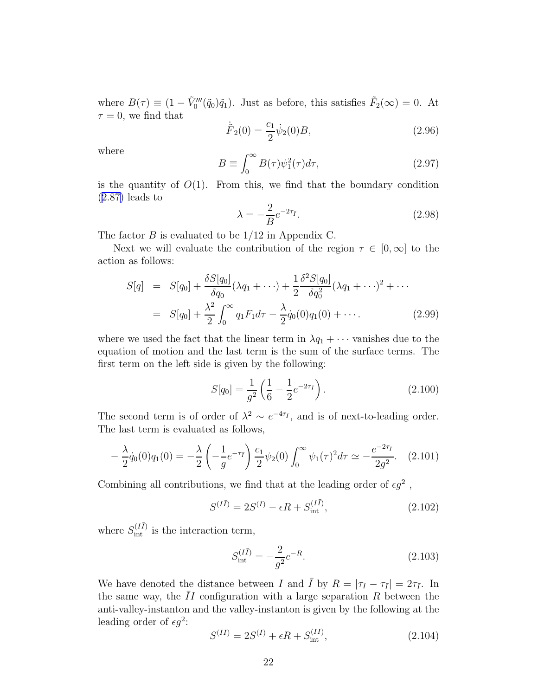<span id="page-22-0"></span>where  $B(\tau) \equiv (1 - \tilde{V}_0'''(\tilde{q}_0)\tilde{q}_1)$ . Just as before, this satisfies  $\tilde{F}_2(\infty) = 0$ . At  $\tau = 0$ , we find that

$$
\dot{\tilde{F}}_2(0) = \frac{c_1}{2} \dot{\psi}_2(0) B, \qquad (2.96)
$$

where

$$
B \equiv \int_0^\infty B(\tau)\psi_1^2(\tau)d\tau,\tag{2.97}
$$

is the quantity of  $O(1)$ . From this, we find that the boundary condition ([2.87\)](#page-21-0) leads to

$$
\lambda = -\frac{2}{B}e^{-2\tau_{\bar{I}}}.\tag{2.98}
$$

The factor  $B$  is evaluated to be  $1/12$  in Appendix C.

Next we will evaluate the contribution of the region  $\tau \in [0,\infty]$  to the action as follows:

$$
S[q] = S[q_0] + \frac{\delta S[q_0]}{\delta q_0} (\lambda q_1 + \cdots) + \frac{1}{2} \frac{\delta^2 S[q_0]}{\delta q_0^2} (\lambda q_1 + \cdots)^2 + \cdots
$$
  
= S[q\_0] + \frac{\lambda^2}{2} \int\_0^\infty q\_1 F\_1 d\tau - \frac{\lambda}{2} \dot{q}\_0(0) q\_1(0) + \cdots. (2.99)

where we used the fact that the linear term in  $\lambda q_1 + \cdots$  vanishes due to the equation of motion and the last term is the sum of the surface terms. The first term on the left side is given by the following:

$$
S[q_0] = \frac{1}{g^2} \left( \frac{1}{6} - \frac{1}{2} e^{-2\tau_{\bar{I}}} \right).
$$
 (2.100)

The second term is of order of  $\lambda^2 \sim e^{-4\tau_{\bar{I}}}$ , and is of next-to-leading order. The last term is evaluated as follows,

$$
-\frac{\lambda}{2}\dot{q}_0(0)q_1(0) = -\frac{\lambda}{2}\left(-\frac{1}{g}e^{-\tau_{\bar{I}}}\right)\frac{c_1}{2}\psi_2(0)\int_0^\infty\psi_1(\tau)^2d\tau \simeq -\frac{e^{-2\tau_{\bar{I}}}}{2g^2}.\tag{2.101}
$$

Combining all contributions, we find that at the leading order of  $\epsilon g^2$ ,

$$
S^{(I\bar{I})} = 2S^{(I)} - \epsilon R + S_{\text{int}}^{(I\bar{I})}, \tag{2.102}
$$

where  $S_{\text{int}}^{(I\bar{I})}$  is the interaction term,

$$
S_{\text{int}}^{(I\bar{I})} = -\frac{2}{g^2}e^{-R}.\tag{2.103}
$$

We have denoted the distance between I and  $\overline{I}$  by  $R = |\tau_I - \tau_{\overline{I}}| = 2\tau_{\overline{I}}$ . In the same way, the  $II$  configuration with a large separation  $R$  between the anti-valley-instanton and the valley-instanton is given by the following at the leading order of  $\epsilon g^2$ :

$$
S^{(\bar{I}I)} = 2S^{(I)} + \epsilon R + S_{\text{int}}^{(\bar{I}I)}, \tag{2.104}
$$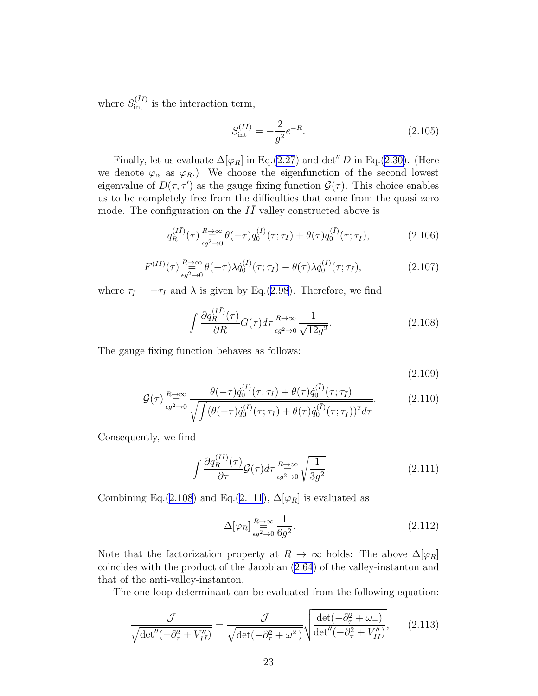where  $S_{\text{int}}^{(\bar{I}I)}$  is the interaction term,

$$
S_{\text{int}}^{(\bar{I}I)} = -\frac{2}{g^2}e^{-R}.\tag{2.105}
$$

Finally, let us evaluate  $\Delta[\varphi_R]$  in Eq.[\(2.27](#page-9-0)) and det<sup>"</sup> D in Eq.([2.30\)](#page-10-0). (Here we denote  $\varphi_{\alpha}$  as  $\varphi_{R}$ .) We choose the eigenfunction of the second lowest eigenvalue of  $D(\tau, \tau')$  as the gauge fixing function  $\mathcal{G}(\tau)$ . This choice enables us to be completely free from the difficulties that come from the quasi zero mode. The configuration on the  $I\bar{I}$  valley constructed above is

$$
q_R^{(I\bar{I})}(\tau) \underset{\epsilon g^2 \to 0}{\overset{R \to \infty}{\rightleftharpoons}} \theta(-\tau) q_0^{(I)}(\tau; \tau_I) + \theta(\tau) q_0^{(\bar{I})}(\tau; \tau_{\bar{I}}), \tag{2.106}
$$

$$
F^{(I\bar{I})}(\tau) \underset{\epsilon g^2 \to 0}{\overset{R \to \infty}{\equiv}} \theta(-\tau) \lambda \dot{q}_0^{(I)}(\tau; \tau_I) - \theta(\tau) \lambda \dot{q}_0^{(\bar{I})}(\tau; \tau_{\bar{I}}), \tag{2.107}
$$

where  $\tau_{\bar{I}} = -\tau_I$  and  $\lambda$  is given by Eq.([2.98\)](#page-22-0). Therefore, we find

$$
\int \frac{\partial q_R^{(I\bar{I})}(\tau)}{\partial R} G(\tau) d\tau \stackrel{R \to \infty}{\underset{\epsilon g^2 \to 0}{\longrightarrow}} \frac{1}{\sqrt{12g^2}}.
$$
\n(2.108)

The gauge fixing function behaves as follows:

(2.109)

$$
\mathcal{G}(\tau) \underset{\epsilon g^2 \to 0}{\overset{n \to \infty}{\longrightarrow}} \frac{\theta(-\tau)\dot{q}_0^{(I)}(\tau;\tau_I) + \theta(\tau)\dot{q}_0^{(\overline{I})}(\tau;\tau_{\overline{I}})}{\sqrt{\int (\theta(-\tau)\dot{q}_0^{(I)}(\tau;\tau_I) + \theta(\tau)\dot{q}_0^{(\overline{I})}(\tau;\tau_{\overline{I}}))^2 d\tau}}.
$$
(2.110)

Consequently, we find

$$
\int \frac{\partial q_R^{(II)}(\tau)}{\partial \tau} \mathcal{G}(\tau) d\tau \stackrel{R \to \infty}{\underset{\epsilon g^2 \to 0}{\to}} \sqrt{\frac{1}{3g^2}}.
$$
\n(2.111)

Combining Eq.(2.108) and Eq.(2.111),  $\Delta[\varphi_R]$  is evaluated as

$$
\Delta[\varphi_R] \stackrel{R \to \infty}{\underset{\epsilon g^2 \to 0}{\equiv}} \frac{1}{6g^2}.
$$
\n(2.112)

Note that the factorization property at  $R \to \infty$  holds: The above  $\Delta[\varphi_R]$ coincides with the product of the Jacobian [\(2.64](#page-18-0)) of the valley-instanton and that of the anti-valley-instanton.

The one-loop determinant can be evaluated from the following equation:

$$
\frac{\mathcal{J}}{\sqrt{\det''(-\partial_\tau^2 + V_{I\bar{I}}'')}} = \frac{\mathcal{J}}{\sqrt{\det(-\partial_\tau^2 + \omega_+^2)}} \sqrt{\frac{\det(-\partial_\tau^2 + \omega_+)}{\det''(-\partial_\tau^2 + V_{I\bar{I}}'')}},\qquad(2.113)
$$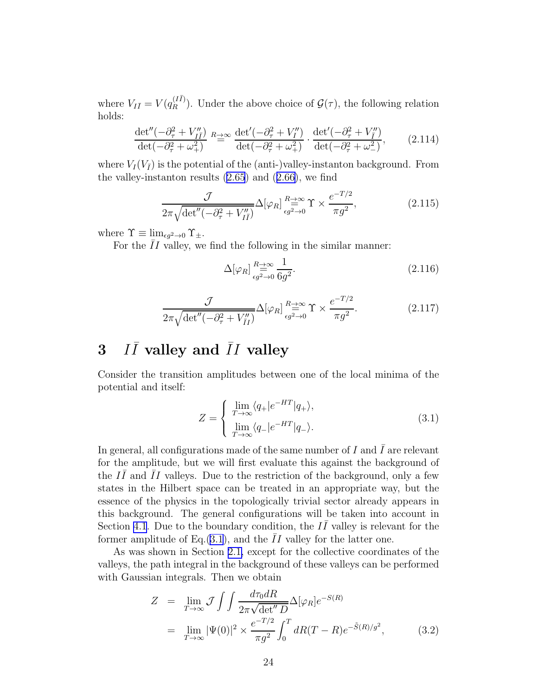<span id="page-24-0"></span>where  $V_{I\bar{I}} = V(q_{R}^{(I\bar{I})})$ . Under the above choice of  $\mathcal{G}(\tau)$ , the following relation holds:

$$
\frac{\det''(-\partial^2_\tau + V''_{I\bar{I}})}{\det(-\partial^2_\tau + \omega^2_+)} \stackrel{R\to\infty}{=} \frac{\det'(-\partial^2_\tau + V''_I)}{\det(-\partial^2_\tau + \omega^2_+)} \cdot \frac{\det'(-\partial^2_\tau + V''_I)}{\det(-\partial^2_\tau + \omega^2_-)},\tag{2.114}
$$

where  $V_I(V_{\bar{I}})$  is the potential of the (anti-)valley-instanton background. From thevalley-instanton results  $(2.65)$  and  $(2.66)$  $(2.66)$ , we find

$$
\frac{\mathcal{J}}{2\pi\sqrt{\det''(-\partial_{\tau}^2 + V_{I\bar{I}}'')}} \Delta[\varphi_R] \underset{\epsilon g^2 \to 0}{\overset{R \to \infty}{\rightleftharpoons}} \Upsilon \times \frac{e^{-T/2}}{\pi g^2},\tag{2.115}
$$

where  $\Upsilon \equiv \lim_{\epsilon q^2 \to 0} \Upsilon_{\pm}$ .

For the  $\overline{I}I$  valley, we find the following in the similar manner:

$$
\Delta[\varphi_R] \stackrel{R \to \infty}{\underset{\epsilon g^2 \to 0}{\rightleftharpoons}} \frac{1}{6g^2}.
$$
\n(2.116)

$$
\frac{\mathcal{J}}{2\pi\sqrt{\det''(-\partial_{\tau}^2 + V''_{II})}} \Delta[\varphi_R] \stackrel{R \to \infty}{\underset{\epsilon g^2 \to 0}{\rightleftharpoons}} \Upsilon \times \frac{e^{-T/2}}{\pi g^2}.
$$
 (2.117)

#### 3 I  $I\bar{I}$  valley and  $\bar{I}I$  valley

Consider the transition amplitudes between one of the local minima of the potential and itself:

$$
Z = \begin{cases} \lim_{T \to \infty} \langle q_+ | e^{-HT} | q_+ \rangle, \\ \lim_{T \to \infty} \langle q_- | e^{-HT} | q_- \rangle. \end{cases} (3.1)
$$

In general, all configurations made of the same number of  $I$  and  $\overline{I}$  are relevant for the amplitude, but we will first evaluate this against the background of the  $I\overline{I}$  and  $\overline{I}I$  valleys. Due to the restriction of the background, only a few states in the Hilbert space can be treated in an appropriate way, but the essence of the physics in the topologically trivial sector already appears in this background. The general configurations will be taken into account in Section [4.1](#page-34-0). Due to the boundary condition, the  $I\bar{I}$  valley is relevant for the former amplitude of Eq.  $(3.1)$ , and the II valley for the latter one.

As was shown in Section [2.1,](#page-5-0) except for the collective coordinates of the valleys, the path integral in the background of these valleys can be performed with Gaussian integrals. Then we obtain

$$
Z = \lim_{T \to \infty} \mathcal{J} \int \int \frac{d\tau_0 dR}{2\pi \sqrt{\det'' D}} \Delta[\varphi_R] e^{-S(R)}
$$
  
= 
$$
\lim_{T \to \infty} |\Psi(0)|^2 \times \frac{e^{-T/2}}{\pi g^2} \int_0^T dR(T - R) e^{-\tilde{S}(R)/g^2},
$$
(3.2)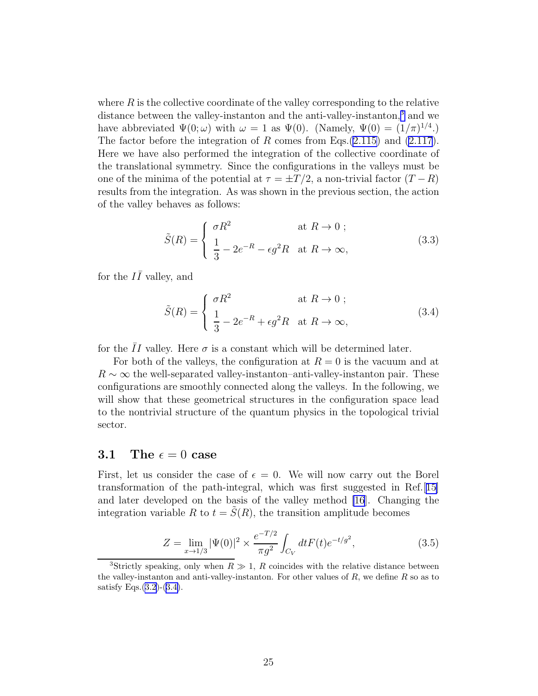<span id="page-25-0"></span>where  $R$  is the collective coordinate of the valley corresponding to the relative distance between the valley-instanton and the anti-valley-instanton,<sup>3</sup> and we have abbreviated  $\Psi(0; \omega)$  with  $\omega = 1$  as  $\Psi(0)$ . (Namely,  $\Psi(0) = (1/\pi)^{1/4}$ .) The factor before the integration of R comes from Eqs.  $(2.115)$  $(2.115)$  and  $(2.117)$ . Here we have also performed the integration of the collective coordinate of the translational symmetry. Since the configurations in the valleys must be one of the minima of the potential at  $\tau = \pm T/2$ , a non-trivial factor  $(T - R)$ results from the integration. As was shown in the previous section, the action of the valley behaves as follows:

$$
\tilde{S}(R) = \begin{cases}\n\sigma R^2 & \text{at } R \to 0 ; \\
\frac{1}{3} - 2e^{-R} - \epsilon g^2 R & \text{at } R \to \infty,\n\end{cases}
$$
\n(3.3)

for the  $I\overline{I}$  valley, and

$$
\tilde{S}(R) = \begin{cases}\n\sigma R^2 & \text{at } R \to 0; \\
\frac{1}{3} - 2e^{-R} + \epsilon g^2 R & \text{at } R \to \infty,\n\end{cases}
$$
\n(3.4)

for the  $\overline{I}I$  valley. Here  $\sigma$  is a constant which will be determined later.

For both of the valleys, the configuration at  $R = 0$  is the vacuum and at  $R \sim \infty$  the well-separated valley-instanton–anti-valley-instanton pair. These configurations are smoothly connected along the valleys. In the following, we will show that these geometrical structures in the configuration space lead to the nontrivial structure of the quantum physics in the topological trivial sector.

### 3.1 The  $\epsilon = 0$  case

First, let us consider the case of  $\epsilon = 0$ . We will now carry out the Borel transformation of the path-integral, which was first suggested in Ref.[[15\]](#page-76-0) and later developed on the basis of the valley method [\[16](#page-76-0)]. Changing the integration variable R to  $t = \tilde{S}(R)$ , the transition amplitude becomes

$$
Z = \lim_{x \to 1/3} |\Psi(0)|^2 \times \frac{e^{-T/2}}{\pi g^2} \int_{C_V} dt F(t) e^{-t/g^2}, \tag{3.5}
$$

<sup>&</sup>lt;sup>3</sup>Strictly speaking, only when  $R \gg 1$ , R coincides with the relative distance between the valley-instanton and anti-valley-instanton. For other values of  $R$ , we define  $R$  so as to satisfy Eqs. $(3.2)$ - $(3.4)$ .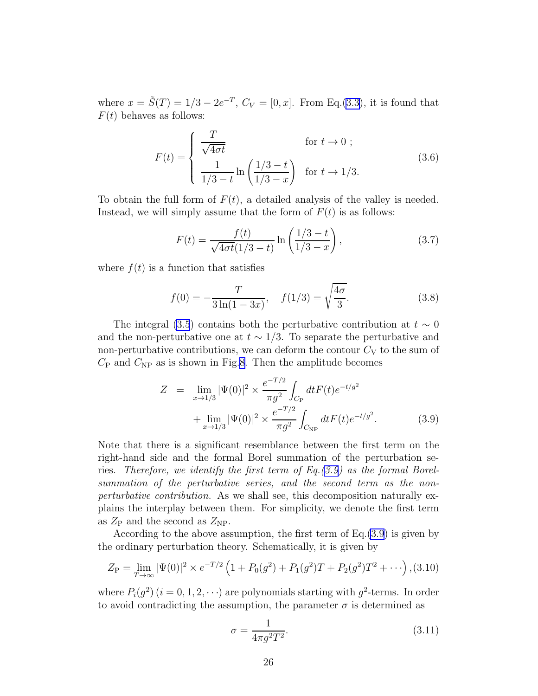<span id="page-26-0"></span>where  $x = \tilde{S}(T) = 1/3 - 2e^{-T}$ ,  $C_V = [0, x]$ . From Eq.[\(3.3](#page-25-0)), it is found that  $F(t)$  behaves as follows:

$$
F(t) = \begin{cases} \frac{T}{\sqrt{4\sigma t}} & \text{for } t \to 0 ;\\ \frac{1}{1/3 - t} \ln\left(\frac{1/3 - t}{1/3 - x}\right) & \text{for } t \to 1/3. \end{cases}
$$
(3.6)

To obtain the full form of  $F(t)$ , a detailed analysis of the valley is needed. Instead, we will simply assume that the form of  $F(t)$  is as follows:

$$
F(t) = \frac{f(t)}{\sqrt{4\sigma t}(1/3 - t)} \ln\left(\frac{1/3 - t}{1/3 - x}\right),
$$
\n(3.7)

where  $f(t)$  is a function that satisfies

$$
f(0) = -\frac{T}{3\ln(1 - 3x)}, \quad f(1/3) = \sqrt{\frac{4\sigma}{3}}.
$$
 (3.8)

The integral [\(3.5](#page-25-0)) contains both the perturbative contribution at  $t \sim 0$ and the non-perturbative one at  $t \sim 1/3$ . To separate the perturbative and non-perturbative contributions, we can deform the contour  $C_V$  to the sum of  $C_{\rm P}$  and  $C_{\rm NP}$  as is shown in Fig.[8.](#page-27-0) Then the amplitude becomes

$$
Z = \lim_{x \to 1/3} |\Psi(0)|^2 \times \frac{e^{-T/2}}{\pi g^2} \int_{C_{\rm P}} dt F(t) e^{-t/g^2} + \lim_{x \to 1/3} |\Psi(0)|^2 \times \frac{e^{-T/2}}{\pi g^2} \int_{C_{\rm NP}} dt F(t) e^{-t/g^2}.
$$
 (3.9)

Note that there is a significant resemblance between the first term on the right-hand side and the formal Borel summation of the perturbation series. Therefore, we identify the first term of  $Eq.(3.9)$  as the formal Borelsummation of the perturbative series, and the second term as the nonperturbative contribution. As we shall see, this decomposition naturally explains the interplay between them. For simplicity, we denote the first term as  $Z_{\rm P}$  and the second as  $Z_{\rm NP}$ .

According to the above assumption, the first term of Eq.(3.9) is given by the ordinary perturbation theory. Schematically, it is given by

$$
Z_{\rm P} = \lim_{T \to \infty} |\Psi(0)|^2 \times e^{-T/2} \left( 1 + P_0(g^2) + P_1(g^2)T + P_2(g^2)T^2 + \cdots \right), (3.10)
$$

where  $P_i(g^2)$   $(i = 0, 1, 2, \cdots)$  are polynomials starting with  $g^2$ -terms. In order to avoid contradicting the assumption, the parameter  $\sigma$  is determined as

$$
\sigma = \frac{1}{4\pi g^2 T^2}.\tag{3.11}
$$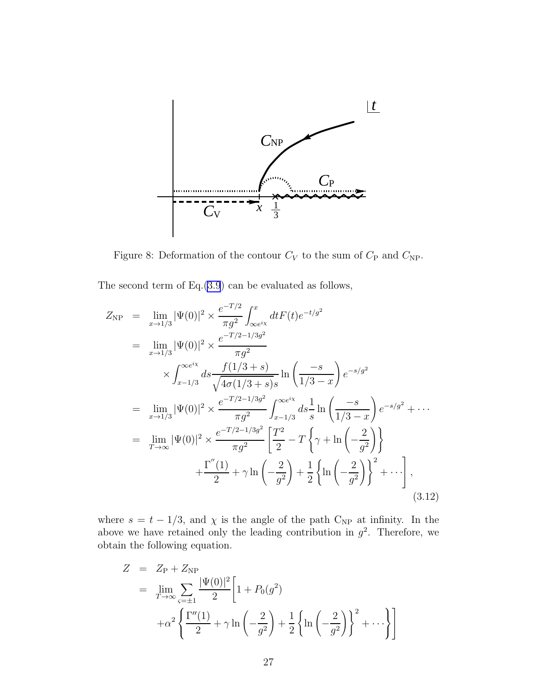<span id="page-27-0"></span>

Figure 8: Deformation of the contour  $C_V$  to the sum of  $C_P$  and  $C_{NP}$ .

The second term of Eq.[\(3.9](#page-26-0)) can be evaluated as follows,

$$
Z_{\rm NP} = \lim_{x \to 1/3} |\Psi(0)|^2 \times \frac{e^{-T/2}}{\pi g^2} \int_{\infty e^{i\chi}}^x dt F(t) e^{-t/g^2}
$$
  
\n
$$
= \lim_{x \to 1/3} |\Psi(0)|^2 \times \frac{e^{-T/2 - 1/3g^2}}{\pi g^2}
$$
  
\n
$$
\times \int_{x - 1/3}^{\infty e^{i\chi}} ds \frac{f(1/3 + s)}{\sqrt{4\sigma(1/3 + s)}s} \ln\left(\frac{-s}{1/3 - x}\right) e^{-s/g^2}
$$
  
\n
$$
= \lim_{x \to 1/3} |\Psi(0)|^2 \times \frac{e^{-T/2 - 1/3g^2}}{\pi g^2} \int_{x - 1/3}^{\infty e^{i\chi}} ds \frac{1}{s} \ln\left(\frac{-s}{1/3 - x}\right) e^{-s/g^2} + \cdots
$$
  
\n
$$
= \lim_{T \to \infty} |\Psi(0)|^2 \times \frac{e^{-T/2 - 1/3g^2}}{\pi g^2} \left[\frac{T^2}{2} - T \left\{\gamma + \ln\left(-\frac{2}{g^2}\right)\right\}
$$
  
\n
$$
+ \frac{\Gamma''(1)}{2} + \gamma \ln\left(-\frac{2}{g^2}\right) + \frac{1}{2} \left\{\ln\left(-\frac{2}{g^2}\right)\right\}^2 + \cdots \right],
$$
\n(3.12)

where  $s = t - 1/3$ , and  $\chi$  is the angle of the path C<sub>NP</sub> at infinity. In the above we have retained only the leading contribution in  $g^2$ . Therefore, we obtain the following equation.

$$
Z = Z_{P} + Z_{NP}
$$
  
=  $\lim_{T \to \infty} \sum_{\varsigma = \pm 1} \frac{|\Psi(0)|^{2}}{2} \left[ 1 + P_{0}(g^{2}) + \alpha^{2} \left\{ \frac{\Gamma''(1)}{2} + \gamma \ln \left( -\frac{2}{g^{2}} \right) + \frac{1}{2} \left\{ \ln \left( -\frac{2}{g^{2}} \right) \right\}^{2} + \cdots \right\} \right]$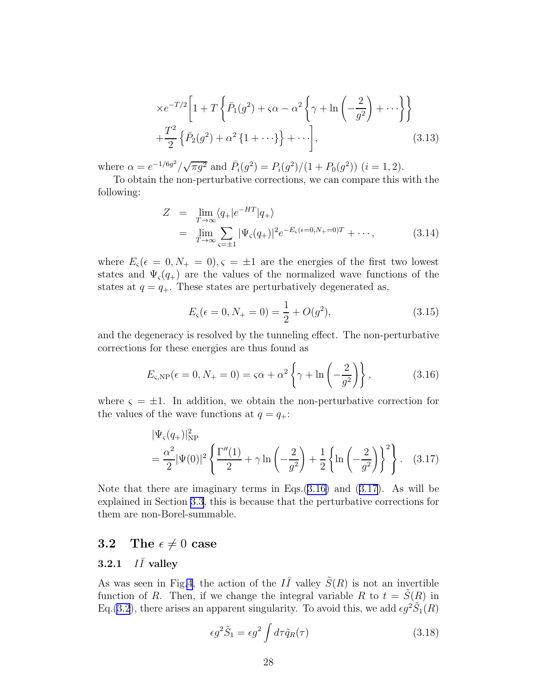<span id="page-28-0"></span>
$$
\times e^{-T/2} \left[ 1 + T \left\{ \bar{P}_1(g^2) + \varsigma \alpha - \alpha^2 \left\{ \gamma + \ln \left( -\frac{2}{g^2} \right) + \cdots \right\} \right\} + \frac{T^2}{2} \left\{ \bar{P}_2(g^2) + \alpha^2 \left\{ 1 + \cdots \right\} \right\} + \cdots \right],
$$
\n(3.13)

where  $\alpha = e^{-1/6g^2}/\sqrt{\pi g^2}$  and  $\bar{P}_i(g^2) = P_i(g^2)/(1 + P_0(g^2))$   $(i = 1, 2)$ .

To obtain the non-perturbative corrections, we can compare this with the following:

$$
Z = \lim_{T \to \infty} \langle q_+ | e^{-HT} | q_+ \rangle
$$
  
= 
$$
\lim_{T \to \infty} \sum_{\varsigma = \pm 1} |\Psi_{\varsigma}(q_+)|^2 e^{-E_{\varsigma}(\epsilon = 0, N_+ = 0)T} + \cdots,
$$
 (3.14)

where  $E_{\varsigma}(\epsilon = 0, N_{+} = 0), \varsigma = \pm 1$  are the energies of the first two lowest states and  $\Psi_{\varsigma}(q_{+})$  are the values of the normalized wave functions of the states at  $q = q_+$ . These states are perturbatively degenerated as,

$$
E_{\varsigma}(\epsilon = 0, N_{+} = 0) = \frac{1}{2} + O(g^{2}), \qquad (3.15)
$$

and the degeneracy is resolved by the tunneling effect. The non-perturbative corrections for these energies are thus found as

$$
E_{\varsigma, \text{NP}}(\epsilon = 0, N_{+} = 0) = \varsigma \alpha + \alpha^{2} \left\{ \gamma + \ln \left( -\frac{2}{g^{2}} \right) \right\},\tag{3.16}
$$

where  $\zeta = \pm 1$ . In addition, we obtain the non-perturbative correction for the values of the wave functions at  $q = q_+$ :

$$
|\Psi_{\varsigma}(q_{+})|_{\rm NP}^2
$$
  
=  $\frac{\alpha^2}{2} |\Psi(0)|^2 \left\{ \frac{\Gamma''(1)}{2} + \gamma \ln \left( -\frac{2}{g^2} \right) + \frac{1}{2} \left\{ \ln \left( -\frac{2}{g^2} \right) \right\}^2 \right\}.$  (3.17)

Note that there are imaginary terms in Eqs.(3.16) and (3.17). As will be explained in Section [3.3](#page-31-0), this is because that the perturbative corrections for them are non-Borel-summable.

## 3.2 The  $\epsilon \neq 0$  case

#### $3.2.1$  $I\bar{I}$  valley

As was seen in Fig[.4](#page-12-0), the action of the  $I\bar{I}$  valley  $\tilde{S}(R)$  is not an invertible function of R. Then, if we change the integral variable R to  $t = \tilde{S}(R)$  in Eq.[\(3.2](#page-24-0)), there arises an apparent singularity. To avoid this, we add  $\epsilon g^2 \tilde{S}_1(R)$ 

$$
\epsilon g^2 \tilde{S}_1 = \epsilon g^2 \int d\tau \tilde{q}_R(\tau) \tag{3.18}
$$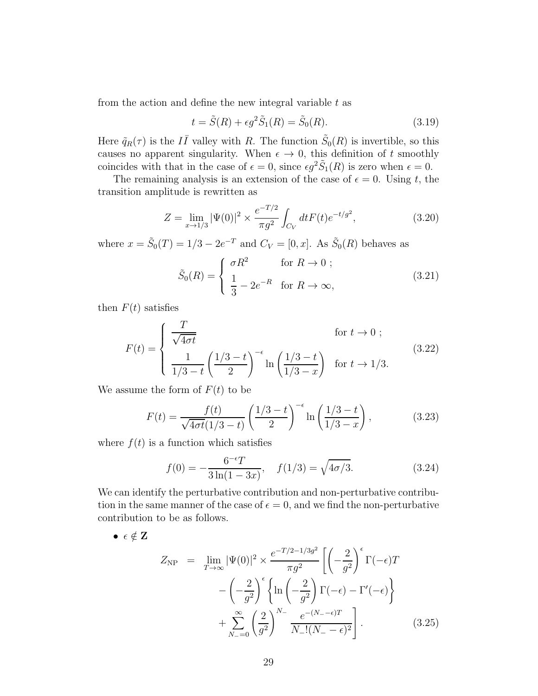<span id="page-29-0"></span>from the action and define the new integral variable  $t$  as

$$
t = \tilde{S}(R) + \epsilon g^2 \tilde{S}_1(R) = \tilde{S}_0(R). \tag{3.19}
$$

Here  $\tilde{q}_R(\tau)$  is the  $I\bar{I}$  valley with R. The function  $\tilde{S}_0(R)$  is invertible, so this causes no apparent singularity. When  $\epsilon \to 0$ , this definition of t smoothly coincides with that in the case of  $\epsilon = 0$ , since  $\epsilon g^2 \tilde{S}_1(R)$  is zero when  $\epsilon = 0$ .

The remaining analysis is an extension of the case of  $\epsilon = 0$ . Using t, the transition amplitude is rewritten as

$$
Z = \lim_{x \to 1/3} |\Psi(0)|^2 \times \frac{e^{-T/2}}{\pi g^2} \int_{C_V} dt F(t) e^{-t/g^2}, \tag{3.20}
$$

where  $x = \tilde{S}_0(T) = 1/3 - 2e^{-T}$  and  $C_V = [0, x]$ . As  $\tilde{S}_0(R)$  behaves as

$$
\tilde{S}_0(R) = \begin{cases}\n\sigma R^2 & \text{for } R \to 0; \\
\frac{1}{3} - 2e^{-R} & \text{for } R \to \infty,\n\end{cases}
$$
\n(3.21)

then  $F(t)$  satisfies

$$
F(t) = \begin{cases} \frac{T}{\sqrt{4\sigma t}} & \text{for } t \to 0; \\ \frac{1}{1/3 - t} \left(\frac{1/3 - t}{2}\right)^{-\epsilon} \ln\left(\frac{1/3 - t}{1/3 - x}\right) & \text{for } t \to 1/3. \end{cases}
$$
(3.22)

We assume the form of  $F(t)$  to be

$$
F(t) = \frac{f(t)}{\sqrt{4\sigma t}(1/3 - t)} \left(\frac{1/3 - t}{2}\right)^{-\epsilon} \ln\left(\frac{1/3 - t}{1/3 - x}\right),\tag{3.23}
$$

where  $f(t)$  is a function which satisfies

$$
f(0) = -\frac{6^{-\epsilon}T}{3\ln(1-3x)}, \quad f(1/3) = \sqrt{4\sigma/3}.
$$
 (3.24)

We can identify the perturbative contribution and non-perturbative contribution in the same manner of the case of  $\epsilon = 0$ , and we find the non-perturbative contribution to be as follows.

$$
\bullet \epsilon \notin \mathbf{Z}
$$

$$
Z_{\rm NP} = \lim_{T \to \infty} |\Psi(0)|^2 \times \frac{e^{-T/2 - 1/3g^2}}{\pi g^2} \left[ \left( -\frac{2}{g^2} \right)^{\epsilon} \Gamma(-\epsilon) T - \left( -\frac{2}{g^2} \right)^{\epsilon} \left\{ \ln \left( -\frac{2}{g^2} \right) \Gamma(-\epsilon) - \Gamma'(-\epsilon) \right\} + \sum_{N=0}^{\infty} \left( \frac{2}{g^2} \right)^{N-} \frac{e^{-(N-1)\epsilon}}{N-!(N-1)\epsilon} \right].
$$
\n(3.25)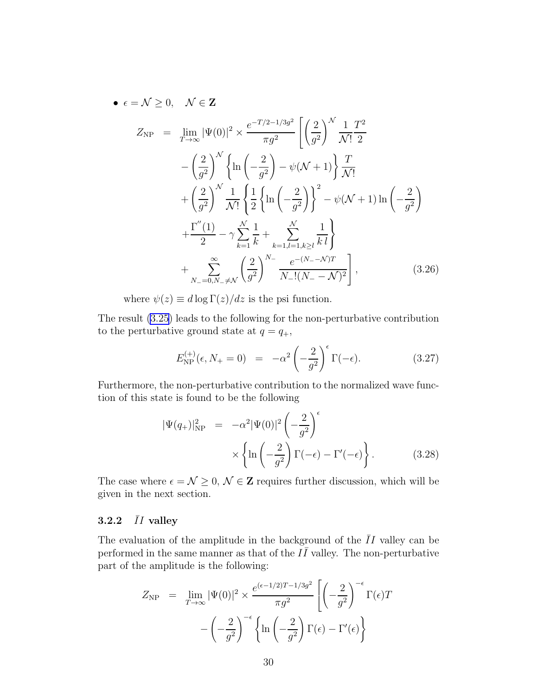<span id="page-30-0"></span>• 
$$
\epsilon = \mathcal{N} \ge 0, \quad \mathcal{N} \in \mathbf{Z}
$$
  
\n
$$
Z_{\rm NP} = \lim_{T \to \infty} |\Psi(0)|^2 \times \frac{e^{-T/2 - 1/3g^2}}{\pi g^2} \left[ \left( \frac{2}{g^2} \right)^{\mathcal{N}} \frac{1}{\mathcal{N}!} \frac{T^2}{2} - \left( \frac{2}{g^2} \right)^{\mathcal{N}} \left\{ \ln \left( -\frac{2}{g^2} \right) - \psi(\mathcal{N} + 1) \right\} \frac{T}{\mathcal{N}!} + \left( \frac{2}{g^2} \right)^{\mathcal{N}} \frac{1}{\mathcal{N}!} \left\{ \frac{1}{2} \left\{ \ln \left( -\frac{2}{g^2} \right) \right\}^2 - \psi(\mathcal{N} + 1) \ln \left( -\frac{2}{g^2} \right) + \frac{\Gamma''(1)}{2} - \gamma \sum_{k=1}^{\mathcal{N}} \frac{1}{k} + \sum_{k=1, l=1, k \ge l}^{\mathcal{N}} \frac{1}{k l} \right\} + \sum_{N=0, N= \neq \mathcal{N}}^{\infty} \left( \frac{2}{g^2} \right)^{N-} \frac{e^{-(N- - \mathcal{N})T}}{N - \frac{1}{2} (N - \mathcal{N})^2} , \qquad (3.26)
$$

where  $\psi(z) \equiv d \log \Gamma(z) / dz$  is the psi function.

The result [\(3.25](#page-29-0)) leads to the following for the non-perturbative contribution to the perturbative ground state at  $q = q_+$ ,

$$
E_{\rm NP}^{(+)}(\epsilon, N_+ = 0) = -\alpha^2 \left(-\frac{2}{g^2}\right)^{\epsilon} \Gamma(-\epsilon). \tag{3.27}
$$

Furthermore, the non-perturbative contribution to the normalized wave function of this state is found to be the following

$$
|\Psi(q_{+})|_{\text{NP}}^{2} = -\alpha^{2} |\Psi(0)|^{2} \left( -\frac{2}{g^{2}} \right)^{\epsilon} \times \left\{ \ln \left( -\frac{2}{g^{2}} \right) \Gamma(-\epsilon) - \Gamma'(-\epsilon) \right\}.
$$
 (3.28)

The case where  $\epsilon = \mathcal{N} \geq 0$ ,  $\mathcal{N} \in \mathbf{Z}$  requires further discussion, which will be given in the next section.

## 3.2.2  $\bar{I}I$  valley

The evaluation of the amplitude in the background of the  $\overline{I}I$  valley can be performed in the same manner as that of the  $I\bar{I}$  valley. The non-perturbative part of the amplitude is the following:

$$
Z_{\rm NP} = \lim_{T \to \infty} |\Psi(0)|^2 \times \frac{e^{(\epsilon - 1/2)T - 1/3g^2}}{\pi g^2} \left[ \left( -\frac{2}{g^2} \right)^{-\epsilon} \Gamma(\epsilon) T - \left( -\frac{2}{g^2} \right)^{-\epsilon} \left\{ \ln \left( -\frac{2}{g^2} \right) \Gamma(\epsilon) - \Gamma'(\epsilon) \right\} \right]
$$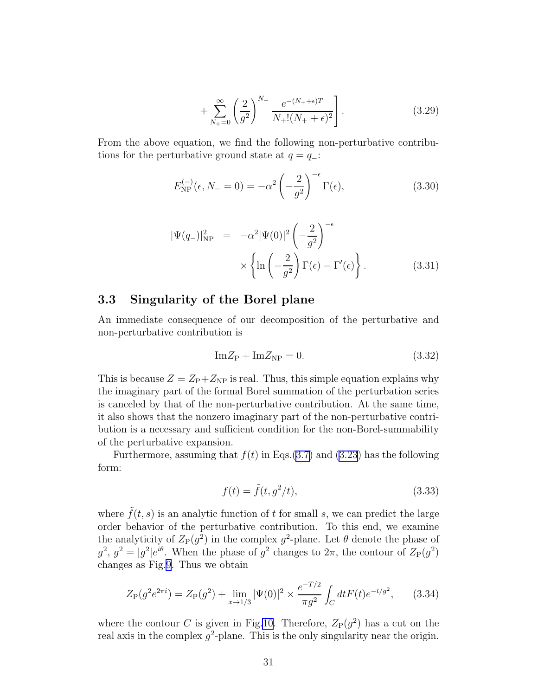$$
+\sum_{N_{+}=0}^{\infty} \left(\frac{2}{g^{2}}\right)^{N_{+}} \frac{e^{-(N_{+}+\epsilon)T}}{N_{+}!(N_{+}+\epsilon)^{2}}\bigg].
$$
\n(3.29)

<span id="page-31-0"></span>From the above equation, we find the following non-perturbative contributions for the perturbative ground state at  $q = q_-\mathbf{.}$ 

$$
E_{\rm NP}^{(-)}(\epsilon, N_- = 0) = -\alpha^2 \left(-\frac{2}{g^2}\right)^{-\epsilon} \Gamma(\epsilon),\tag{3.30}
$$

$$
|\Psi(q_{-})|_{\rm NP}^2 = -\alpha^2 |\Psi(0)|^2 \left(-\frac{2}{g^2}\right)^{-\epsilon} \times \left\{\ln\left(-\frac{2}{g^2}\right) \Gamma(\epsilon) - \Gamma'(\epsilon)\right\}.
$$
 (3.31)

## 3.3 Singularity of the Borel plane

An immediate consequence of our decomposition of the perturbative and non-perturbative contribution is

$$
Im Z_{P} + Im Z_{NP} = 0. \qquad (3.32)
$$

This is because  $Z = Z_{\rm P} + Z_{\rm NP}$  is real. Thus, this simple equation explains why the imaginary part of the formal Borel summation of the perturbation series is canceled by that of the non-perturbative contribution. At the same time, it also shows that the nonzero imaginary part of the non-perturbative contribution is a necessary and sufficient condition for the non-Borel-summability of the perturbative expansion.

Furthermore, assuming that  $f(t)$  in Eqs.([3.7\)](#page-26-0) and [\(3.23](#page-29-0)) has the following form:

$$
f(t) = \tilde{f}(t, g^2/t),\tag{3.33}
$$

where  $\tilde{f}(t, s)$  is an analytic function of t for small s, we can predict the large order behavior of the perturbative contribution. To this end, we examine the analyticity of  $Z_P(g^2)$  in the complex  $g^2$ -plane. Let  $\theta$  denote the phase of  $g^2$ ,  $g^2 = |g^2|e^{i\theta}$ . When the phase of  $g^2$  changes to  $2\pi$ , the contour of  $Z_P(g^2)$ changes as Fig[.9](#page-32-0). Thus we obtain

$$
Z_{\rm P}(g^2 e^{2\pi i}) = Z_{\rm P}(g^2) + \lim_{x \to 1/3} |\Psi(0)|^2 \times \frac{e^{-T/2}}{\pi g^2} \int_C dt F(t) e^{-t/g^2}, \qquad (3.34)
$$

where the contour C is given in Fig[.10](#page-33-0). Therefore,  $Z_{P}(g^{2})$  has a cut on the real axis in the complex  $g^2$ -plane. This is the only singularity near the origin.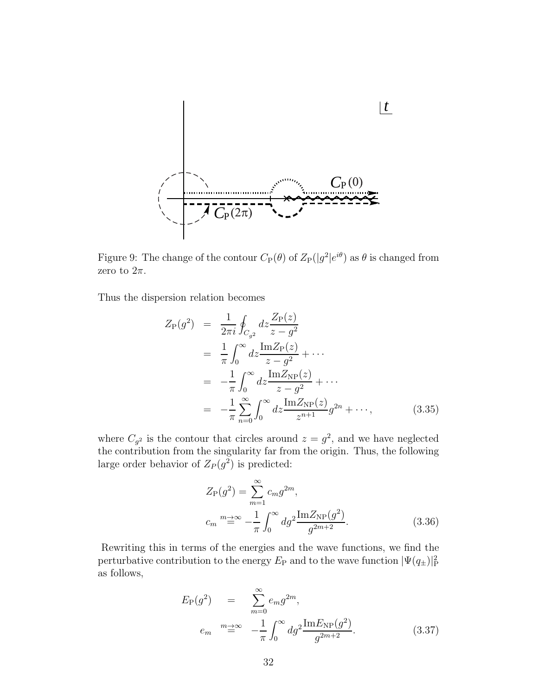<span id="page-32-0"></span>

Figure 9: The change of the contour  $C_{\rm P}(\theta)$  of  $Z_{\rm P}(|g^2|e^{i\theta})$  as  $\theta$  is changed from zero to  $2\pi$ .

Thus the dispersion relation becomes

$$
Z_{P}(g^{2}) = \frac{1}{2\pi i} \oint_{C_{g^{2}}} dz \frac{Z_{P}(z)}{z - g^{2}}
$$
  
= 
$$
\frac{1}{\pi} \int_{0}^{\infty} dz \frac{\text{Im} Z_{P}(z)}{z - g^{2}} + \cdots
$$
  
= 
$$
-\frac{1}{\pi} \int_{0}^{\infty} dz \frac{\text{Im} Z_{NP}(z)}{z - g^{2}} + \cdots
$$
  
= 
$$
-\frac{1}{\pi} \sum_{n=0}^{\infty} \int_{0}^{\infty} dz \frac{\text{Im} Z_{NP}(z)}{z^{n+1}} g^{2n} + \cdots,
$$
(3.35)

where  $C_{g^2}$  is the contour that circles around  $z = g^2$ , and we have neglected the contribution from the singularity far from the origin. Thus, the following large order behavior of  $Z_P(g^2)$  is predicted:

$$
Z_{P}(g^{2}) = \sum_{m=1}^{\infty} c_{m}g^{2m},
$$
  

$$
c_{m} \stackrel{m \to \infty}{=} -\frac{1}{\pi} \int_{0}^{\infty} dg^{2} \frac{\text{Im}Z_{\text{NP}}(g^{2})}{g^{2m+2}}.
$$
 (3.36)

Rewriting this in terms of the energies and the wave functions, we find the perturbative contribution to the energy  $E_P$  and to the wave function  $|\Psi(q_\pm)|_P^2$ as follows,

$$
E_{\rm P}(g^2) = \sum_{m=0}^{\infty} e_m g^{2m},
$$
  
\n
$$
e_m \stackrel{m \to \infty}{=} -\frac{1}{\pi} \int_0^{\infty} dg^2 \frac{\text{Im} E_{\rm NP}(g^2)}{g^{2m+2}}.
$$
 (3.37)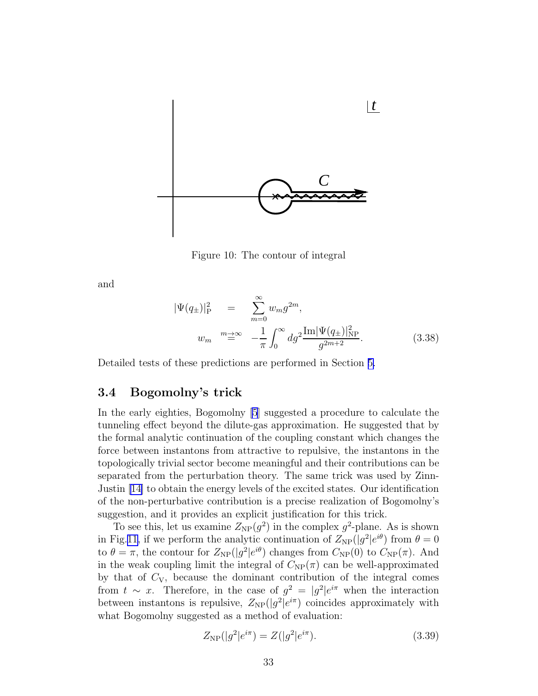<span id="page-33-0"></span>

Figure 10: The contour of integral

and

$$
|\Psi(q_{\pm})|_{P}^{2} = \sum_{m=0}^{\infty} w_{m} g^{2m},
$$
  

$$
w_{m} \stackrel{m \to \infty}{=} -\frac{1}{\pi} \int_{0}^{\infty} dg^{2} \frac{\text{Im} |\Psi(q_{\pm})|_{NP}^{2}}{g^{2m+2}}.
$$
 (3.38)

Detailed tests of these predictions are performed in Section [5.](#page-40-0)

### 3.4 Bogomolny's trick

In the early eighties, Bogomolny [\[5](#page-76-0)] suggested a procedure to calculate the tunneling effect beyond the dilute-gas approximation. He suggested that by the formal analytic continuation of the coupling constant which changes the force between instantons from attractive to repulsive, the instantons in the topologically trivial sector become meaningful and their contributions can be separated from the perturbation theory. The same trick was used by Zinn-Justin [\[14\]](#page-76-0) to obtain the energy levels of the excited states. Our identification of the non-perturbative contribution is a precise realization of Bogomolny's suggestion, and it provides an explicit justification for this trick.

To see this, let us examine  $Z_{NP}(g^2)$  in the complex  $g^2$ -plane. As is shown in Fig.[11,](#page-34-0) if we perform the analytic continuation of  $Z_{NP}(|g^2|e^{i\theta})$  from  $\theta = 0$ to  $\theta = \pi$ , the contour for  $Z_{\rm NP}(|g^2|e^{i\theta})$  changes from  $C_{\rm NP}(0)$  to  $C_{\rm NP}(\pi)$ . And in the weak coupling limit the integral of  $C_{NP}(\pi)$  can be well-approximated by that of  $C_V$ , because the dominant contribution of the integral comes from  $t \sim x$ . Therefore, in the case of  $g^2 = |g^2|e^{i\pi}$  when the interaction between instantons is repulsive,  $Z_{\rm NP}(|g^2|e^{i\pi})$  coincides approximately with what Bogomolny suggested as a method of evaluation:

$$
Z_{\rm NP}(|g^2|e^{i\pi}) = Z(|g^2|e^{i\pi}).\tag{3.39}
$$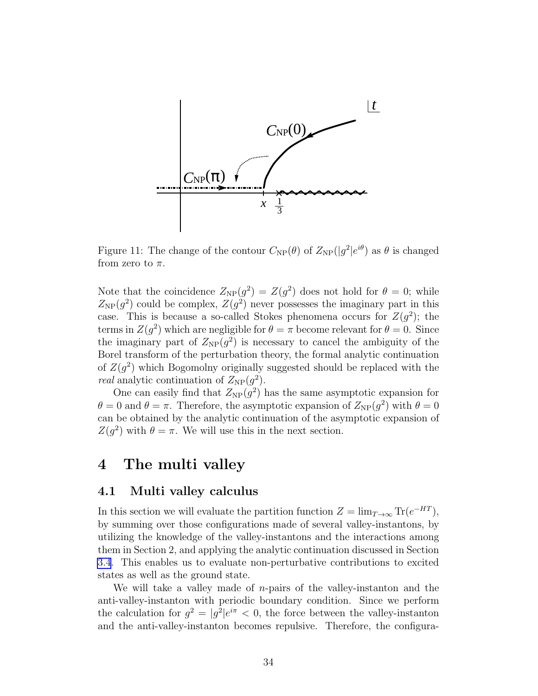<span id="page-34-0"></span>

Figure 11: The change of the contour  $C_{\rm NP}(\theta)$  of  $Z_{\rm NP}(|g^2|e^{i\theta})$  as  $\theta$  is changed from zero to  $\pi$ .

Note that the coincidence  $Z_{\rm NP}(g^2) = Z(g^2)$  does not hold for  $\theta = 0$ ; while  $Z_{\rm NP}(g^2)$  could be complex,  $Z(g^2)$  never possesses the imaginary part in this case. This is because a so-called Stokes phenomena occurs for  $Z(g^2)$ ; the terms in  $Z(g^2)$  which are negligible for  $\theta = \pi$  become relevant for  $\theta = 0$ . Since the imaginary part of  $Z_{NP}(g^2)$  is necessary to cancel the ambiguity of the Borel transform of the perturbation theory, the formal analytic continuation of  $Z(g^2)$  which Bogomolny originally suggested should be replaced with the *real* analytic continuation of  $Z_{\rm NP}(g^2)$ .

One can easily find that  $Z_{NP}(g^2)$  has the same asymptotic expansion for  $\theta = 0$  and  $\theta = \pi$ . Therefore, the asymptotic expansion of  $Z_{NP}(g^2)$  with  $\theta = 0$ can be obtained by the analytic continuation of the asymptotic expansion of  $Z(g^2)$  with  $\theta = \pi$ . We will use this in the next section.

## 4 The multi valley

## 4.1 Multi valley calculus

In this section we will evaluate the partition function  $Z = \lim_{T \to \infty} \text{Tr}(e^{-HT})$ , by summing over those configurations made of several valley-instantons, by utilizing the knowledge of the valley-instantons and the interactions among them in Section 2, and applying the analytic continuation discussed in Section [3.4](#page-33-0). This enables us to evaluate non-perturbative contributions to excited states as well as the ground state.

We will take a valley made of  $n$ -pairs of the valley-instanton and the anti-valley-instanton with periodic boundary condition. Since we perform the calculation for  $g^2 = |g^2|e^{i\pi} < 0$ , the force between the valley-instanton and the anti-valley-instanton becomes repulsive. Therefore, the configura-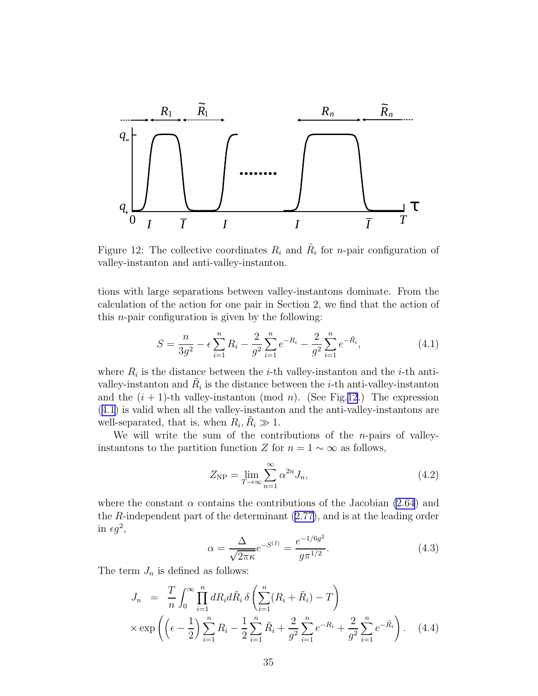

Figure 12: The collective coordinates  $R_i$  and  $\tilde{R}_i$  for *n*-pair configuration of valley-instanton and anti-valley-instanton.

tions with large separations between valley-instantons dominate. From the calculation of the action for one pair in Section 2, we find that the action of this n-pair configuration is given by the following:

$$
S = \frac{n}{3g^2} - \epsilon \sum_{i=1}^{n} R_i - \frac{2}{g^2} \sum_{i=1}^{n} e^{-R_i} - \frac{2}{g^2} \sum_{i=1}^{n} e^{-\tilde{R_i}},
$$
(4.1)

where  $R_i$  is the distance between the *i*-th valley-instanton and the *i*-th antivalley-instanton and  $\tilde{R}_i$  is the distance between the *i*-th anti-valley-instanton and the  $(i + 1)$ -th valley-instanton (mod n). (See Fig.12.) The expression (4.1) is valid when all the valley-instanton and the anti-valley-instantons are well-separated, that is, when  $R_i, \tilde{R}_i \gg 1$ .

We will write the sum of the contributions of the  $n$ -pairs of valleyinstantons to the partition function Z for  $n = 1 \sim \infty$  as follows,

$$
Z_{\rm NP} = \lim_{T \to \infty} \sum_{n=1}^{\infty} \alpha^{2n} J_n,\tag{4.2}
$$

where the constant  $\alpha$  contains the contributions of the Jacobian [\(2.64](#page-18-0)) and the R-independent part of the determinant([2.77\)](#page-19-0), and is at the leading order in  $\epsilon g^2$ ,

$$
\alpha = \frac{\Delta}{\sqrt{2\pi\kappa}}e^{-S^{(I)}} = \frac{e^{-1/6g^2}}{g\pi^{1/2}}.
$$
\n(4.3)

The term  $J_n$  is defined as follows:

$$
J_n = \frac{T}{n} \int_0^\infty \prod_{i=1}^n dR_i d\tilde{R}_i \, \delta \left( \sum_{i=1}^n (R_i + \tilde{R}_i) - T \right) \times \exp \left( \left( \epsilon - \frac{1}{2} \right) \sum_{i=1}^n R_i - \frac{1}{2} \sum_{i=1}^n \tilde{R}_i + \frac{2}{g^2} \sum_{i=1}^n e^{-R_i} + \frac{2}{g^2} \sum_{i=1}^n e^{-\tilde{R}_i} \right). \tag{4.4}
$$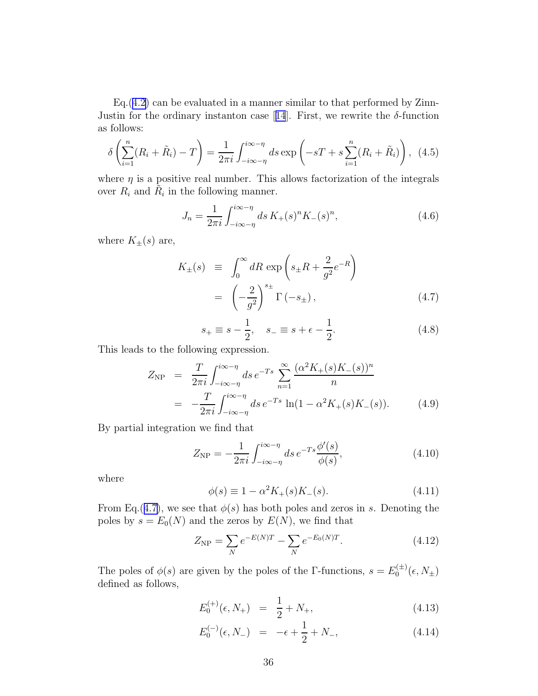<span id="page-36-0"></span>Eq.([4.2\)](#page-35-0) can be evaluated in a manner similar to that performed by Zinn-Justinfor the ordinary instanton case [[14](#page-76-0)]. First, we rewrite the  $\delta$ -function as follows:

$$
\delta\left(\sum_{i=1}^{n}(R_i+\tilde{R}_i)-T\right)=\frac{1}{2\pi i}\int_{-i\infty-\eta}^{i\infty-\eta}ds\exp\left(-sT+s\sum_{i=1}^{n}(R_i+\tilde{R}_i)\right),\tag{4.5}
$$

where  $\eta$  is a positive real number. This allows factorization of the integrals over  $R_i$  and  $\tilde{R}_i$  in the following manner.

$$
J_n = \frac{1}{2\pi i} \int_{-i\infty - \eta}^{i\infty - \eta} ds \, K_+(s)^n K_-(s)^n,
$$
\n(4.6)

where  $K_{\pm}(s)$  are,

$$
K_{\pm}(s) \equiv \int_0^{\infty} dR \exp\left(s_{\pm}R + \frac{2}{g^2}e^{-R}\right)
$$

$$
= \left(-\frac{2}{g^2}\right)^{s_{\pm}} \Gamma\left(-s_{\pm}\right), \tag{4.7}
$$

$$
s_{+} \equiv s - \frac{1}{2}, \quad s_{-} \equiv s + \epsilon - \frac{1}{2}.
$$
 (4.8)

This leads to the following expression.

$$
Z_{\rm NP} = \frac{T}{2\pi i} \int_{-i\infty - \eta}^{i\infty - \eta} ds \, e^{-Ts} \sum_{n=1}^{\infty} \frac{(\alpha^2 K_+(s) K_-(s))^n}{n}
$$
  
= 
$$
-\frac{T}{2\pi i} \int_{-i\infty - \eta}^{i\infty - \eta} ds \, e^{-Ts} \ln(1 - \alpha^2 K_+(s) K_-(s)). \tag{4.9}
$$

By partial integration we find that

$$
Z_{\rm NP} = -\frac{1}{2\pi i} \int_{-i\infty - \eta}^{i\infty - \eta} ds \, e^{-Ts} \frac{\phi'(s)}{\phi(s)},\tag{4.10}
$$

where

$$
\phi(s) \equiv 1 - \alpha^2 K_+(s) K_-(s). \tag{4.11}
$$

From Eq.(4.7), we see that  $\phi(s)$  has both poles and zeros in s. Denoting the poles by  $s = E_0(N)$  and the zeros by  $E(N)$ , we find that

$$
Z_{\rm NP} = \sum_{N} e^{-E(N)T} - \sum_{N} e^{-E_0(N)T}.
$$
 (4.12)

The poles of  $\phi(s)$  are given by the poles of the Γ-functions,  $s = E_0^{(\pm)}$  $0^{(\pm)}(\epsilon,N_{\pm})$ defined as follows,

$$
E_0^{(+)}(\epsilon, N_+) = \frac{1}{2} + N_+, \tag{4.13}
$$

$$
E_0^{(-)}(\epsilon, N_-) = -\epsilon + \frac{1}{2} + N_-, \tag{4.14}
$$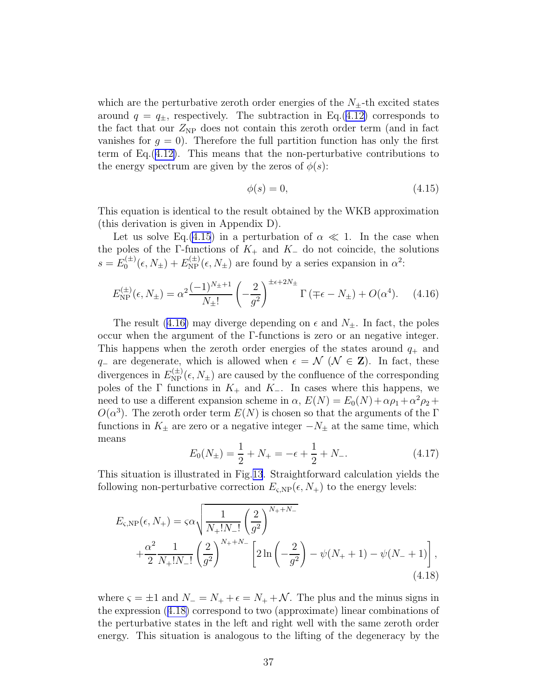<span id="page-37-0"></span>which are the perturbative zeroth order energies of the  $N_{\pm}$ -th excited states around  $q = q_{\pm}$ , respectively. The subtraction in Eq.([4.12\)](#page-36-0) corresponds to the fact that our  $Z_{\rm NP}$  does not contain this zeroth order term (and in fact vanishes for  $g = 0$ . Therefore the full partition function has only the first term of Eq.([4.12\)](#page-36-0). This means that the non-perturbative contributions to the energy spectrum are given by the zeros of  $\phi(s)$ :

$$
\phi(s) = 0,\tag{4.15}
$$

This equation is identical to the result obtained by the WKB approximation (this derivation is given in Appendix D).

Let us solve Eq.(4.15) in a perturbation of  $\alpha \ll 1$ . In the case when the poles of the Γ-functions of  $K_+$  and  $K_-\,$  do not coincide, the solutions  $s = E_0^{(\pm)}$  $b_0^{(\pm)}(\epsilon, N_{\pm}) + E_{\rm NP}^{(\pm)}(\epsilon, N_{\pm})$  are found by a series expansion in  $\alpha^2$ :

$$
E_{\rm NP}^{(\pm)}(\epsilon, N_{\pm}) = \alpha^2 \frac{(-1)^{N_{\pm}+1}}{N_{\pm}!} \left(-\frac{2}{g^2}\right)^{\pm \epsilon + 2N_{\pm}} \Gamma\left(\mp \epsilon - N_{\pm}\right) + O(\alpha^4). \tag{4.16}
$$

The result (4.16) may diverge depending on  $\epsilon$  and  $N_{\pm}$ . In fact, the poles occur when the argument of the Γ-functions is zero or an negative integer. This happens when the zeroth order energies of the states around  $q_{+}$  and  $q_-\$  are degenerate, which is allowed when  $\epsilon = \mathcal{N}$  ( $\mathcal{N} \in \mathbf{Z}$ ). In fact, these divergences in  $E_{\rm NP}^{(\pm)}(\epsilon, N_{\pm})$  are caused by the confluence of the corresponding poles of the Γ functions in  $K_+$  and  $K_-\$ . In cases where this happens, we need to use a different expansion scheme in  $\alpha$ ,  $E(N) = E_0(N) + \alpha \rho_1 + \alpha^2 \rho_2 +$  $O(\alpha^3)$ . The zeroth order term  $E(N)$  is chosen so that the arguments of the  $\Gamma$ functions in  $K_{\pm}$  are zero or a negative integer  $-N_{\pm}$  at the same time, which means

$$
E_0(N_{\pm}) = \frac{1}{2} + N_+ = -\epsilon + \frac{1}{2} + N_-\tag{4.17}
$$

This situation is illustrated in Fig.[13](#page-38-0). Straightforward calculation yields the following non-perturbative correction  $E_{\varsigma,NP}(\epsilon, N_+)$  to the energy levels:

$$
E_{\varsigma, \text{NP}}(\epsilon, N_{+}) = \varsigma \alpha \sqrt{\frac{1}{N_{+}! N_{-}!} \left(\frac{2}{g^{2}}\right)^{N_{+}+N_{-}}} + \frac{\alpha^{2}}{2} \frac{1}{N_{+}! N_{-}!} \left(\frac{2}{g^{2}}\right)^{N_{+}+N_{-}} \left[2 \ln\left(-\frac{2}{g^{2}}\right) - \psi(N_{+}+1) - \psi(N_{-}+1)\right],
$$
\n(4.18)

where  $\varsigma = \pm 1$  and  $N_+ = N_+ + \epsilon = N_+ + \mathcal{N}$ . The plus and the minus signs in the expression (4.18) correspond to two (approximate) linear combinations of the perturbative states in the left and right well with the same zeroth order energy. This situation is analogous to the lifting of the degeneracy by the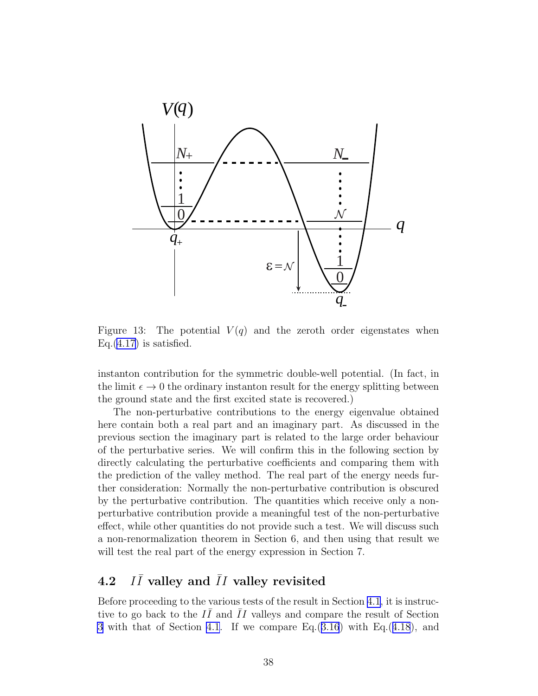<span id="page-38-0"></span>

Figure 13: The potential  $V(q)$  and the zeroth order eigenstates when Eq. $(4.17)$  $(4.17)$  is satisfied.

instanton contribution for the symmetric double-well potential. (In fact, in the limit  $\epsilon \to 0$  the ordinary instanton result for the energy splitting between the ground state and the first excited state is recovered.)

The non-perturbative contributions to the energy eigenvalue obtained here contain both a real part and an imaginary part. As discussed in the previous section the imaginary part is related to the large order behaviour of the perturbative series. We will confirm this in the following section by directly calculating the perturbative coefficients and comparing them with the prediction of the valley method. The real part of the energy needs further consideration: Normally the non-perturbative contribution is obscured by the perturbative contribution. The quantities which receive only a nonperturbative contribution provide a meaningful test of the non-perturbative effect, while other quantities do not provide such a test. We will discuss such a non-renormalization theorem in Section 6, and then using that result we will test the real part of the energy expression in Section 7.

#### 4.2  $I\bar{I}$  valley and  $\bar{I}I$  valley revisited

Before proceeding to the various tests of the result in Section [4.1](#page-34-0), it is instructive to go back to the  $I\bar{I}$  and  $\bar{I}I$  valleys and compare the result of Section [3](#page-24-0) with that of Section [4.1](#page-34-0). If we compare Eq.([3.16](#page-28-0)) with Eq.([4.18](#page-37-0)), and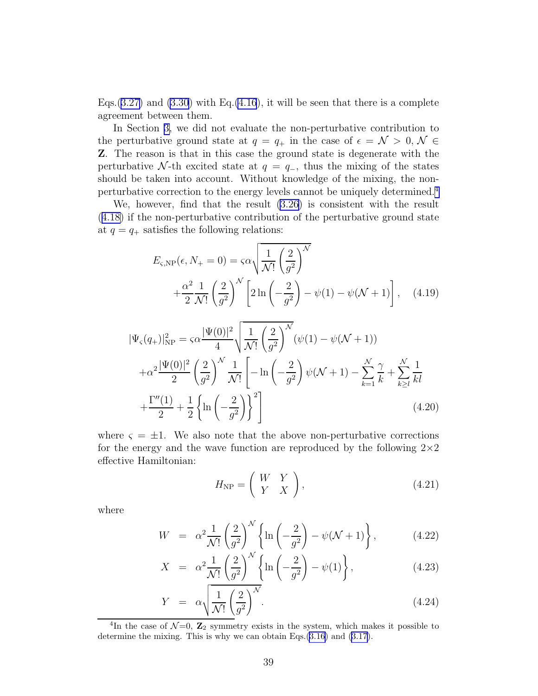<span id="page-39-0"></span>Eqs.  $(3.27)$  $(3.27)$  and  $(3.30)$  with Eq.  $(4.16)$  $(4.16)$ , it will be seen that there is a complete agreement between them.

In Section [3,](#page-24-0) we did not evaluate the non-perturbative contribution to the perturbative ground state at  $q = q_+$  in the case of  $\epsilon = \mathcal{N} > 0, \mathcal{N} \in$ Z. The reason is that in this case the ground state is degenerate with the perturbative N-th excited state at  $q = q_-,$  thus the mixing of the states should be taken into account. Without knowledge of the mixing, the nonperturbative correction to the energy levels cannot be uniquely determined.<sup>4</sup>

We, however, find that the result [\(3.26](#page-30-0)) is consistent with the result ([4.18\)](#page-37-0) if the non-perturbative contribution of the perturbative ground state at  $q = q_+$  satisfies the following relations:

$$
E_{\varsigma, \text{NP}}(\epsilon, N_{+} = 0) = \varsigma \alpha \sqrt{\frac{1}{\mathcal{N}!} \left(\frac{2}{g^{2}}\right)^{\mathcal{N}}} + \frac{\alpha^{2}}{2} \frac{1}{\mathcal{N}!} \left(\frac{2}{g^{2}}\right)^{\mathcal{N}} \left[2 \ln\left(-\frac{2}{g^{2}}\right) - \psi(1) - \psi(\mathcal{N} + 1)\right], \quad (4.19)
$$

$$
|\Psi_{\varsigma}(q_{+})|_{\rm NP}^{2} = \varsigma \alpha \frac{|\Psi(0)|^{2}}{4} \sqrt{\frac{1}{\mathcal{N}!} \left(\frac{2}{g^{2}}\right)^{\mathcal{N}}} (\psi(1) - \psi(\mathcal{N} + 1))
$$
  
+
$$
\alpha^{2} \frac{|\Psi(0)|^{2}}{2} \left(\frac{2}{g^{2}}\right)^{\mathcal{N}} \frac{1}{\mathcal{N}!} \left[-\ln\left(-\frac{2}{g^{2}}\right) \psi(\mathcal{N} + 1) - \sum_{k=1}^{\mathcal{N}} \frac{\gamma}{k} + \sum_{k \geq l}^{\mathcal{N}} \frac{1}{kl}
$$
  
+
$$
\frac{\Gamma''(1)}{2} + \frac{1}{2} \left\{\ln\left(-\frac{2}{g^{2}}\right)\right\}^{2} \right]
$$
(4.20)

where  $\varsigma = \pm 1$ . We also note that the above non-perturbative corrections for the energy and the wave function are reproduced by the following  $2\times 2$ effective Hamiltonian:

$$
H_{\rm NP} = \left(\begin{array}{cc} W & Y \\ Y & X \end{array}\right),\tag{4.21}
$$

where

$$
W = \alpha^2 \frac{1}{\mathcal{N}!} \left( \frac{2}{g^2} \right)^{\mathcal{N}} \left\{ \ln \left( -\frac{2}{g^2} \right) - \psi(\mathcal{N} + 1) \right\},\tag{4.22}
$$

$$
X = \alpha^2 \frac{1}{\mathcal{N}!} \left( \frac{2}{g^2} \right)^{\mathcal{N}} \left\{ \ln \left( -\frac{2}{g^2} \right) - \psi(1) \right\},\tag{4.23}
$$

$$
Y = \alpha \sqrt{\frac{1}{\mathcal{N}!} \left(\frac{2}{g^2}\right)^N}.
$$
\n(4.24)

<sup>&</sup>lt;sup>4</sup>In the case of  $\mathcal{N}=0$ ,  $\mathbb{Z}_2$  symmetry exists in the system, which makes it possible to determine the mixing. This is why we can obtain Eqs.[\(3.16](#page-28-0)) and [\(3.17](#page-28-0)).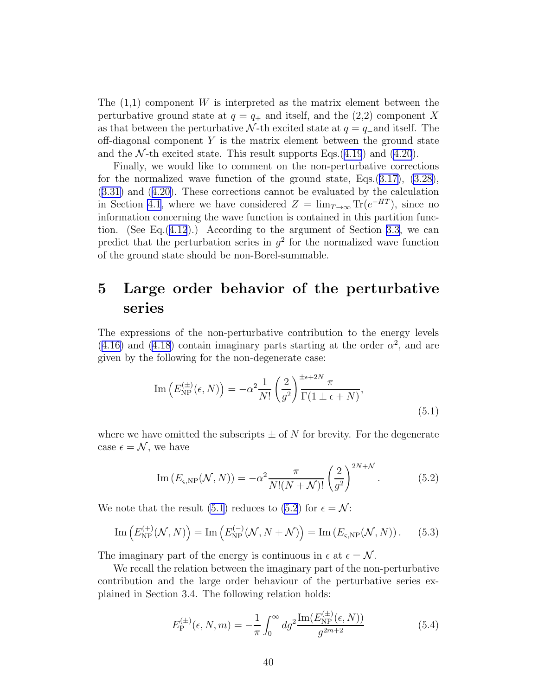<span id="page-40-0"></span>The  $(1,1)$  component W is interpreted as the matrix element between the perturbative ground state at  $q = q_+$  and itself, and the (2,2) component X as that between the perturbative N-th excited state at  $q = q_{-}$  and itself. The off-diagonal component  $Y$  is the matrix element between the ground state and the  $\mathcal{N}\text{-th excited state}$ . This result supports Eqs.([4.19](#page-39-0)) and [\(4.20](#page-39-0)).

Finally, we would like to comment on the non-perturbative corrections for the normalized wave function of the ground state, Eqs. $(3.17)$  $(3.17)$ ,  $(3.28)$  $(3.28)$ , ([3.31\)](#page-31-0) and([4.20\)](#page-39-0). These corrections cannot be evaluated by the calculation in Section [4.1](#page-34-0), where we have considered  $Z = \lim_{T \to \infty} \text{Tr}(e^{-HT})$ , since no information concerning the wave function is contained in this partition function. (See Eq. $(4.12)$  $(4.12)$  $(4.12)$ .) According to the argument of Section [3.3,](#page-31-0) we can predict that the perturbation series in  $g^2$  for the normalized wave function of the ground state should be non-Borel-summable.

## 5 Large order behavior of the perturbative series

The expressions of the non-perturbative contribution to the energy levels  $(4.16)$  $(4.16)$  and  $(4.18)$  contain imaginary parts starting at the order  $\alpha^2$ , and are given by the following for the non-degenerate case:

$$
\operatorname{Im}\left(E_{\text{NP}}^{(\pm)}(\epsilon,N)\right) = -\alpha^2 \frac{1}{N!} \left(\frac{2}{g^2}\right)^{\pm \epsilon + 2N} \frac{\pi}{\Gamma(1 \pm \epsilon + N)},\tag{5.1}
$$

where we have omitted the subscripts  $\pm$  of N for brevity. For the degenerate case  $\epsilon = \mathcal{N}$ , we have

$$
\operatorname{Im}\left(E_{\varsigma,\text{NP}}(\mathcal{N},N)\right) = -\alpha^2 \frac{\pi}{N!(N+\mathcal{N})!} \left(\frac{2}{g^2}\right)^{2N+\mathcal{N}}.\tag{5.2}
$$

We note that the result (5.1) reduces to (5.2) for  $\epsilon = \mathcal{N}$ :

$$
\operatorname{Im}\left(E_{\text{NP}}^{(+)}(\mathcal{N},N)\right) = \operatorname{Im}\left(E_{\text{NP}}^{(-)}(\mathcal{N},N+\mathcal{N})\right) = \operatorname{Im}\left(E_{\varsigma,\text{NP}}(\mathcal{N},N)\right). \tag{5.3}
$$

The imaginary part of the energy is continuous in  $\epsilon$  at  $\epsilon = \mathcal{N}$ .

We recall the relation between the imaginary part of the non-perturbative contribution and the large order behaviour of the perturbative series explained in Section 3.4. The following relation holds:

$$
E_{\rm P}^{(\pm)}(\epsilon, N, m) = -\frac{1}{\pi} \int_0^\infty dg^2 \frac{\operatorname{Im}(E_{\rm NP}^{(\pm)}(\epsilon, N))}{g^{2m+2}} \tag{5.4}
$$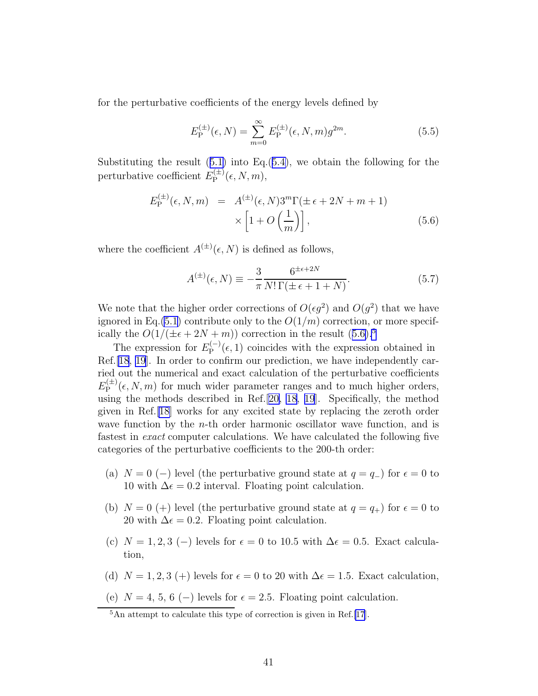<span id="page-41-0"></span>for the perturbative coefficients of the energy levels defined by

$$
E_{\mathcal{P}}^{(\pm)}(\epsilon, N) = \sum_{m=0}^{\infty} E_{\mathcal{P}}^{(\pm)}(\epsilon, N, m) g^{2m}.
$$
 (5.5)

Substitutingthe result  $(5.1)$  $(5.1)$  into Eq. $(5.4)$  $(5.4)$ , we obtain the following for the perturbative coefficient  $E_{\rm P}^{(\pm)}$  ${\rm P}^{(\pm)}(\epsilon,N,m),$ 

$$
E_{\rm P}^{(\pm)}(\epsilon, N, m) = A^{(\pm)}(\epsilon, N) 3^m \Gamma(\pm \epsilon + 2N + m + 1)
$$

$$
\times \left[1 + O\left(\frac{1}{m}\right)\right], \tag{5.6}
$$

where the coefficient  $A^{(\pm)}(\epsilon, N)$  is defined as follows,

$$
A^{(\pm)}(\epsilon, N) \equiv -\frac{3}{\pi} \frac{6^{\pm \epsilon + 2N}}{N! \Gamma(\pm \epsilon + 1 + N)}.
$$
 (5.7)

We note that the higher order corrections of  $O(\epsilon g^2)$  and  $O(g^2)$  that we have ignored in Eq. [\(5.1](#page-40-0)) contribute only to the  $O(1/m)$  correction, or more specifically the  $O(1/(\pm \epsilon + 2N + m))$  correction in the result  $(5.6)^5$ 

The expression for  $E_{\rm P}^{(-)}$  $P_{\rm P}^{(-)}(\epsilon,1)$  coincides with the expression obtained in Ref.[\[18](#page-76-0), [19\]](#page-76-0). In order to confirm our prediction, we have independently carried out the numerical and exact calculation of the perturbative coefficients  $E_{\rm P}^{(\pm)}$  $P_{\rm P}^{(\pm)}(\epsilon, N, m)$  for much wider parameter ranges and to much higher orders, using the methods described in Ref.[[20,](#page-77-0) [18, 19](#page-76-0)]. Specifically, the method given in Ref.[\[18\]](#page-76-0) works for any excited state by replacing the zeroth order wave function by the  $n$ -th order harmonic oscillator wave function, and is fastest in exact computer calculations. We have calculated the following five categories of the perturbative coefficients to the 200-th order:

- (a)  $N = 0$  (−) level (the perturbative ground state at  $q = q_+$ ) for  $\epsilon = 0$  to 10 with  $\Delta \epsilon = 0.2$  interval. Floating point calculation.
- (b)  $N = 0$  (+) level (the perturbative ground state at  $q = q_{+}$ ) for  $\epsilon = 0$  to 20 with  $\Delta \epsilon = 0.2$ . Floating point calculation.
- (c)  $N = 1, 2, 3$  (−) levels for  $\epsilon = 0$  to 10.5 with  $\Delta \epsilon = 0.5$ . Exact calculation,
- (d)  $N = 1, 2, 3$  (+) levels for  $\epsilon = 0$  to 20 with  $\Delta \epsilon = 1.5$ . Exact calculation,
- (e)  $N = 4, 5, 6 (-)$  levels for  $\epsilon = 2.5$ . Floating point calculation.

<sup>&</sup>lt;sup>5</sup>An attempt to calculate this type of correction is given in Ref.[\[17](#page-76-0)].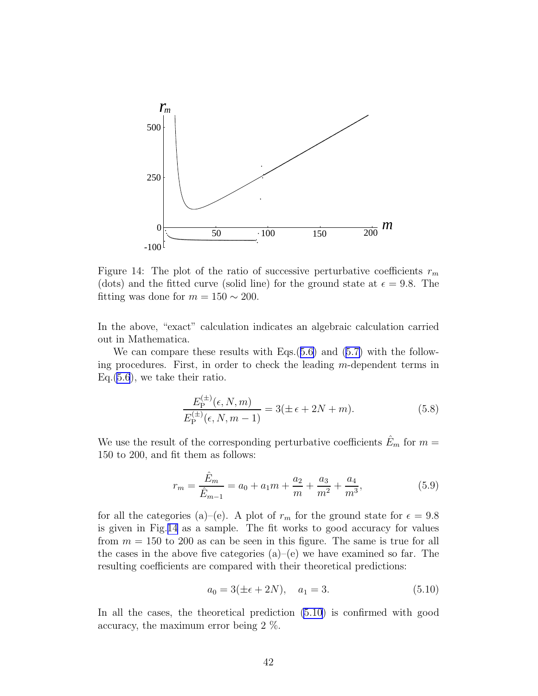

Figure 14: The plot of the ratio of successive perturbative coefficients  $r_m$ (dots) and the fitted curve (solid line) for the ground state at  $\epsilon = 9.8$ . The fitting was done for  $m = 150 \sim 200$ .

In the above, "exact" calculation indicates an algebraic calculation carried out in Mathematica.

Wecan compare these results with Eqs.  $(5.6)$  $(5.6)$  and  $(5.7)$  $(5.7)$  with the following procedures. First, in order to check the leading m-dependent terms in Eq.[\(5.6](#page-41-0)), we take their ratio.

$$
\frac{E_{\rm P}^{(\pm)}(\epsilon, N, m)}{E_{\rm P}^{(\pm)}(\epsilon, N, m - 1)} = 3(\pm \epsilon + 2N + m). \tag{5.8}
$$

We use the result of the corresponding perturbative coefficients  $\hat{E}_m$  for  $m =$ 150 to 200, and fit them as follows:

$$
r_m = \frac{\hat{E}_m}{\hat{E}_{m-1}} = a_0 + a_1 m + \frac{a_2}{m} + \frac{a_3}{m^2} + \frac{a_4}{m^3},
$$
(5.9)

for all the categories (a)–(e). A plot of  $r_m$  for the ground state for  $\epsilon = 9.8$ is given in Fig.14 as a sample. The fit works to good accuracy for values from  $m = 150$  to 200 as can be seen in this figure. The same is true for all the cases in the above five categories  $(a)$ – $(e)$  we have examined so far. The resulting coefficients are compared with their theoretical predictions:

$$
a_0 = 3(\pm \epsilon + 2N), \quad a_1 = 3. \tag{5.10}
$$

In all the cases, the theoretical prediction (5.10) is confirmed with good accuracy, the maximum error being 2 %.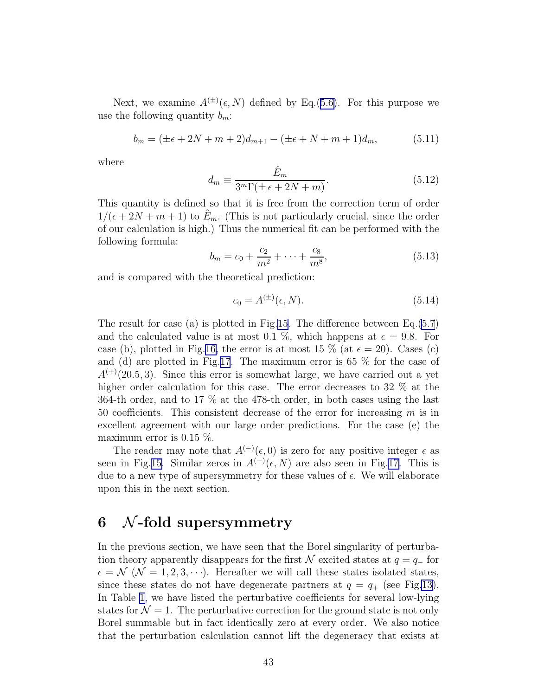<span id="page-43-0"></span>Next, we examine  $A^{(\pm)}(\epsilon, N)$  defined by Eq.([5.6\)](#page-41-0). For this purpose we use the following quantity  $b_m$ :

$$
b_m = (\pm \epsilon + 2N + m + 2)d_{m+1} - (\pm \epsilon + N + m + 1)d_m, \tag{5.11}
$$

where

$$
d_m \equiv \frac{\hat{E}_m}{3^m \Gamma(\pm \epsilon + 2N + m)}.\tag{5.12}
$$

This quantity is defined so that it is free from the correction term of order  $1/(\epsilon+2N+m+1)$  to  $E_m$ . (This is not particularly crucial, since the order of our calculation is high.) Thus the numerical fit can be performed with the following formula:

$$
b_m = c_0 + \frac{c_2}{m^2} + \dots + \frac{c_8}{m^8},
$$
\n(5.13)

and is compared with the theoretical prediction:

$$
c_0 = A^{(\pm)}(\epsilon, N). \tag{5.14}
$$

The result for case (a) is plotted in Fig[.15.](#page-44-0) The difference between Eq.[\(5.7](#page-41-0)) and the calculated value is at most 0.1 %, which happens at  $\epsilon = 9.8$ . For case (b), plotted in Fig.[16,](#page-44-0) the error is at most 15 % (at  $\epsilon = 20$ ). Cases (c) and (d) are plotted in Fig.[17](#page-45-0). The maximum error is 65 % for the case of  $A^{(+)}(20.5, 3)$ . Since this error is somewhat large, we have carried out a yet higher order calculation for this case. The error decreases to 32  $\%$  at the 364-th order, and to 17 % at the 478-th order, in both cases using the last 50 coefficients. This consistent decrease of the error for increasing m is in excellent agreement with our large order predictions. For the case (e) the maximum error is 0.15 %.

The reader may note that  $A^{(-)}(\epsilon,0)$  is zero for any positive integer  $\epsilon$  as seen in Fig[.15.](#page-44-0) Similar zeros in  $A^{(-)}(\epsilon, N)$  are also seen in Fig[.17.](#page-45-0) This is due to a new type of supersymmetry for these values of  $\epsilon$ . We will elaborate upon this in the next section.

## $6$  N-fold supersymmetry

In the previous section, we have seen that the Borel singularity of perturbation theory apparently disappears for the first N excited states at  $q = q_-\text{ for }$  $\epsilon = \mathcal{N}$  ( $\mathcal{N} = 1, 2, 3, \cdots$ ). Hereafter we will call these states isolated states, since these states do not have degenerate partners at  $q = q_+$  (see Fig[.13](#page-38-0)). In Table [1,](#page-47-0) we have listed the perturbative coefficients for several low-lying states for  $\mathcal{N} = 1$ . The perturbative correction for the ground state is not only Borel summable but in fact identically zero at every order. We also notice that the perturbation calculation cannot lift the degeneracy that exists at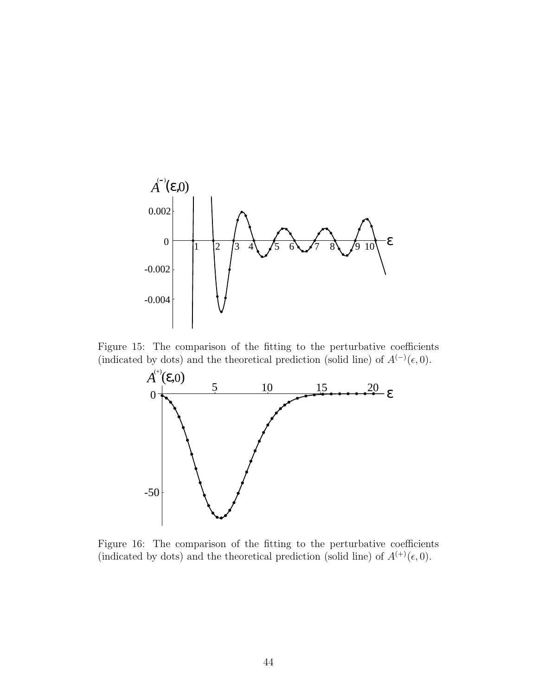<span id="page-44-0"></span>

Figure 15: The comparison of the fitting to the perturbative coefficients (indicated by dots) and the theoretical prediction (solid line) of  $A^{(-)}(\epsilon, 0)$ .



Figure 16: The comparison of the fitting to the perturbative coefficients (indicated by dots) and the theoretical prediction (solid line) of  $A^{(+)}(\epsilon, 0)$ .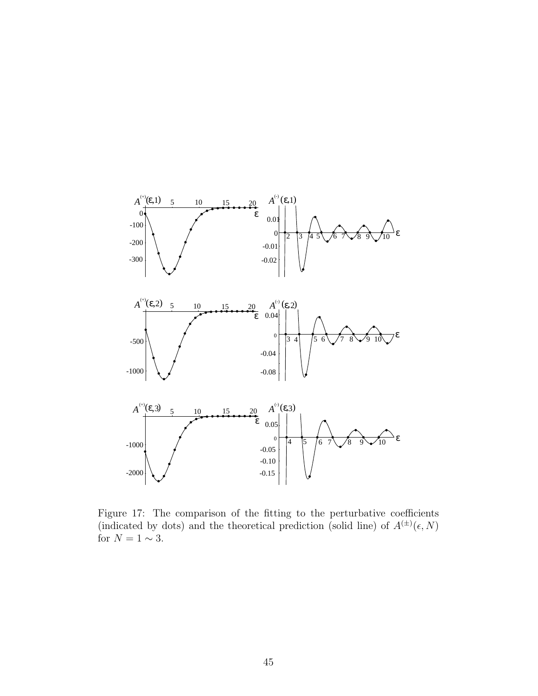<span id="page-45-0"></span>

Figure 17: The comparison of the fitting to the perturbative coefficients (indicated by dots) and the theoretical prediction (solid line) of  $A^{(\pm)}(\epsilon, N)$ for  $N = 1 \sim 3$ .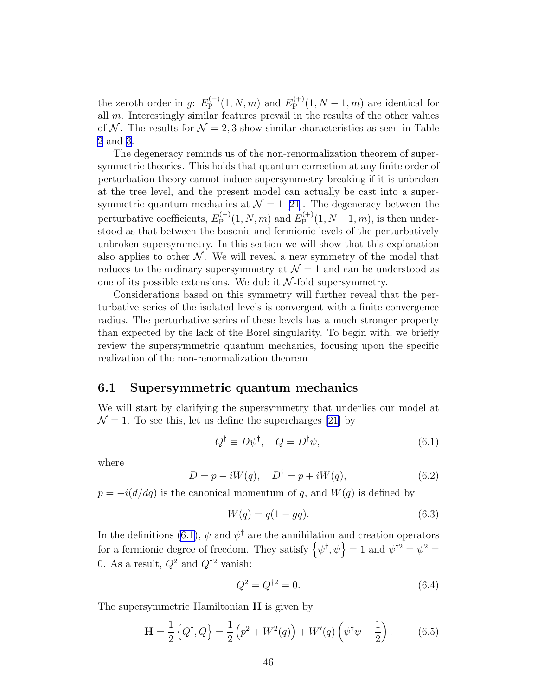<span id="page-46-0"></span>the zeroth order in g:  $E_{\rm P}^{(-)}$  $E_{\rm P}^{(-)}(1,N,m)$  and  $E_{\rm P}^{(+)}$  $P_{\rm P}^{(+)}(1, N-1, m)$  are identical for all m. Interestingly similar features prevail in the results of the other values of N. The results for  $\mathcal{N} = 2, 3$  show similar characteristics as seen in Table [2](#page-48-0) and [3.](#page-49-0)

The degeneracy reminds us of the non-renormalization theorem of supersymmetric theories. This holds that quantum correction at any finite order of perturbation theory cannot induce supersymmetry breaking if it is unbroken at the tree level, and the present model can actually be cast into a supersymmetricquantum mechanics at  $\mathcal{N} = 1$  [[21](#page-77-0)]. The degeneracy between the perturbative coefficients,  $E_{\rm P}^{(-)}$  $E_{\rm P}^{(-)}(1,N,m)$  and  $E_{\rm P}^{(+)}$  $P_{\rm P}^{(+)}(1, N-1, m)$ , is then understood as that between the bosonic and fermionic levels of the perturbatively unbroken supersymmetry. In this section we will show that this explanation also applies to other  $N$ . We will reveal a new symmetry of the model that reduces to the ordinary supersymmetry at  $\mathcal{N} = 1$  and can be understood as one of its possible extensions. We dub it  $N$ -fold supersymmetry.

Considerations based on this symmetry will further reveal that the perturbative series of the isolated levels is convergent with a finite convergence radius. The perturbative series of these levels has a much stronger property than expected by the lack of the Borel singularity. To begin with, we briefly review the supersymmetric quantum mechanics, focusing upon the specific realization of the non-renormalization theorem.

#### 6.1 Supersymmetric quantum mechanics

We will start by clarifying the supersymmetry that underlies our model at  $\mathcal{N} = 1$ . To see this, let us define the supercharges [\[21](#page-77-0)] by

$$
Q^{\dagger} \equiv D\psi^{\dagger}, \quad Q = D^{\dagger}\psi, \tag{6.1}
$$

where

$$
D = p - iW(q), \quad D^{\dagger} = p + iW(q), \tag{6.2}
$$

 $p = -i(d/dq)$  is the canonical momentum of q, and  $W(q)$  is defined by

$$
W(q) = q(1 - gq). \t\t(6.3)
$$

In the definitions (6.1),  $\psi$  and  $\psi^{\dagger}$  are the annihilation and creation operators for a fermionic degree of freedom. They satisfy  $\{\psi^{\dagger}, \psi\} = 1$  and  $\psi^{\dagger 2} = \psi^2 = 1$ 0. As a result,  $Q^2$  and  $Q^{\dagger 2}$  vanish:

$$
Q^2 = Q^{\dagger 2} = 0. \tag{6.4}
$$

The supersymmetric Hamiltonian **H** is given by

$$
\mathbf{H} = \frac{1}{2} \left\{ Q^{\dagger}, Q \right\} = \frac{1}{2} \left( p^2 + W^2(q) \right) + W'(q) \left( \psi^{\dagger} \psi - \frac{1}{2} \right). \tag{6.5}
$$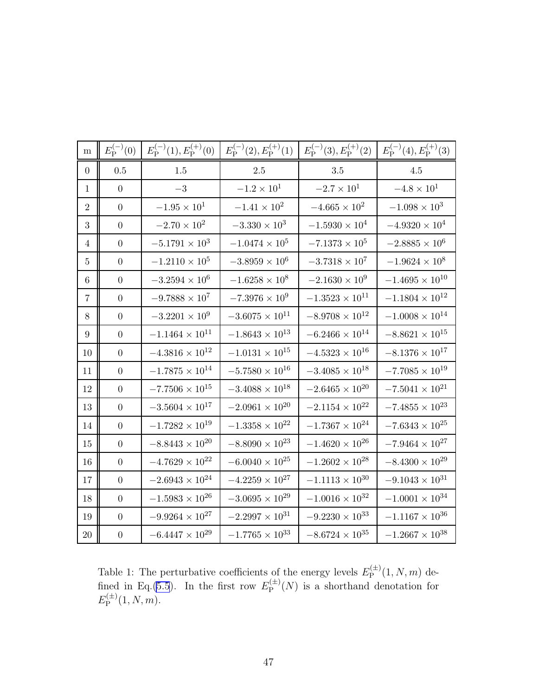<span id="page-47-0"></span>

| m               | $E_{\rm P}^{(-)}(0)$ | $E_{\rm P}^{(-)}(1), E_{\rm P}^{(+)}(0)$ | $E_{\rm P}^{(-)}(2), E_{\rm P}^{(+)}(1)$ | $E_{\rm P}^{(-)}(3), E_{\rm P}^{(+)}(2)$ | $E_{\rm P}^{(-)}(4), E_{\rm P}^{(+)}(3)$ |
|-----------------|----------------------|------------------------------------------|------------------------------------------|------------------------------------------|------------------------------------------|
| $\overline{0}$  | 0.5                  | $1.5\,$                                  | $2.5\,$                                  | 3.5                                      | 4.5                                      |
| $\mathbf 1$     | $\overline{0}$       | $-3$                                     | $-1.2 \times 10^{1}$                     | $-2.7 \times 10^{1}$                     | $-4.8 \times 10^{1}$                     |
| $\overline{2}$  | $\overline{0}$       | $-1.95 \times 10^{1}$                    | $-1.41 \times 10^{2}$                    | $-4.665 \times 10^{2}$                   | $-1.098 \times 10^{3}$                   |
| 3               | $\boldsymbol{0}$     | $-2.70 \times 10^{2}$                    | $-3.330 \times 10^{3}$                   | $-1.5930 \times 10^{4}$                  | $-4.9320 \times 10^{4}$                  |
| 4               | $\theta$             | $-5.1791\times 10^{3}$                   | $-1.0474\times10^{5}$                    | $-7.1373 \times 10^{5}$                  | $-2.8885 \times 10^6$                    |
| $\overline{5}$  | $\overline{0}$       | $-1.2110 \times 10^5$                    | $-3.8959\times10^{6}$                    | $-3.7318 \times 10^7$                    | $-1.9624 \times 10^{8}$                  |
| 6               | $\overline{0}$       | $-3.2594 \times 10^{6}$                  | $-1.6258 \times 10^{8}$                  | $-2.1630 \times 10^{9}$                  | $-1.4695 \times 10^{10}$                 |
| $\overline{7}$  | $\boldsymbol{0}$     | $-9.7888 \times 10^{7}$                  | $-7.3976 \times 10^{9}$                  | $-1.3523 \times 10^{11}$                 | $-1.1804 \times 10^{12}$                 |
| 8               | $\boldsymbol{0}$     | $-3.2201\times10^{9}$                    | $-3.6075 \times 10^{11}$                 | $-8.9708 \times 10^{12}$                 | $-1.0008\times10^{14}$                   |
| $9\phantom{.0}$ | $\boldsymbol{0}$     | $-1.1464 \times 10^{11}$                 | $-1.8643\times10^{13}$                   | $-6.2466 \times 10^{14}$                 | $-8.8621 \times 10^{15}$                 |
| 10              | $\theta$             | $-4.3816\times10^{12}$                   | $-1.0131 \times 10^{15}$                 | $-4.5323\times10^{16}$                   | $-8.1376 \times 10^{17}$                 |
| 11              | $\boldsymbol{0}$     | $-1.7875\times10^{14}$                   | $-5.7580 \times 10^{16}$                 | $-3.4085 \times 10^{18}$                 | $-7.7085 \times 10^{19}$                 |
| 12              | $\overline{0}$       | $-7.7506 \times 10^{15}$                 | $-3.4088 \times 10^{18}$                 | $-2.6465 \times 10^{20}$                 | $-7.5041 \times 10^{21}$                 |
| 13              | $\boldsymbol{0}$     | $-3.5604\times10^{17}$                   | $-2.0961\times10^{20}$                   | $-2.1154\times10^{22}$                   | $-7.4855\times10^{23}$                   |
| 14              | $\theta$             | $-1.7282\times10^{19}$                   | $-1.3358 \times 10^{22}$                 | $-1.7367 \times 10^{24}$                 | $-7.6343 \times 10^{25}$                 |
| 15              | $\boldsymbol{0}$     | $-8.8443\times10^{20}$                   | $-8.8090 \times 10^{23}$                 | $-1.4620 \times 10^{26}$                 | $-7.9464\times10^{27}$                   |
| 16              | $\theta$             | $-4.7629\times10^{22}$                   | $-6.0040 \times 10^{25}$                 | $-1.2602 \times 10^{28}$                 | $-8.4300\times10^{29}$                   |
| 17              | $\boldsymbol{0}$     | $-2.6943\times10^{24}$                   | $-4.2259\times10^{27}$                   | $-1.1113\times10^{30}$                   | $-9.1043 \times 10^{31}$                 |
| 18              | $\theta$             | $-1.5983\times10^{26}$                   | $-3.0695 \times 10^{29}$                 | $-1.0016\times10^{32}$                   | $-1.0001 \times 10^{34}$                 |
| 19              | $\boldsymbol{0}$     | $-9.9264\times10^{27}$                   | $-2.2997 \times 10^{31}$                 | $-9.2230 \times 10^{33}$                 | $-1.1167 \times 10^{36}$                 |
| $20\,$          | $\boldsymbol{0}$     | $-6.4447\times10^{29}$                   | $-1.7765\times10^{33}$                   | $-8.6724\times10^{35}$                   | $-1.2667 \times 10^{38}$                 |

Table 1: The perturbative coefficients of the energy levels  $E_{\rm P}^{(\pm)}$  $P^{(\pm)}(1, N, m)$  de-fined in Eq.[\(5.5](#page-41-0)). In the first row  $E_{\rm P}^{(\pm)}$  $P_{\rm P}^{(\pm)}(N)$  is a shorthand denotation for  $E_{\rm P}^{(\pm)}$  $P^{(E)}(1, N, m).$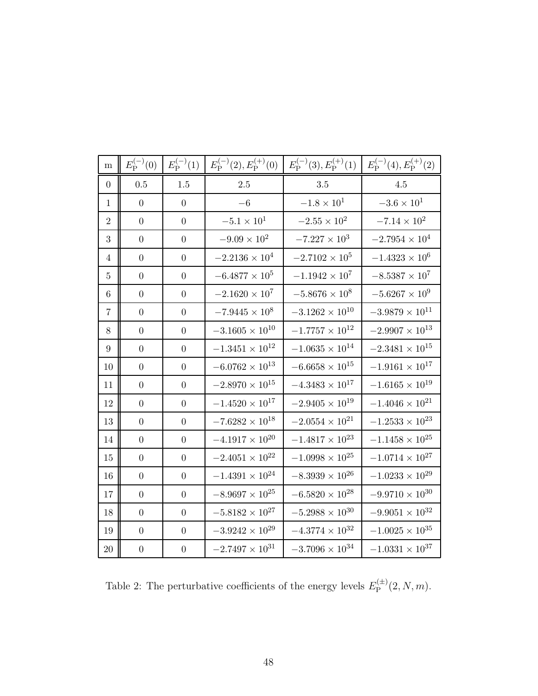<span id="page-48-0"></span>

| ${\bf m}$       | $E_{\rm P}^{(-)}(0)$ | $E_{\rm P}^{(-)}(1)$ | $E_{\rm P}^{(-)}(2), E_{\rm P}^{(+)}(0)$ | $E_{\rm P}^{(-)}(3), E_{\rm P}^{(+)}(1)$ | $E_{\rm P}^{(-)}(4), E_{\rm P}^{(+)}(2)$ |
|-----------------|----------------------|----------------------|------------------------------------------|------------------------------------------|------------------------------------------|
| $\theta$        | 0.5                  | $1.5\,$              | $2.5\,$                                  | 3.5                                      | 4.5                                      |
| 1               | $\boldsymbol{0}$     | $\theta$             | $-6$                                     | $-1.8 \times 10^{1}$                     | $-3.6 \times 10^{1}$                     |
| $\overline{2}$  | $\boldsymbol{0}$     | $\overline{0}$       | $-5.1 \times 10^{1}$                     | $-2.55\times10^{2}$                      | $-7.14 \times 10^{2}$                    |
| 3               | $\boldsymbol{0}$     | $\overline{0}$       | $-9.09\times10^{2}$                      | $-7.227 \times 10^{3}$                   | $-2.7954 \times 10^{4}$                  |
| $\overline{4}$  | $\boldsymbol{0}$     | $\boldsymbol{0}$     | $-2.2136 \times 10^{4}$                  | $-2.7102 \times 10^{5}$                  | $-1.4323\times10^{6}$                    |
| 5               | $\boldsymbol{0}$     | $\overline{0}$       | $-6.4877 \times 10^{5}$                  | $-1.1942\times10^{7}$                    | $-8.5387 \times 10^{7}$                  |
| $6\phantom{.}6$ | $\boldsymbol{0}$     | $\boldsymbol{0}$     | $-2.1620\times10^{7}$                    | $-5.8676 \times 10^{8}$                  | $-5.6267\times10^{9}$                    |
| 7               | $\boldsymbol{0}$     | $\boldsymbol{0}$     | $-7.9445 \times 10^8$                    | $-3.1262\times10^{10}$                   | $-3.9879 \times 10^{11}$                 |
| 8               | $\boldsymbol{0}$     | $\overline{0}$       | $-3.1605 \times 10^{10}$                 | $-1.7757\times10^{12}$                   | $-2.9907 \times 10^{13}$                 |
| 9               | $\boldsymbol{0}$     | $\boldsymbol{0}$     | $-1.3451\times10^{12}$                   | $-1.0635 \times 10^{14}$                 | $-2.3481 \times 10^{15}$                 |
| 10              | $\boldsymbol{0}$     | $\boldsymbol{0}$     | $-6.0762\times10^{13}$                   | $-6.6658\times10^{15}$                   | $-1.9161\times10^{17}$                   |
| 11              | $\overline{0}$       | $\overline{0}$       | $-2.8970\times10^{15}$                   | $-4.3483\times10^{17}$                   | $-1.6165\times10^{19}$                   |
| 12              | $\boldsymbol{0}$     | $\boldsymbol{0}$     | $-1.4520 \times 10^{17}$                 | $-2.9405 \times 10^{19}$                 | $-1.4046 \times 10^{21}$                 |
| 13              | $\boldsymbol{0}$     | $\boldsymbol{0}$     | $-7.6282 \times 10^{18}$                 | $-2.0554 \times 10^{21}$                 | $-1.2533\times10^{23}$                   |
| 14              | $\theta$             | $\overline{0}$       | $-4.1917\times10^{20}$                   | $-1.4817\times10^{23}$                   | $-1.1458 \times 10^{25}$                 |
| 15              | $\theta$             | $\overline{0}$       | $-2.4051 \times 10^{22}$                 | $-1.0998 \times 10^{25}$                 | $-1.0714 \times 10^{27}$                 |
| 16              | $\boldsymbol{0}$     | $\boldsymbol{0}$     | $-1.4391 \times 10^{24}$                 | $-8.3939 \times 10^{26}$                 | $-1.0233\times10^{29}$                   |
| 17              | $\boldsymbol{0}$     | $\boldsymbol{0}$     | $-8.9697\times10^{25}$                   | $-6.5820\times10^{28}$                   | $-9.9710 \times 10^{30}$                 |
| 18              | $\overline{0}$       | $\overline{0}$       | $-5.8182\times10^{27}$                   | $-5.2988 \times 10^{30}$                 | $-9.9051 \times 10^{32}$                 |
| 19              | $\boldsymbol{0}$     | $\boldsymbol{0}$     | $-3.9242\times10^{29}$                   | $-4.3774 \times 10^{32}$                 | $-1.0025 \times 10^{35}$                 |
| 20              | $\boldsymbol{0}$     | $\boldsymbol{0}$     | $-2.7497\times10^{31}$                   | $-3.7096\times10^{34}$                   | $-1.0331 \times 10^{37}$                 |

Table 2: The perturbative coefficients of the energy levels  $E_{\rm P}^{(\pm)}$  $P^{(\pm)}(2, N, m).$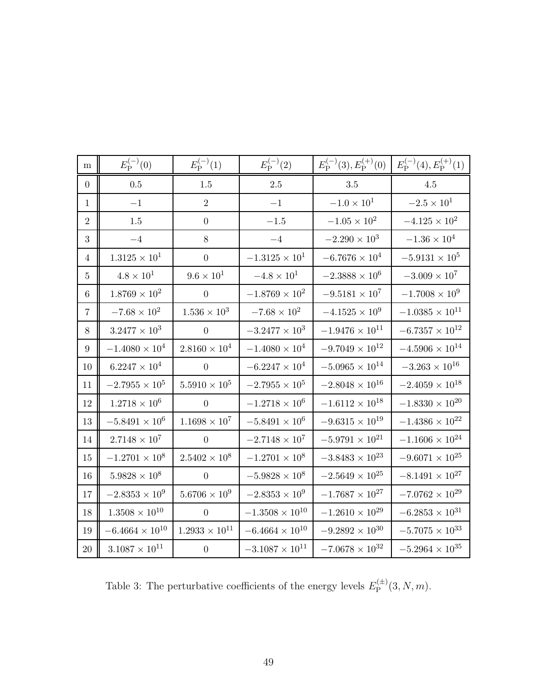<span id="page-49-0"></span>

| m                | $E_{\rm P}^{(-)}(0)$     | $E_{\rm P}^{(-)}(1)$   | $E_{\rm P}^{(-)}(2)$     | $E_{\rm P}^{(-)}(3), E_{\rm P}^{(+)}(0)$ | $E_{\rm P}^{(-)}(4), E_{\rm P}^{(+)}(1)$ |
|------------------|--------------------------|------------------------|--------------------------|------------------------------------------|------------------------------------------|
| $\boldsymbol{0}$ | $0.5\,$                  | 1.5                    | $2.5\,$                  | 3.5                                      | 4.5                                      |
| $\mathbf{1}$     | $-1$                     | $\overline{2}$         | $-1$                     | $-1.0 \times 10^{1}$                     | $-2.5 \times 10^{1}$                     |
| $\overline{2}$   | 1.5                      | $\overline{0}$         | $-1.5\,$                 | $-1.05 \times 10^{2}$                    | $-4.125 \times 10^{2}$                   |
| 3                | $-4\,$                   | 8                      | $-4\,$                   | $-2.290 \times 10^3$                     | $-1.36\times10^4$                        |
| $\overline{4}$   | $1.3125 \times 10^{1}$   | $\boldsymbol{0}$       | $-1.3125 \times 10^{1}$  | $-6.7676 \times 10^{4}$                  | $-5.9131\times10^{5}$                    |
| $\overline{5}$   | $4.8 \times 10^{1}$      | $9.6\times10^{1}$      | $-4.8 \times 10^{1}$     | $-2.3888\times10^{6}$                    | $-3.009\times10^{7}$                     |
| $\,6\,$          | $1.8769 \times 10^{2}$   | $\theta$               | $-1.8769 \times 10^{2}$  | $-9.5181 \times 10^{7}$                  | $-1.7008\times10^{9}$                    |
| $\overline{7}$   | $-7.68\times10^{2}$      | $1.536 \times 10^{3}$  | $-7.68\times10^{2}$      | $-4.1525\times10^{9}$                    | $-1.0385\times10^{11}$                   |
| $8\,$            | $3.2477\times 10^3$      | $\boldsymbol{0}$       | $-3.2477 \times 10^{3}$  | $-1.9476 \times 10^{11}$                 | $-6.7357\times10^{12}$                   |
| $\boldsymbol{9}$ | $-1.4080 \times 10^{4}$  | $2.8160 \times 10^{4}$ | $-1.4080 \times 10^{4}$  | $-9.7049 \times 10^{12}$                 | $-4.5906 \times 10^{14}$                 |
| 10               | $6.2247\times 10^4$      | $\overline{0}$         | $-6.2247 \times 10^{4}$  | $-5.0965\times10^{14}$                   | $-3.263 \times 10^{16}$                  |
| 11               | $-2.7955\times10^{5}$    | $5.5910\times10^5$     | $-2.7955 \times 10^5$    | $-2.8048 \times 10^{16}$                 | $-2.4059\times10^{18}$                   |
| 12               | $1.2718\times10^6$       | $\overline{0}$         | $-1.2718 \times 10^{6}$  | $-1.6112 \times 10^{18}$                 | $-1.8330 \times 10^{20}$                 |
| 13               | $-5.8491 \times 10^{6}$  | $1.1698 \times 10^{7}$ | $-5.8491 \times 10^{6}$  | $-9.6315\times10^{19}$                   | $-1.4386\times10^{22}$                   |
| 14               | $2.7148\times10^7$       | $\overline{0}$         | $-2.7148 \times 10^7$    | $-5.9791 \times 10^{21}$                 | $-1.1606 \times 10^{24}$                 |
| 15               | $-1.2701\times10^{8}$    | $2.5402 \times 10^{8}$ | $-1.2701 \times 10^{8}$  | $-3.8483\times10^{23}$                   | $-9.6071 \times 10^{25}$                 |
| 16               | $5.9828 \times 10^{8}$   | $\theta$               | $-5.9828\times10^{8}$    | $-2.5649 \times 10^{25}$                 | $-8.1491 \times 10^{27}$                 |
| 17               | $-2.8353 \times 10^{9}$  | $5.6706 \times 10^{9}$ | $-2.8353 \times 10^{9}$  | $-1.7687\times10^{27}$                   | $-7.0762\times10^{29}$                   |
| 18               | $1.3508\times10^{10}$    | $\overline{0}$         | $-1.3508 \times 10^{10}$ | $-1.2610\times10^{29}$                   | $-6.2853\times10^{31}$                   |
| 19               | $-6.4664 \times 10^{10}$ | $1.2933\times10^{11}$  | $-6.4664 \times 10^{10}$ | $-9.2892\times10^{30}$                   | $-5.7075 \times 10^{33}$                 |
| $20\,$           | $3.1087 \times 10^{11}$  | $\boldsymbol{0}$       | $-3.1087 \times 10^{11}$ | $-7.0678\times10^{32}$                   | $-5.2964 \times 10^{35}$                 |

Table 3: The perturbative coefficients of the energy levels  $E_{\rm P}^{(\pm)}$  $P^{(\pm)}(3, N, m).$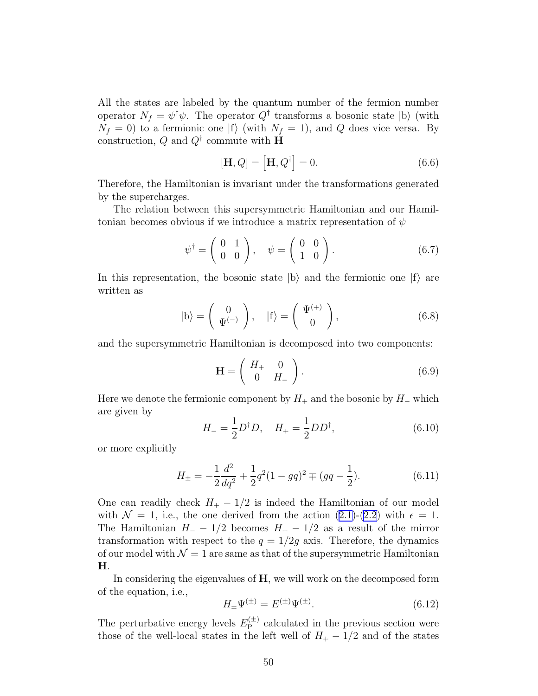<span id="page-50-0"></span>All the states are labeled by the quantum number of the fermion number operator  $N_f = \psi^{\dagger} \psi$ . The operator  $Q^{\dagger}$  transforms a bosonic state  $|b\rangle$  (with  $N_f = 0$ ) to a fermionic one  $|f\rangle$  (with  $N_f = 1$ ), and Q does vice versa. By construction, Q and  $Q^{\dagger}$  commute with **H** 

$$
[\mathbf{H}, Q] = [\mathbf{H}, Q^{\dagger}] = 0. \tag{6.6}
$$

Therefore, the Hamiltonian is invariant under the transformations generated by the supercharges.

The relation between this supersymmetric Hamiltonian and our Hamiltonian becomes obvious if we introduce a matrix representation of  $\psi$ 

$$
\psi^{\dagger} = \left(\begin{array}{cc} 0 & 1 \\ 0 & 0 \end{array}\right), \quad \psi = \left(\begin{array}{cc} 0 & 0 \\ 1 & 0 \end{array}\right). \tag{6.7}
$$

In this representation, the bosonic state  $|b\rangle$  and the fermionic one  $|f\rangle$  are written as

$$
|b\rangle = \begin{pmatrix} 0 \\ \Psi^{(-)} \end{pmatrix}, \quad |f\rangle = \begin{pmatrix} \Psi^{(+)} \\ 0 \end{pmatrix}, \tag{6.8}
$$

and the supersymmetric Hamiltonian is decomposed into two components:

$$
\mathbf{H} = \left( \begin{array}{cc} H_+ & 0 \\ 0 & H_- \end{array} \right). \tag{6.9}
$$

Here we denote the fermionic component by  $H_+$  and the bosonic by  $H_-\,$  which are given by

$$
H_{-} = \frac{1}{2} D^{\dagger} D, \quad H_{+} = \frac{1}{2} D D^{\dagger}, \tag{6.10}
$$

or more explicitly

$$
H_{\pm} = -\frac{1}{2}\frac{d^2}{dq^2} + \frac{1}{2}q^2(1 - gq)^2 \mp (gq - \frac{1}{2}).\tag{6.11}
$$

One can readily check  $H_+ - 1/2$  is indeed the Hamiltonian of our model with $\mathcal{N} = 1$ , i.e., the one derived from the action  $(2.1)-(2.2)$  $(2.1)-(2.2)$  $(2.1)-(2.2)$  $(2.1)-(2.2)$  with  $\epsilon = 1$ . The Hamiltonian  $H_ - - 1/2$  becomes  $H_ + - 1/2$  as a result of the mirror transformation with respect to the  $q = 1/2g$  axis. Therefore, the dynamics of our model with  $\mathcal{N} = 1$  are same as that of the supersymmetric Hamiltonian H.

In considering the eigenvalues of  $H$ , we will work on the decomposed form of the equation, i.e.,

$$
H_{\pm}\Psi^{(\pm)} = E^{(\pm)}\Psi^{(\pm)}.
$$
\n(6.12)

The perturbative energy levels  $E_{\rm P}^{(\pm)}$  $P_P^{(\pm)}$  calculated in the previous section were those of the well-local states in the left well of  $H_+ - 1/2$  and of the states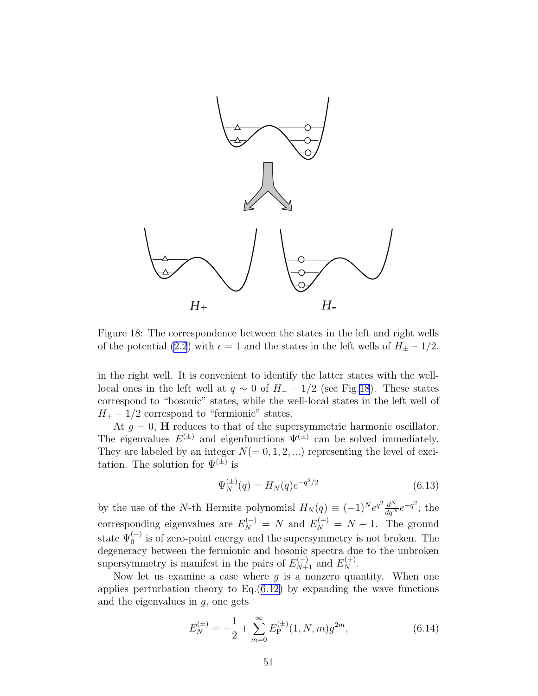

Figure 18: The correspondence between the states in the left and right wells of the potential [\(2.2](#page-3-0)) with  $\epsilon = 1$  and the states in the left wells of  $H_{\pm} - 1/2$ .

in the right well. It is convenient to identify the latter states with the welllocal ones in the left well at  $q \sim 0$  of  $H_{-} - 1/2$  (see Fig.18). These states correspond to "bosonic" states, while the well-local states in the left well of  $H_+ - 1/2$  correspond to "fermionic" states.

At  $g = 0$ , **H** reduces to that of the supersymmetric harmonic oscillator. The eigenvalues  $E^{(\pm)}$  and eigenfunctions  $\Psi^{(\pm)}$  can be solved immediately. They are labeled by an integer  $N(= 0, 1, 2, ...)$  representing the level of excitation. The solution for  $\Psi^{(\pm)}$  is

$$
\Psi_N^{(\pm)}(q) = H_N(q)e^{-q^2/2} \tag{6.13}
$$

by the use of the N-th Hermite polynomial  $H_N(q) \equiv (-1)^N e^{q^2} \frac{d^N}{dq^N} e^{-q^2}$ ; the corresponding eigenvalues are  $E_N^{(-)} = N$  and  $E_N^{(+)} = N + 1$ . The ground state  $\Psi_0^{(-)}$  is of zero-point energy and the supersymmetry is not broken. The degeneracy between the fermionic and bosonic spectra due to the unbroken supersymmetry is manifest in the pairs of  $E_{N+1}^{(-)}$  and  $E_N^{(+)}$ .

Now let us examine a case where  $g$  is a nonzero quantity. When one applies perturbation theory to  $Eq.(6.12)$  $Eq.(6.12)$  by expanding the wave functions and the eigenvalues in  $g$ , one gets

$$
E_N^{(\pm)} = -\frac{1}{2} + \sum_{m=0}^{\infty} E_P^{(\pm)}(1, N, m) g^{2m}, \tag{6.14}
$$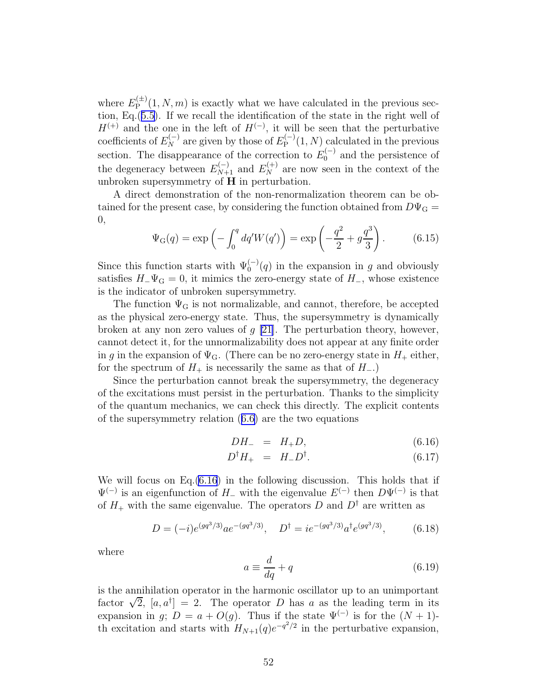<span id="page-52-0"></span>where  $E_{\rm P}^{(\pm)}$  $P_{\rm P}^{(\pm)}(1, N, m)$  is exactly what we have calculated in the previous section, Eq.([5.5\)](#page-41-0). If we recall the identification of the state in the right well of  $H^{(+)}$  and the one in the left of  $H^{(-)}$ , it will be seen that the perturbative coefficients of  $E_N^{(-)}$  are given by those of  $E_P^{(-)}$  $P_{\rm P}^{(-)}(1,N)$  calculated in the previous section. The disappearance of the correction to  $E_0^{(-)}$  and the persistence of the degeneracy between  $E_{N+1}^{(-)}$  and  $E_N^{(+)}$  are now seen in the context of the unbroken supersymmetry of H in perturbation.

A direct demonstration of the non-renormalization theorem can be obtained for the present case, by considering the function obtained from  $D\Psi_{\rm G}$  = 0,

$$
\Psi_{\mathcal{G}}(q) = \exp\left(-\int_0^q dq' W(q')\right) = \exp\left(-\frac{q^2}{2} + g\frac{q^3}{3}\right). \tag{6.15}
$$

Since this function starts with  $\Psi_0^{(-)}(q)$  in the expansion in g and obviously satisfies  $H_-\Psi_G = 0$ , it mimics the zero-energy state of  $H_$ , whose existence is the indicator of unbroken supersymmetry.

The function  $\Psi_G$  is not normalizable, and cannot, therefore, be accepted as the physical zero-energy state. Thus, the supersymmetry is dynamically broken at any non zero values of  $g$  [\[21\]](#page-77-0). The perturbation theory, however, cannot detect it, for the unnormalizability does not appear at any finite order in g in the expansion of  $\Psi_{\mathbf{G}}$ . (There can be no zero-energy state in  $H_+$  either, for the spectrum of  $H_+$  is necessarily the same as that of  $H_-$ .)

Since the perturbation cannot break the supersymmetry, the degeneracy of the excitations must persist in the perturbation. Thanks to the simplicity of the quantum mechanics, we can check this directly. The explicit contents of the supersymmetry relation([6.6\)](#page-50-0) are the two equations

$$
DH_- = H_+ D, \tag{6.16}
$$

$$
D^{\dagger}H_{+} = H_{-}D^{\dagger}.
$$
\n(6.17)

We will focus on Eq.(6.16) in the following discussion. This holds that if  $\Psi^{(-)}$  is an eigenfunction of H<sub>-</sub> with the eigenvalue  $E^{(-)}$  then  $D\Psi^{(-)}$  is that of  $H_+$  with the same eigenvalue. The operators D and  $D^{\dagger}$  are written as

$$
D = (-i)e^{(gq^3/3)}ae^{-(gq^3/3)}, \quad D^{\dagger} = ie^{-(gq^3/3)}a^{\dagger}e^{(gq^3/3)}, \tag{6.18}
$$

where

$$
a \equiv \frac{d}{dq} + q \tag{6.19}
$$

is the annihilation operator in the harmonic oscillator up to an unimportant factor  $\sqrt{2}$ ,  $[a, a^{\dagger}] = 2$ . The operator D has a as the leading term in its expansion in g;  $D = a + O(g)$ . Thus if the state  $\Psi^{(-)}$  is for the  $(N + 1)$ th excitation and starts with  $H_{N+1}(q)e^{-q^2/2}$  in the perturbative expansion,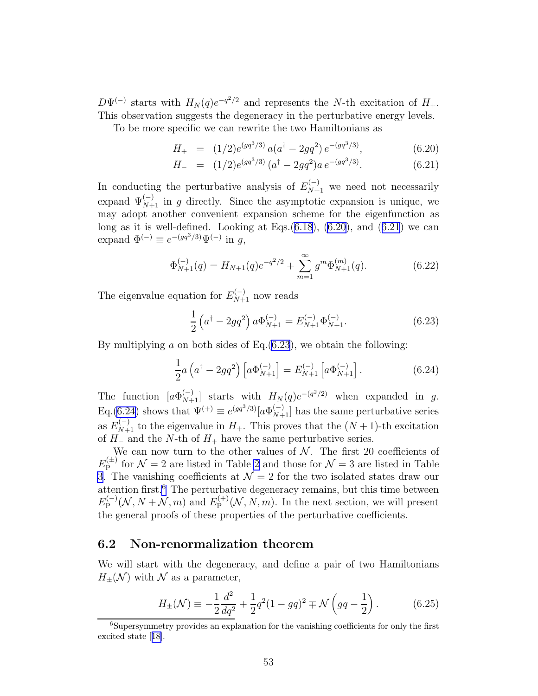<span id="page-53-0"></span> $D\Psi^{(-)}$  starts with  $H_N(q)e^{-q^2/2}$  and represents the N-th excitation of  $H_+$ . This observation suggests the degeneracy in the perturbative energy levels.

To be more specific we can rewrite the two Hamiltonians as

$$
H_{+} = (1/2)e^{(gq^{3}/3)} a(a^{\dagger} - 2gq^{2}) e^{-(gq^{3}/3)}, \qquad (6.20)
$$

$$
H_{-} = (1/2)e^{(gq^{3}/3)} (a^{\dagger} - 2gq^{2})a e^{-(gq^{3}/3)}.
$$
 (6.21)

In conducting the perturbative analysis of  $E_{N+1}^{(-)}$  we need not necessarily expand  $\Psi_{N+1}^{(-)}$  in g directly. Since the asymptotic expansion is unique, we may adopt another convenient expansion scheme for the eigenfunction as long as it is well-defined. Looking at Eqs. $(6.18)$ ,  $(6.20)$ , and  $(6.21)$  we can expand  $\Phi^{(-)} \equiv e^{-(gq^3/3)}\Psi^{(-)}$  in g,

$$
\Phi_{N+1}^{(-)}(q) = H_{N+1}(q)e^{-q^2/2} + \sum_{m=1}^{\infty} g^m \Phi_{N+1}^{(m)}(q). \tag{6.22}
$$

The eigenvalue equation for  $E_{N+1}^{(-)}$  now reads

$$
\frac{1}{2} \left( a^{\dagger} - 2g q^2 \right) a \Phi_{N+1}^{(-)} = E_{N+1}^{(-)} \Phi_{N+1}^{(-)}.
$$
\n(6.23)

By multiplying  $\alpha$  on both sides of Eq.(6.23), we obtain the following:

$$
\frac{1}{2}a\left(a^{\dagger} - 2gq^2\right)\left[a\Phi_{N+1}^{(-)}\right] = E_{N+1}^{(-)}\left[a\Phi_{N+1}^{(-)}\right].\tag{6.24}
$$

The function  $[a\Phi_{N+1}^{(-)}]$  starts with  $H_N(q)e^{-(q^2/2)}$  when expanded in g. Eq.(6.24) shows that  $\Psi^{(+)} \equiv e^{(gq^3/3)} [a \Phi_{N+1}^{(-)}]$  has the same perturbative series as  $E_{N+1}^{(-)}$  to the eigenvalue in  $H_+$ . This proves that the  $(N+1)$ -th excitation of  $H_-\$  and the N-th of  $H_+$  have the same perturbative series.

We can now turn to the other values of  $N$ . The first 20 coefficients of  $E_{\rm P}^{(\pm)}$  $\mathcal{N} = 2$  $\mathcal{N} = 2$  are listed in Table 2 and those for  $\mathcal{N} = 3$  are listed in Table [3](#page-49-0). The vanishing coefficients at  $\mathcal{N}=2$  for the two isolated states draw our attention first.<sup>6</sup> The perturbative degeneracy remains, but this time between  $E_{\rm P}^{(-)}$  $E_{\rm P}^{(-)}(\mathcal{N},N+\mathcal{N},m)$  and  $E_{\rm P}^{(+)}$  $P_{\rm P}^{(+)}(\mathcal{N}, N, m)$ . In the next section, we will present the general proofs of these properties of the perturbative coefficients.

### 6.2 Non-renormalization theorem

We will start with the degeneracy, and define a pair of two Hamiltonians  $H_{\pm}(\mathcal{N})$  with  $\mathcal N$  as a parameter,

$$
H_{\pm}(\mathcal{N}) \equiv -\frac{1}{2}\frac{d^2}{dq^2} + \frac{1}{2}q^2(1 - gq)^2 \mp \mathcal{N}\left(gq - \frac{1}{2}\right).
$$
 (6.25)

<sup>6</sup>Supersymmetry provides an explanation for the vanishing coefficients for only the first excited state[[18\]](#page-76-0).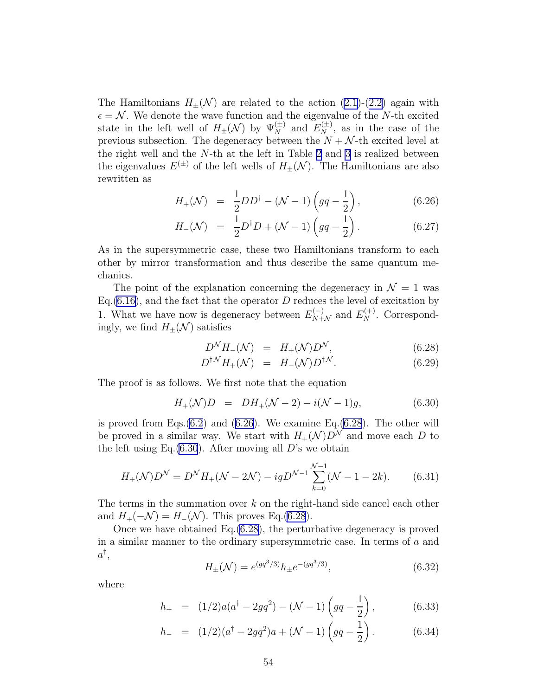<span id="page-54-0"></span>TheHamiltonians  $H_+(\mathcal{N})$  are related to the action ([2.1\)](#page-3-0)-([2.2\)](#page-3-0) again with  $\epsilon = \mathcal{N}$ . We denote the wave function and the eigenvalue of the N-th excited state in the left well of  $H_{\pm}(\mathcal{N})$  by  $\Psi_N^{(\pm)}$  and  $E_N^{(\pm)}$ , as in the case of the previous subsection. The degeneracy between the  $N + \mathcal{N}$ -th excited level at the right well and the N-th at the left in Table [2](#page-48-0) and [3](#page-49-0) is realized between the eigenvalues  $E^{(\pm)}$  of the left wells of  $H_{\pm}(\mathcal{N})$ . The Hamiltonians are also rewritten as

$$
H_{+}(\mathcal{N}) = \frac{1}{2}DD^{\dagger} - (\mathcal{N} - 1)\left(gq - \frac{1}{2}\right), \tag{6.26}
$$

$$
H_{-}(\mathcal{N}) = \frac{1}{2}D^{\dagger}D + (\mathcal{N} - 1)\left(gq - \frac{1}{2}\right). \tag{6.27}
$$

As in the supersymmetric case, these two Hamiltonians transform to each other by mirror transformation and thus describe the same quantum mechanics.

The point of the explanation concerning the degeneracy in  $\mathcal{N} = 1$  was Eq.  $(6.16)$  $(6.16)$ , and the fact that the operator D reduces the level of excitation by 1. What we have now is degeneracy between  $E_{N+\mathcal{N}}^{(-)}$  and  $E_N^{(+)}$ . Correspondingly, we find  $H_{\pm}(\mathcal{N})$  satisfies

$$
D^{\mathcal{N}}H_{-}(\mathcal{N}) = H_{+}(\mathcal{N})D^{\mathcal{N}}, \qquad (6.28)
$$

$$
D^{\dagger N} H_{+}(\mathcal{N}) = H_{-}(\mathcal{N}) D^{\dagger N}.
$$
 (6.29)

The proof is as follows. We first note that the equation

$$
H_{+}(\mathcal{N})D = DH_{+}(\mathcal{N} - 2) - i(\mathcal{N} - 1)g, \tag{6.30}
$$

is proved from Eqs. $(6.2)$  $(6.2)$  and  $(6.26)$ . We examine Eq. $(6.28)$ . The other will be proved in a similar way. We start with  $H_+(\mathcal{N})D^{\mathcal{N}}$  and move each D to the left using Eq. $(6.30)$ . After moving all D's we obtain

$$
H_{+}(\mathcal{N})D^{\mathcal{N}} = D^{\mathcal{N}}H_{+}(\mathcal{N} - 2\mathcal{N}) - igD^{\mathcal{N}-1} \sum_{k=0}^{\mathcal{N}-1} (\mathcal{N} - 1 - 2k). \tag{6.31}
$$

The terms in the summation over  $k$  on the right-hand side cancel each other and  $H_+(-\mathcal{N}) = H_-(\mathcal{N})$ . This proves Eq.(6.28).

Once we have obtained Eq.(6.28), the perturbative degeneracy is proved in a similar manner to the ordinary supersymmetric case. In terms of a and  $a^\dagger,$ 

$$
H_{\pm}(\mathcal{N}) = e^{(gq^3/3)}h_{\pm}e^{-(gq^3/3)},\tag{6.32}
$$

where

$$
h_{+} = (1/2)a(a^{\dagger} - 2gq^{2}) - (\mathcal{N} - 1)\left(gq - \frac{1}{2}\right), \qquad (6.33)
$$

$$
h_{-} = (1/2)(a^{\dagger} - 2gq^{2})a + (\mathcal{N} - 1)\left(gq - \frac{1}{2}\right).
$$
 (6.34)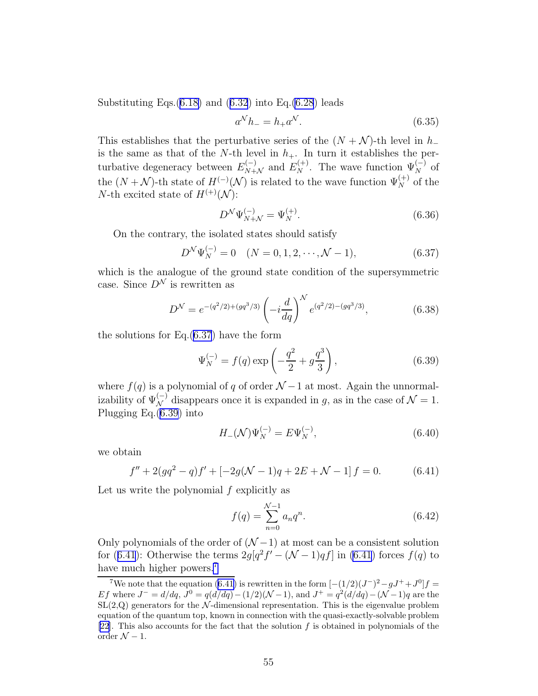SubstitutingEqs. $(6.18)$  $(6.18)$  and  $(6.32)$  $(6.32)$  $(6.32)$  into Eq. $(6.28)$  $(6.28)$  leads

$$
a^N h_- = h_+ a^N. \tag{6.35}
$$

This establishes that the perturbative series of the  $(N + N)$ -th level in  $h_$ is the same as that of the N-th level in  $h_{+}$ . In turn it establishes the perturbative degeneracy between  $E_{N+\mathcal{N}}^{(-)}$  and  $E_N^{(+)}$ . The wave function  $\Psi_N^{(-)}$  of the  $(N + N)$ -th state of  $H^{(-)}(\mathcal{N})$  is related to the wave function  $\Psi_N^{(+)}$  of the N-th excited state of  $H^{(+)}(\mathcal{N})$ :

$$
D^{\mathcal{N}}\Psi_{N+\mathcal{N}}^{(-)} = \Psi_N^{(+)}.
$$
\n(6.36)

On the contrary, the isolated states should satisfy

$$
D^{\mathcal{N}}\Psi_N^{(-)} = 0 \quad (N = 0, 1, 2, \cdots, \mathcal{N} - 1), \tag{6.37}
$$

which is the analogue of the ground state condition of the supersymmetric case. Since  $D^{\mathcal{N}}$  is rewritten as

$$
D^{\mathcal{N}} = e^{-(q^2/2) + (gq^3/3)} \left( -i \frac{d}{dq} \right)^{\mathcal{N}} e^{(q^2/2) - (gq^3/3)}, \tag{6.38}
$$

the solutions for Eq.(6.37) have the form

$$
\Psi_N^{(-)} = f(q) \exp\left(-\frac{q^2}{2} + g\frac{q^3}{3}\right),\tag{6.39}
$$

where  $f(q)$  is a polynomial of q of order  $\mathcal{N}$  – 1 at most. Again the unnormalizability of  $\Psi_{\mathcal{N}}^{(-)}$  disappears once it is expanded in g, as in the case of  $\mathcal{N}=1$ . Plugging Eq.(6.39) into

$$
H_{-}(\mathcal{N})\Psi_{N}^{(-)} = E\Psi_{N}^{(-)},\tag{6.40}
$$

we obtain

$$
f'' + 2(gq^{2} - q)f' + [-2g(\mathcal{N} - 1)q + 2E + \mathcal{N} - 1]f = 0.
$$
 (6.41)

Let us write the polynomial  $f$  explicitly as

$$
f(q) = \sum_{n=0}^{N-1} a_n q^n.
$$
 (6.42)

Only polynomials of the order of  $(\mathcal{N} - 1)$  at most can be a consistent solution for (6.41): Otherwise the terms  $2g[q^2f' - (\mathcal{N} - 1)qf]$  in (6.41) forces  $f(q)$  to have much higher powers.<sup>7</sup>

<sup>&</sup>lt;sup>7</sup>We note that the equation (6.41) is rewritten in the form  $[-(1/2)(J^-)^2 - gJ^+ + J^0]f =$ Ef where  $J^- = d/dq$ ,  $J^0 = q(d/dq) - (1/2)(\mathcal{N} - 1)$ , and  $J^+ = q^2(d/dq) - (\mathcal{N} - 1)q$  are the  $SL(2,Q)$  generators for the N-dimensional representation. This is the eigenvalue problem equation of the quantum top, known in connection with the quasi-exactly-solvable problem [\[22](#page-77-0)]. This also accounts for the fact that the solution f is obtained in polynomials of the order  $\mathcal{N} - 1$ .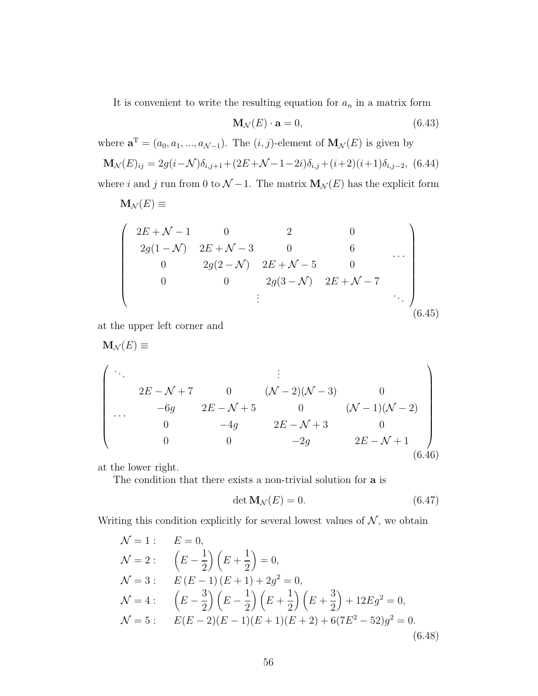<span id="page-56-0"></span>It is convenient to write the resulting equation for  $a_n$  in a matrix form

$$
\mathbf{M}_{\mathcal{N}}(E) \cdot \mathbf{a} = 0,\tag{6.43}
$$

where  $\mathbf{a}^{\mathrm{T}} = (a_0, a_1, ..., a_{\mathcal{N}-1})$ . The  $(i, j)$ -element of  $\mathbf{M}_{\mathcal{N}}(E)$  is given by  $\mathbf{M}_{\mathcal{N}}(E)_{ij} = 2g(i-\mathcal{N})\delta_{i,j+1} + (2E+\mathcal{N}-1-2i)\delta_{i,j} + (i+2)(i+1)\delta_{i,j-2},$  (6.44) where i and j run from 0 to  $\mathcal{N}$  – 1. The matrix  $\mathbf{M}_{\mathcal{N}}(E)$  has the explicit form

$$
\mathbf{M}_{\mathcal{N}}(E) \equiv
$$
\n
$$
\begin{pmatrix}\n2E + \mathcal{N} - 1 & 0 & 2 & 0 \\
2g(1 - \mathcal{N}) & 2E + \mathcal{N} - 3 & 0 & 6 \\
0 & 2g(2 - \mathcal{N}) & 2E + \mathcal{N} - 5 & 0 \\
0 & 0 & 2g(3 - \mathcal{N}) & 2E + \mathcal{N} - 7 \\
\vdots & \vdots & \ddots\n\end{pmatrix}_{(6.45)}
$$

at the upper left corner and

$$
\mathbf{M}_{\mathcal{N}}(E) \equiv
$$
\n
$$
\begin{pmatrix}\n\vdots & \vdots & \vdots & \vdots & \vdots & \vdots & \vdots & \vdots \\
2E - \mathcal{N} + 7 & 0 & (\mathcal{N} - 2)(\mathcal{N} - 3) & 0 & 0 \\
\cdots & -6g & 2E - \mathcal{N} + 5 & 0 & (\mathcal{N} - 1)(\mathcal{N} - 2) \\
0 & -4g & 2E - \mathcal{N} + 3 & 0 & 0 \\
0 & 0 & -2g & 2E - \mathcal{N} + 1 & 0 \\
0.460 & 0 & 0 & 0 & 0\n\end{pmatrix}
$$

at the lower right.

The condition that there exists a non-trivial solution for a is

$$
\det \mathbf{M}_{\mathcal{N}}(E) = 0. \tag{6.47}
$$

Writing this condition explicitly for several lowest values of  $N$ , we obtain

$$
\mathcal{N} = 1: \qquad E = 0,
$$
  
\n
$$
\mathcal{N} = 2: \qquad \left(E - \frac{1}{2}\right)\left(E + \frac{1}{2}\right) = 0,
$$
  
\n
$$
\mathcal{N} = 3: \qquad E\left(E - 1\right)\left(E + 1\right) + 2g^2 = 0,
$$
  
\n
$$
\mathcal{N} = 4: \qquad \left(E - \frac{3}{2}\right)\left(E - \frac{1}{2}\right)\left(E + \frac{1}{2}\right)\left(E + \frac{3}{2}\right) + 12Eg^2 = 0,
$$
  
\n
$$
\mathcal{N} = 5: \qquad E(E - 2)(E - 1)(E + 1)(E + 2) + 6(7E^2 - 52)g^2 = 0.
$$
  
\n(6.48)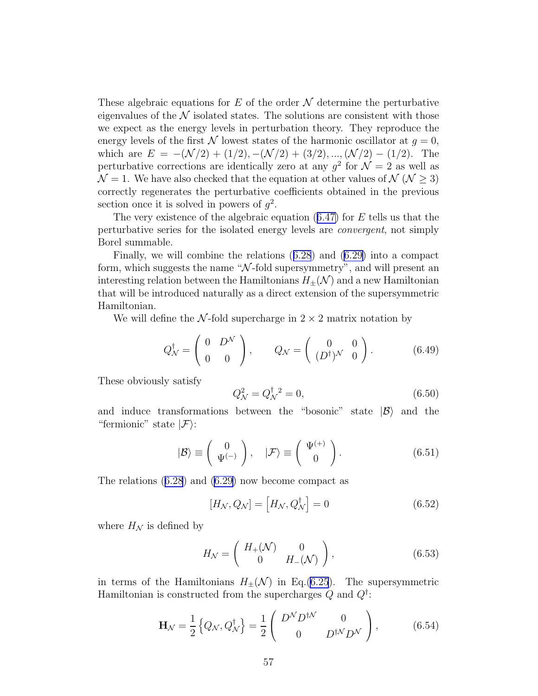<span id="page-57-0"></span>These algebraic equations for  $E$  of the order  $\mathcal N$  determine the perturbative eigenvalues of the  $N$  isolated states. The solutions are consistent with those we expect as the energy levels in perturbation theory. They reproduce the energy levels of the first N lowest states of the harmonic oscillator at  $q = 0$ , which are  $E = -(\mathcal{N}/2) + (1/2), -(\mathcal{N}/2) + (3/2), ..., (\mathcal{N}/2) - (1/2)$ . The perturbative corrections are identically zero at any  $g^2$  for  $\mathcal{N} = 2$  as well as  $\mathcal{N} = 1$ . We have also checked that the equation at other values of  $\mathcal{N}(\mathcal{N} > 3)$ correctly regenerates the perturbative coefficients obtained in the previous section once it is solved in powers of  $g^2$ .

Thevery existence of the algebraic equation  $(6.47)$  $(6.47)$  for E tells us that the perturbative series for the isolated energy levels are convergent, not simply Borel summable.

Finally, we will combine the relations([6.28](#page-54-0)) and([6.29\)](#page-54-0) into a compact form, which suggests the name " $\mathcal{N}$ -fold supersymmetry", and will present an interesting relation between the Hamiltonians  $H_{\pm}(\mathcal{N})$  and a new Hamiltonian that will be introduced naturally as a direct extension of the supersymmetric Hamiltonian.

We will define the N-fold supercharge in  $2 \times 2$  matrix notation by

$$
Q_N^{\dagger} = \begin{pmatrix} 0 & D^{\mathcal{N}} \\ 0 & 0 \end{pmatrix}, \qquad Q_{\mathcal{N}} = \begin{pmatrix} 0 & 0 \\ (D^{\dagger})^{\mathcal{N}} & 0 \end{pmatrix}.
$$
 (6.49)

These obviously satisfy

$$
Q^2_{\mathcal{N}} = Q^{\dagger}_{\mathcal{N}}{}^2 = 0,\tag{6.50}
$$

and induce transformations between the "bosonic" state  $|\mathcal{B}\rangle$  and the "fermionic" state  $|\mathcal{F}\rangle$ :

$$
|\mathcal{B}\rangle \equiv \left(\begin{array}{c}0\\ \Psi^{(-)}\end{array}\right), \quad |\mathcal{F}\rangle \equiv \left(\begin{array}{c} \Psi^{(+)}\\ 0\end{array}\right). \tag{6.51}
$$

The relations([6.28](#page-54-0)) and [\(6.29\)](#page-54-0) now become compact as

$$
[H_N, Q_N] = [H_N, Q_N^{\dagger}] = 0 \tag{6.52}
$$

where  $H_N$  is defined by

$$
H_{\mathcal{N}} = \begin{pmatrix} H_{+}(\mathcal{N}) & 0 \\ 0 & H_{-}(\mathcal{N}) \end{pmatrix}, \tag{6.53}
$$

in terms of the Hamiltonians  $H_{\pm}(\mathcal{N})$  in Eq.[\(6.25](#page-53-0)). The supersymmetric Hamiltonian is constructed from the supercharges  $Q$  and  $Q^{\dagger}$ :

$$
\mathbf{H}_{\mathcal{N}} = \frac{1}{2} \left\{ Q_{\mathcal{N}}, Q_{\mathcal{N}}^{\dagger} \right\} = \frac{1}{2} \begin{pmatrix} D^{\mathcal{N}} D^{\dagger \mathcal{N}} & 0 \\ 0 & D^{\dagger \mathcal{N}} D^{\mathcal{N}} \end{pmatrix},\tag{6.54}
$$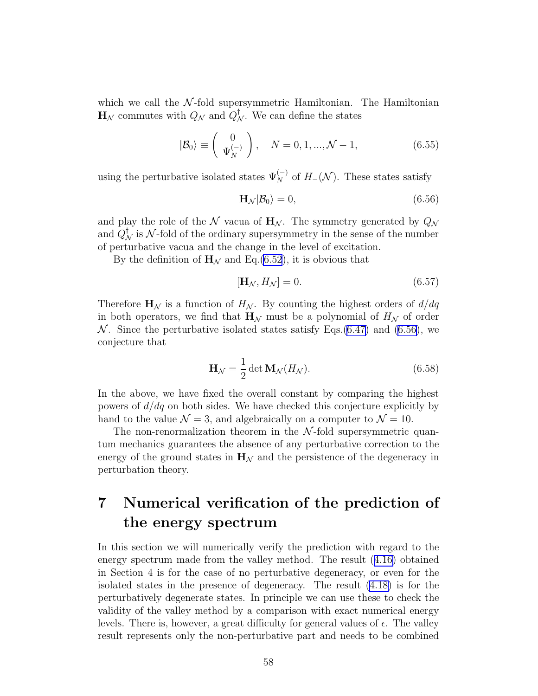<span id="page-58-0"></span>which we call the  $N$ -fold supersymmetric Hamiltonian. The Hamiltonian  $\mathbf{H}_{\mathcal{N}}$  commutes with  $Q_{\mathcal{N}}$  and  $Q_{\mathcal{N}}^{\dagger}$ . We can define the states

$$
|\mathcal{B}_0\rangle \equiv \left(\begin{array}{c} 0\\ \Psi_N^{(-)} \end{array}\right), \quad N = 0, 1, ..., \mathcal{N} - 1,\tag{6.55}
$$

using the perturbative isolated states  $\Psi_N^{(-)}$  of  $H_-(\mathcal{N})$ . These states satisfy

$$
\mathbf{H}_{\mathcal{N}}|\mathcal{B}_0\rangle = 0,\tag{6.56}
$$

and play the role of the N vacua of  $H_N$ . The symmetry generated by  $Q_N$ and  $Q^{\dagger}_{\mathcal{N}}$  is  $\mathcal{N}\text{-fold}$  of the ordinary supersymmetry in the sense of the number of perturbative vacua and the change in the level of excitation.

By the definition of  $H<sub>N</sub>$  and Eq.[\(6.52](#page-57-0)), it is obvious that

$$
[\mathbf{H}_{\mathcal{N}}, H_{\mathcal{N}}] = 0. \tag{6.57}
$$

Therefore  $\mathbf{H}_{\mathcal{N}}$  is a function of  $H_{\mathcal{N}}$ . By counting the highest orders of  $d/dq$ in both operators, we find that  $\mathbf{H}_{\mathcal{N}}$  must be a polynomial of  $H_{\mathcal{N}}$  of order  $\mathcal N$ . Since the perturbative isolated states satisfy Eqs.[\(6.47\)](#page-56-0) and (6.56), we conjecture that

$$
\mathbf{H}_{\mathcal{N}} = \frac{1}{2} \det \mathbf{M}_{\mathcal{N}}(H_{\mathcal{N}}). \tag{6.58}
$$

In the above, we have fixed the overall constant by comparing the highest powers of  $d/dq$  on both sides. We have checked this conjecture explicitly by hand to the value  $\mathcal{N} = 3$ , and algebraically on a computer to  $\mathcal{N} = 10$ .

The non-renormalization theorem in the  $N$ -fold supersymmetric quantum mechanics guarantees the absence of any perturbative correction to the energy of the ground states in  $H_N$  and the persistence of the degeneracy in perturbation theory.

# 7 Numerical verification of the prediction of the energy spectrum

In this section we will numerically verify the prediction with regard to the energy spectrum made from the valley method. The result([4.16\)](#page-37-0) obtained in Section 4 is for the case of no perturbative degeneracy, or even for the isolated states in the presence of degeneracy. The result([4.18\)](#page-37-0) is for the perturbatively degenerate states. In principle we can use these to check the validity of the valley method by a comparison with exact numerical energy levels. There is, however, a great difficulty for general values of  $\epsilon$ . The valley result represents only the non-perturbative part and needs to be combined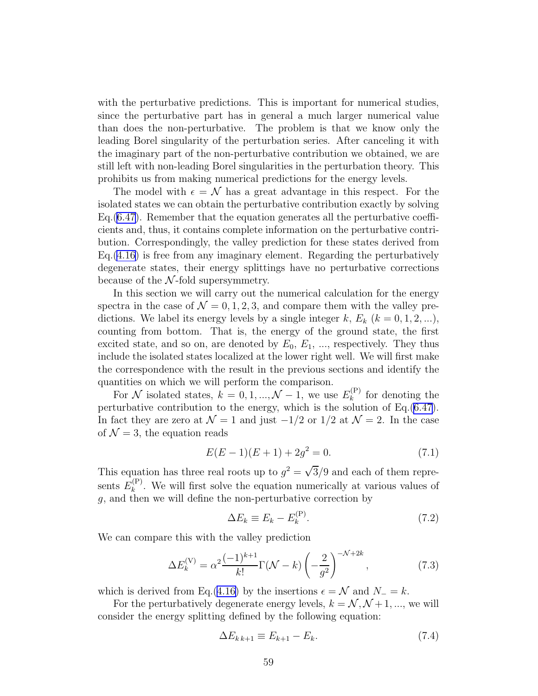<span id="page-59-0"></span>with the perturbative predictions. This is important for numerical studies, since the perturbative part has in general a much larger numerical value than does the non-perturbative. The problem is that we know only the leading Borel singularity of the perturbation series. After canceling it with the imaginary part of the non-perturbative contribution we obtained, we are still left with non-leading Borel singularities in the perturbation theory. This prohibits us from making numerical predictions for the energy levels.

The model with  $\epsilon = \mathcal{N}$  has a great advantage in this respect. For the isolated states we can obtain the perturbative contribution exactly by solving Eq.[\(6.47](#page-56-0)). Remember that the equation generates all the perturbative coefficients and, thus, it contains complete information on the perturbative contribution. Correspondingly, the valley prediction for these states derived from Eq.[\(4.16](#page-37-0)) is free from any imaginary element. Regarding the perturbatively degenerate states, their energy splittings have no perturbative corrections because of the  $N$ -fold supersymmetry.

In this section we will carry out the numerical calculation for the energy spectra in the case of  $\mathcal{N} = 0, 1, 2, 3$ , and compare them with the valley predictions. We label its energy levels by a single integer k,  $E_k$  ( $k = 0, 1, 2, ...$ ), counting from bottom. That is, the energy of the ground state, the first excited state, and so on, are denoted by  $E_0, E_1, \ldots$ , respectively. They thus include the isolated states localized at the lower right well. We will first make the correspondence with the result in the previous sections and identify the quantities on which we will perform the comparison.

For N isolated states,  $k = 0, 1, ..., \mathcal{N} - 1$ , we use  $E_k^{(P)}$  $\binom{[r]}{k}$  for denoting the perturbative contribution to the energy, which is the solution of Eq.[\(6.47\)](#page-56-0). In fact they are zero at  $\mathcal{N} = 1$  and just  $-1/2$  or  $1/2$  at  $\mathcal{N} = 2$ . In the case of  $\mathcal{N} = 3$ , the equation reads

$$
E(E-1)(E+1) + 2g^2 = 0.
$$
\n(7.1)

This equation has three real roots up to  $g^2 = \sqrt{3}/9$  and each of them represents  $E_k^{(P)}$  $\kappa_k^{(P)}$ . We will first solve the equation numerically at various values of  $g$ , and then we will define the non-perturbative correction by

$$
\Delta E_k \equiv E_k - E_k^{(P)}.\tag{7.2}
$$

We can compare this with the valley prediction

$$
\Delta E_k^{(V)} = \alpha^2 \frac{(-1)^{k+1}}{k!} \Gamma(\mathcal{N} - k) \left( -\frac{2}{g^2} \right)^{-\mathcal{N} + 2k},\tag{7.3}
$$

which is derived from Eq.[\(4.16\)](#page-37-0) by the insertions  $\epsilon = \mathcal{N}$  and  $N_ = k$ .

For the perturbatively degenerate energy levels,  $k = \mathcal{N}, \mathcal{N} + 1, \dots$ , we will consider the energy splitting defined by the following equation:

$$
\Delta E_{k,k+1} \equiv E_{k+1} - E_k. \tag{7.4}
$$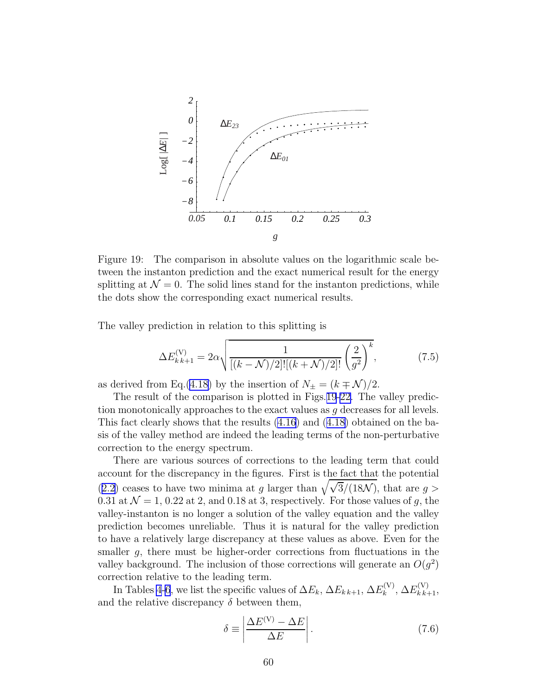

Figure 19: The comparison in absolute values on the logarithmic scale between the instanton prediction and the exact numerical result for the energy splitting at  $\mathcal{N} = 0$ . The solid lines stand for the instanton predictions, while the dots show the corresponding exact numerical results.

The valley prediction in relation to this splitting is

$$
\Delta E_{k,k+1}^{(V)} = 2\alpha \sqrt{\frac{1}{[(k-\mathcal{N})/2]![(k+\mathcal{N})/2]!} \left(\frac{2}{g^2}\right)^k},\tag{7.5}
$$

as derived from Eq.[\(4.18\)](#page-37-0) by the insertion of  $N_{\pm} = (k \mp \mathcal{N})/2$ .

The result of the comparison is plotted in Figs.19[-22.](#page-62-0) The valley prediction monotonically approaches to the exact values as g decreases for all levels. This fact clearly shows that the results [\(4.16\)](#page-37-0) and([4.18\)](#page-37-0) obtained on the basis of the valley method are indeed the leading terms of the non-perturbative correction to the energy spectrum.

There are various sources of corrections to the leading term that could account for the discrepancy in the figures. First is the fact that the potential ([2.2\)](#page-3-0) ceases to have two minima at g larger than  $\sqrt{\sqrt{3}/(18\mathcal{N})}$ , that are g > 0.31 at  $\mathcal{N} = 1$ , 0.22 at 2, and 0.18 at 3, respectively. For those values of g, the valley-instanton is no longer a solution of the valley equation and the valley prediction becomes unreliable. Thus it is natural for the valley prediction to have a relatively large discrepancy at these values as above. Even for the smaller g, there must be higher-order corrections from fluctuations in the valley background. The inclusion of those corrections will generate an  $O(g^2)$ correction relative to the leading term.

In Tables [4](#page-63-0)[-6](#page-65-0), we list the specific values of  $\Delta E_k$ ,  $\Delta E_{k,k+1}$ ,  $\Delta E_k^{(V)}$  $E_k^{\rm (V)}, \Delta E_{k\,k+1}^{\rm (V)},$ and the relative discrepancy  $\delta$  between them,

$$
\delta \equiv \left| \frac{\Delta E^{(V)} - \Delta E}{\Delta E} \right|.
$$
\n(7.6)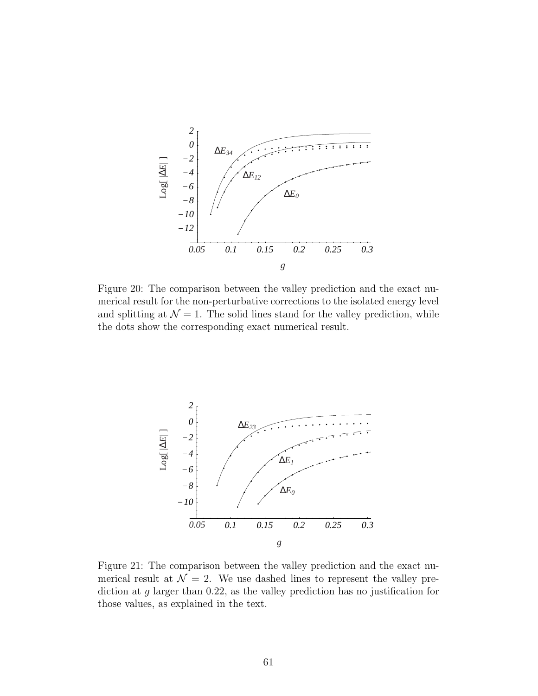<span id="page-61-0"></span>

Figure 20: The comparison between the valley prediction and the exact numerical result for the non-perturbative corrections to the isolated energy level and splitting at  $\mathcal{N} = 1$ . The solid lines stand for the valley prediction, while the dots show the corresponding exact numerical result.



Figure 21: The comparison between the valley prediction and the exact numerical result at  $\mathcal{N} = 2$ . We use dashed lines to represent the valley prediction at g larger than 0.22, as the valley prediction has no justification for those values, as explained in the text.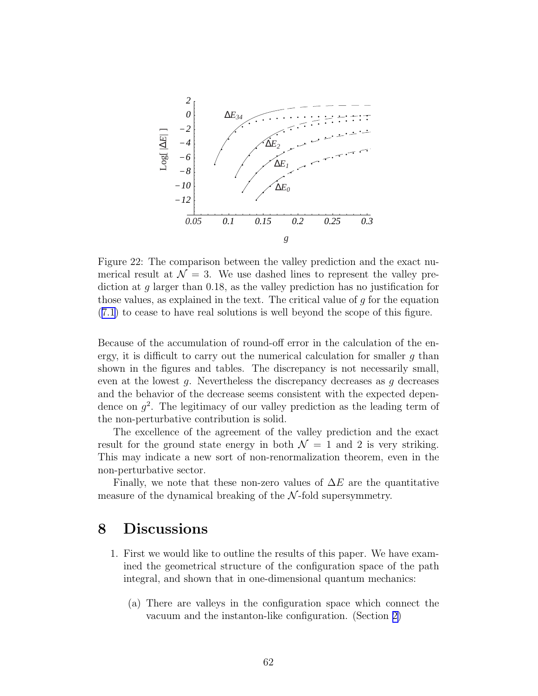<span id="page-62-0"></span>

Figure 22: The comparison between the valley prediction and the exact numerical result at  $\mathcal{N} = 3$ . We use dashed lines to represent the valley prediction at g larger than 0.18, as the valley prediction has no justification for those values, as explained in the text. The critical value of g for the equation ([7.1\)](#page-59-0) to cease to have real solutions is well beyond the scope of this figure.

Because of the accumulation of round-off error in the calculation of the energy, it is difficult to carry out the numerical calculation for smaller  $g$  than shown in the figures and tables. The discrepancy is not necessarily small, even at the lowest  $g$ . Nevertheless the discrepancy decreases as  $g$  decreases and the behavior of the decrease seems consistent with the expected dependence on  $g^2$ . The legitimacy of our valley prediction as the leading term of the non-perturbative contribution is solid.

The excellence of the agreement of the valley prediction and the exact result for the ground state energy in both  $\mathcal{N} = 1$  and 2 is very striking. This may indicate a new sort of non-renormalization theorem, even in the non-perturbative sector.

Finally, we note that these non-zero values of  $\Delta E$  are the quantitative measure of the dynamical breaking of the  $N$ -fold supersymmetry.

## 8 Discussions

- 1. First we would like to outline the results of this paper. We have examined the geometrical structure of the configuration space of the path integral, and shown that in one-dimensional quantum mechanics:
	- (a) There are valleys in the configuration space which connect the vacuum and the instanton-like configuration. (Section [2\)](#page-3-0)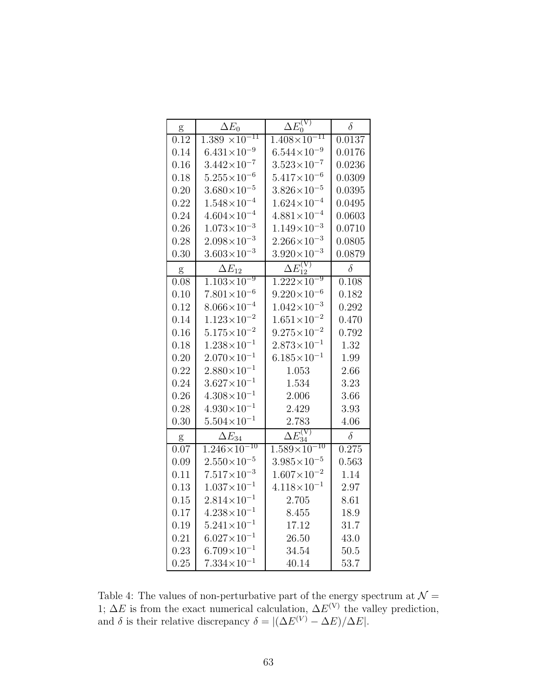<span id="page-63-0"></span>

| g             | $\Delta E_0$            | $\Delta E_0^{(V)}$                    | $\delta$ |
|---------------|-------------------------|---------------------------------------|----------|
| 0.12          | $1.389 \times 10^{-11}$ | $1.\overline{408\times10^{-11}}$      | 0.0137   |
| 0.14          | $6.431\times10^{-9}$    | $6.544\times10^{-9}$                  | 0.0176   |
| 0.16          | $3.442\times10^{-7}$    | $3.523\times10^{-7}$                  | 0.0236   |
| 0.18          | $5.255\times10^{-6}$    | $5.417\times10^{-6}$                  | 0.0309   |
| 0.20          | $3.680\times10^{-5}$    | $3.826 \times 10^{-5}$                | 0.0395   |
| 0.22          | $1.548\times10^{-4}$    | $1.624 \times 10^{-4}$                | 0.0495   |
| 0.24          | $4.604\times10^{-4}$    | $4.881\times10^{-4}$                  | 0.0603   |
| 0.26          | $1.073\times10^{-3}$    | $1.149\times10^{-3}$                  | 0.0710   |
| 0.28          | $2.098 \times 10^{-3}$  | $2.266 \times 10^{-3}$                | 0.0805   |
| 0.30          | $3.603\times10^{-3}$    | $3.920\times10^{-3}$                  | 0.0879   |
| g             | $\Delta E_{12}$         | $\Delta E_{12}^{\rm (V)}$             | $\delta$ |
| 0.08          | $1.103\times10^{-9}$    | $1.222 \times 10^{-9}$                | 0.108    |
| 0.10          | $7.801\times10^{-6}$    | $9.220 \times 10^{-6}$                | 0.182    |
| 0.12          | $8.066\times10^{-4}$    | $1.042\times10^{-3}$                  | 0.292    |
| 0.14          | $1.123{\times}10^{-2}$  | $1.651\times10^{-2}$                  | 0.470    |
| 0.16          | $5.175\times10^{-2}$    | $9.275 \times 10^{-2}$                | 0.792    |
| 0.18          | $1.238 \times 10^{-1}$  | $2.873 \times 10^{-1}$                | 1.32     |
| 0.20          | $2.070\times10^{-1}$    | $6.185\times10^{-1}$                  | 1.99     |
| 0.22          | $2.880\times10^{-1}$    | $1.053\,$                             | 2.66     |
| 0.24          | $3.627\times10^{-1}$    | 1.534                                 | 3.23     |
| 0.26          | $4.308\times10^{-1}$    | 2.006                                 | 3.66     |
| 0.28          | $4.930\times10^{-1}$    | 2.429                                 | 3.93     |
| 0.30          | $5.504\times10^{-1}$    | 2.783                                 | 4.06     |
| $\frac{g}{2}$ | $\Delta E_{34}$         | $\frac{\Delta E_{34}^{(\nabla)}}{25}$ | $\delta$ |
| 0.07          | $1.246\times10^{-10}$   | $1.589\times10^{-10}$                 | 0.275    |
| 0.09          | $2.550\times10^{-5}$    | $3.985 \times 10^{-5}$                | 0.563    |
| 0.11          | $7.517\times10^{-3}$    | $1.607\times10^{-2}$                  | 1.14     |
| 0.13          | $1.037{\times}10^{-1}$  | $4.118\times10^{-1}$                  | 2.97     |
| 0.15          | $2.814 \times 10^{-1}$  | 2.705                                 | 8.61     |
| 0.17          | $4.238\times10^{-1}$    | 8.455                                 | 18.9     |
| 0.19          | $5.241 \times 10^{-1}$  | 17.12                                 | 31.7     |
| 0.21          | $6.027\times10^{-1}$    | 26.50                                 | 43.0     |
| 0.23          | $6.709\times10^{-1}$    | 34.54                                 | 50.5     |
| 0.25          | $7.334\times10^{-1}$    | 40.14                                 | 53.7     |

Table 4: The values of non-perturbative part of the energy spectrum at  $\mathcal{N} =$ 1;  $\Delta E$  is from the exact numerical calculation,  $\Delta E^{(V)}$  the valley prediction, and  $\delta$  is their relative discrepancy  $\delta = |(\Delta E^{(V)} - \Delta E)/\Delta E|$ .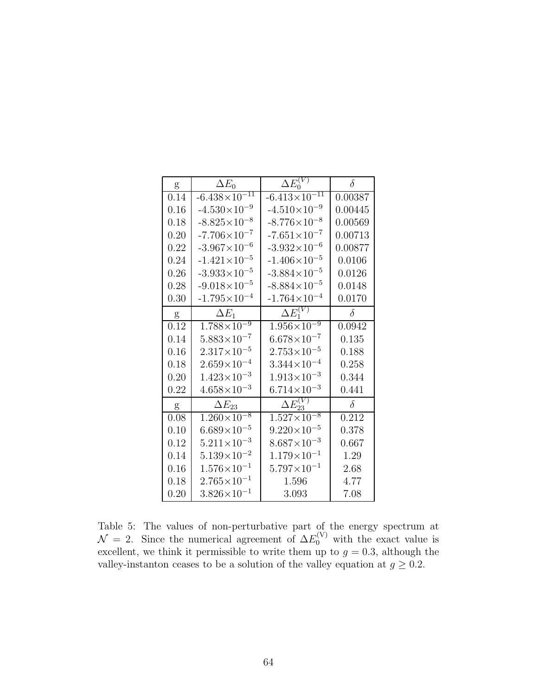| g    | $\Delta E_0$                      | $\Delta E_0^{(V)}$               | $\delta$ |
|------|-----------------------------------|----------------------------------|----------|
| 0.14 | $-6.438\times10^{-11}$            | $-6.413\times10^{-11}$           | 0.00387  |
| 0.16 | $-4.530\times10^{-9}$             | $-4.510\times10^{-9}$            | 0.00445  |
| 0.18 | $-8.825 \times 10^{-8}$           | $-8.776 \times 10^{-8}$          | 0.00569  |
| 0.20 | $-7.706 \times 10^{-7}$           | $-7.651\times10^{-7}$            | 0.00713  |
| 0.22 | $-3.967\times10^{-6}$             | $-3.932\times10^{-6}$            | 0.00877  |
| 0.24 | $-1.421 \times 10^{-5}$           | $-1.406 \times 10^{-5}$          | 0.0106   |
| 0.26 | $-3.933 \times 10^{-5}$           | $-3.884 \times 10^{-5}$          | 0.0126   |
| 0.28 | $-9.018 \times 10^{-5}$           | $-8.884 \times 10^{-5}$          | 0.0148   |
| 0.30 | $-1.795 \times 10^{-4}$           | $-1.764\times10^{-4}$            | 0.0170   |
| g    | $\Delta E_1$                      | $\Delta E_1^{(V)}$               | $\delta$ |
| 0.12 | $1.788 \times \overline{10^{-9}}$ | $1.956\times10^{-9}$             | 0.0942   |
| 0.14 | $5.883 \times 10^{-7}$            | $6.678\times10^{-7}$             | 0.135    |
| 0.16 | $2.317\times10^{-5}$              | $2.753 \times 10^{-5}$           | 0.188    |
| 0.18 | $2.659\times10^{-4}$              | $3.344 \times 10^{-4}$           | 0.258    |
| 0.20 | $1.423 \times 10^{-3}$            | $1.913\times10^{-3}$             | 0.344    |
| 0.22 | $4.658\times10^{-3}$              | $6.714\times10^{-3}$             | 0.441    |
| g    | $\Delta E_{23}$                   | $\Delta E_{23}^{(\overline{V})}$ | $\delta$ |
| 0.08 | $1.260\times10^{-8}$              | $1.527 \times 10^{-8}$           | 0.212    |
| 0.10 | $6.689\times10^{-5}$              | $9.220 \times 10^{-5}$           | 0.378    |
| 0.12 | $5.211 \times 10^{-3}$            | $8.687\times10^{-3}$             | 0.667    |
| 0.14 | $5.139\times10^{-2}$              | $1.179\times10^{-1}$             | 1.29     |
| 0.16 | $1.576 \times 10^{-1}$            | $5.797\times10^{-1}$             | 2.68     |
| 0.18 | $2.765\times10^{-1}$              | 1.596                            | 4.77     |
| 0.20 | $3.826 \times 10^{-1}$            | 3.093                            | 7.08     |

Table 5: The values of non-perturbative part of the energy spectrum at  $\mathcal{N} = 2$ . Since the numerical agreement of  $\Delta E_0^{(V)}$  with the exact value is excellent, we think it permissible to write them up to  $g = 0.3$ , although the valley-instanton ceases to be a solution of the valley equation at  $g \geq 0.2$ .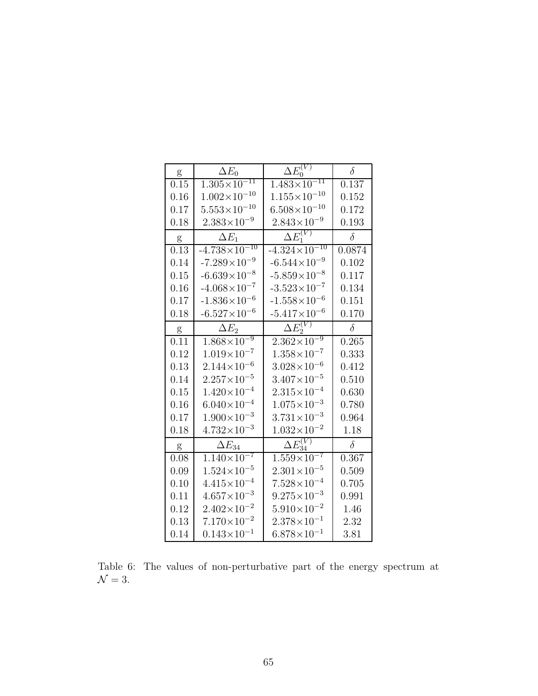<span id="page-65-0"></span>

| g                 | $\Delta E_0$                      | $\Delta E_0^{(V)}$                | $\delta$ |
|-------------------|-----------------------------------|-----------------------------------|----------|
| 0.15              | $1.305 \times 10^{-11}$           | $1.483\times10^{-11}$             | 0.137    |
| 0.16              | $1.002\times10^{-10}$             | $1.155\times10^{-10}$             | 0.152    |
| 0.17              | $5.553\times10^{-10}$             | $6.508\times10^{-10}$             | 0.172    |
| 0.18              | $2.383\times10^{-9}$              | $2.843 \times 10^{-9}$            | 0.193    |
| g                 | $\Delta E_1$                      | $\Delta E_1^{(V)}$                | $\delta$ |
| $\overline{0}.13$ | $-4.738 \times 10^{-10}$          | $-4.32\overline{4\times10^{-10}}$ | 0.0874   |
| 0.14              | $-7.289\times10^{-9}$             | $-6.544 \times 10^{-9}$           | 0.102    |
| 0.15              | $-6.639\times10^{-8}$             | $-5.859\times10^{-8}$             | 0.117    |
| 0.16              | $-4.068\times10^{-7}$             | $-3.523 \times 10^{-7}$           | 0.134    |
| 0.17              | $-1.836\times10^{-6}$             | $-1.558\times10^{-6}$             | 0.151    |
| 0.18              | $-6.527\times10^{-6}$             | $-5.417\times10^{-6}$             | 0.170    |
| g                 | $\Delta E_2$                      | $\Delta E_2^{(V)}$                | $\delta$ |
| $\overline{0.11}$ | $1.868 \times \overline{10^{-9}}$ | $2.362\times10^{-9}$              | 0.265    |
| 0.12              | $1.019\times10^{-7}$              | $1.358\times10^{-7}$              | 0.333    |
| 0.13              | $2.144 \times 10^{-6}$            | $3.028 \times 10^{-6}$            | 0.412    |
| 0.14              | $2.257\times10^{-5}$              | $3.407\times10^{-5}$              | 0.510    |
| 0.15              | $1.420\times10^{-4}$              | $2.315 \times 10^{-4}$            | 0.630    |
| 0.16              | $6.040\times10^{-4}$              | $1.075\times10^{-3}$              | 0.780    |
| 0.17              | $1.900\times10^{-3}$              | $3.731 \times 10^{-3}$            | 0.964    |
| 0.18              | $4.732 \times 10^{-3}$            | $1.032\times10^{-2}$              | 1.18     |
| g                 | $\Delta E_{34}$                   | $\Delta E^{(\bar{V})}_\circ$      | $\delta$ |
| 0.08              | $1.140\times10^{-7}$              | $1.559\times10^{-7}$              | 0.367    |
| 0.09              | $1.524 \times 10^{-5}$            | $2.301 \times 10^{-5}$            | 0.509    |
| 0.10              | $4.415\times10^{-4}$              | $7.528 \times 10^{-4}$            | 0.705    |
| 0.11              | $4.657\times10^{-3}$              | $9.275 \times 10^{-3}$            | 0.991    |
| 0.12              | $2.402\times10^{-2}$              | $5.910\times10^{-2}$              | 1.46     |
| 0.13              | $7.170\times10^{-2}$              | $2.378 \times 10^{-1}$            | 2.32     |
| 0.14              | $0.143\times10^{-1}$              | $6.878\times10^{-1}$              | 3.81     |

Table 6: The values of non-perturbative part of the energy spectrum at  $\mathcal{N}=3.$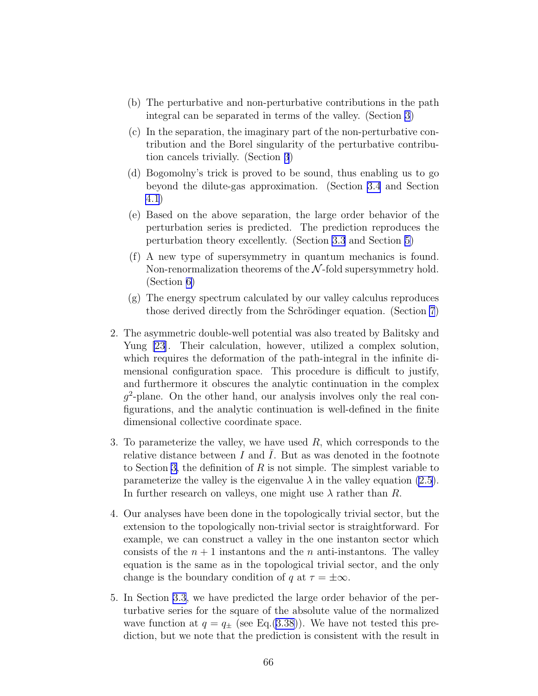- (b) The perturbative and non-perturbative contributions in the path integral can be separated in terms of the valley. (Section [3](#page-24-0))
- (c) In the separation, the imaginary part of the non-perturbative contribution and the Borel singularity of the perturbative contribution cancels trivially. (Section [3](#page-24-0))
- (d) Bogomolny's trick is proved to be sound, thus enabling us to go beyond the dilute-gas approximation. (Section [3.4](#page-33-0) and Section [4.1](#page-34-0))
- (e) Based on the above separation, the large order behavior of the perturbation series is predicted. The prediction reproduces the perturbation theory excellently. (Section [3.3](#page-31-0) and Section [5\)](#page-40-0)
- (f) A new type of supersymmetry in quantum mechanics is found. Non-renormalization theorems of the  $N$ -fold supersymmetry hold. (Section [6\)](#page-43-0)
- (g) The energy spectrum calculated by our valley calculus reproduces those derived directly from the Schrödinger equation. (Section [7](#page-58-0))
- 2. The asymmetric double-well potential was also treated by Balitsky and Yung [\[23\]](#page-77-0). Their calculation, however, utilized a complex solution, which requires the deformation of the path-integral in the infinite dimensional configuration space. This procedure is difficult to justify, and furthermore it obscures the analytic continuation in the complex  $g^2$ -plane. On the other hand, our analysis involves only the real configurations, and the analytic continuation is well-defined in the finite dimensional collective coordinate space.
- 3. To parameterize the valley, we have used  $R$ , which corresponds to the relative distance between  $I$  and  $I$ . But as was denoted in the footnote to Section [3,](#page-24-0) the definition of R is not simple. The simplest variable to parameterize the valley is the eigenvalue  $\lambda$  in the valley equation [\(2.5](#page-5-0)). In further research on valleys, one might use  $\lambda$  rather than R.
- 4. Our analyses have been done in the topologically trivial sector, but the extension to the topologically non-trivial sector is straightforward. For example, we can construct a valley in the one instanton sector which consists of the  $n+1$  instantons and the n anti-instantons. The valley equation is the same as in the topological trivial sector, and the only change is the boundary condition of q at  $\tau = \pm \infty$ .
- 5. In Section [3.3](#page-31-0), we have predicted the large order behavior of the perturbative series for the square of the absolute value of the normalized wave function at  $q = q_{\pm}$  (see Eq.[\(3.38](#page-33-0))). We have not tested this prediction, but we note that the prediction is consistent with the result in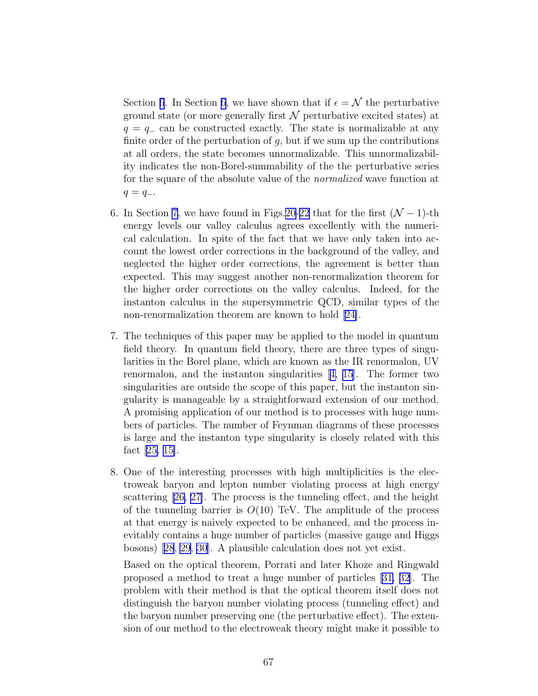Section [6](#page-43-0). In Section 6, we have shown that if  $\epsilon = \mathcal{N}$  the perturbative ground state (or more generally first  $\mathcal N$  perturbative excited states) at  $q = q_-\,$  can be constructed exactly. The state is normalizable at any finite order of the perturbation of  $g$ , but if we sum up the contributions at all orders, the state becomes unnormalizable. This unnormalizability indicates the non-Borel-summability of the the perturbative series for the square of the absolute value of the normalized wave function at  $q = q_-.$ 

- 6. In Section [7](#page-58-0), we have found in Figs.[20-](#page-61-0)[22](#page-62-0) that for the first  $(N-1)$ -th energy levels our valley calculus agrees excellently with the numerical calculation. In spite of the fact that we have only taken into account the lowest order corrections in the background of the valley, and neglected the higher order corrections, the agreement is better than expected. This may suggest another non-renormalization theorem for the higher order corrections on the valley calculus. Indeed, for the instanton calculus in the supersymmetric QCD, similar types of the non-renormalization theorem are known to hold[[24\]](#page-77-0).
- 7. The techniques of this paper may be applied to the model in quantum field theory. In quantum field theory, there are three types of singularities in the Borel plane, which are known as the IR renormalon, UV renormalon, and the instanton singularities[[4, 15\]](#page-76-0). The former two singularities are outside the scope of this paper, but the instanton singularity is manageable by a straightforward extension of our method. A promising application of our method is to processes with huge numbers of particles. The number of Feynman diagrams of these processes is large and the instanton type singularity is closely related with this fact[[25,](#page-77-0) [15\]](#page-76-0).
- 8. One of the interesting processes with high multiplicities is the electroweak baryon and lepton number violating process at high energy scattering [\[26, 27\]](#page-77-0). The process is the tunneling effect, and the height of the tunneling barrier is  $O(10)$  TeV. The amplitude of the process at that energy is naively expected to be enhanced, and the process inevitably contains a huge number of particles (massive gauge and Higgs bosons)[[28](#page-77-0), [29](#page-77-0), [30](#page-77-0)]. A plausible calculation does not yet exist.

Based on the optical theorem, Porrati and later Khoze and Ringwald proposed a method to treat a huge number of particles [\[31, 32](#page-77-0)]. The problem with their method is that the optical theorem itself does not distinguish the baryon number violating process (tunneling effect) and the baryon number preserving one (the perturbative effect). The extension of our method to the electroweak theory might make it possible to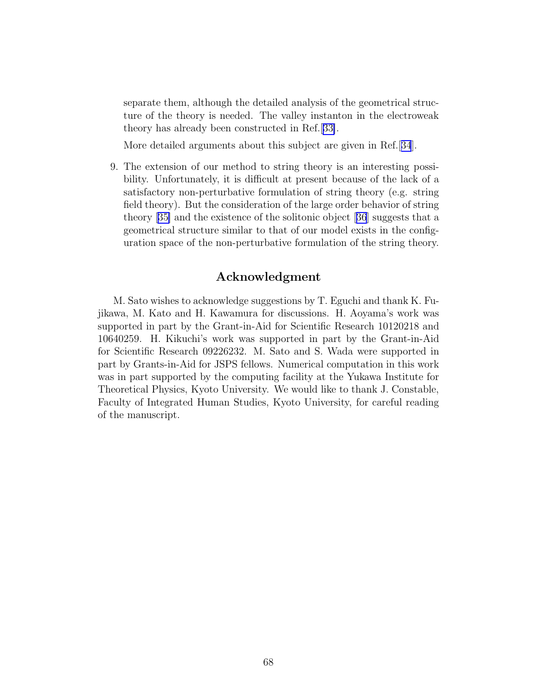separate them, although the detailed analysis of the geometrical structure of the theory is needed. The valley instanton in the electroweak theory has already been constructed in Ref.[[33\]](#page-77-0).

More detailed arguments about this subject are given in Ref.[[34](#page-77-0)].

9. The extension of our method to string theory is an interesting possibility. Unfortunately, it is difficult at present because of the lack of a satisfactory non-perturbative formulation of string theory (e.g. string field theory). But the consideration of the large order behavior of string theory[[35\]](#page-77-0) and the existence of the solitonic object[[36](#page-77-0)] suggests that a geometrical structure similar to that of our model exists in the configuration space of the non-perturbative formulation of the string theory.

### Acknowledgment

M. Sato wishes to acknowledge suggestions by T. Eguchi and thank K. Fujikawa, M. Kato and H. Kawamura for discussions. H. Aoyama's work was supported in part by the Grant-in-Aid for Scientific Research 10120218 and 10640259. H. Kikuchi's work was supported in part by the Grant-in-Aid for Scientific Research 09226232. M. Sato and S. Wada were supported in part by Grants-in-Aid for JSPS fellows. Numerical computation in this work was in part supported by the computing facility at the Yukawa Institute for Theoretical Physics, Kyoto University. We would like to thank J. Constable, Faculty of Integrated Human Studies, Kyoto University, for careful reading of the manuscript.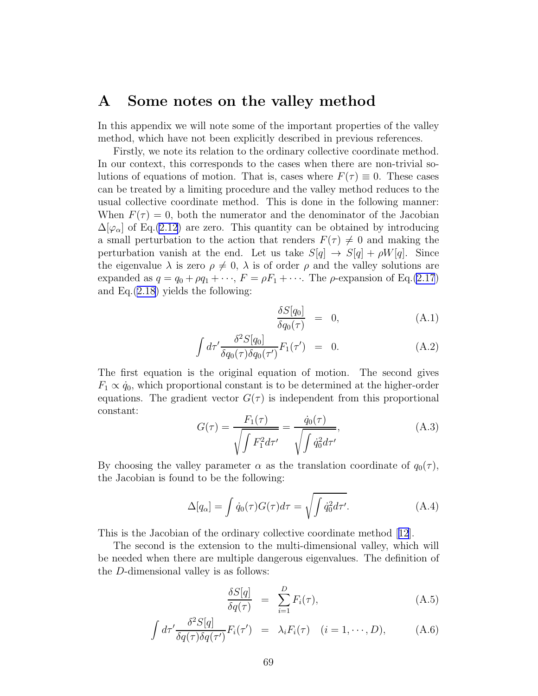### A Some notes on the valley method

In this appendix we will note some of the important properties of the valley method, which have not been explicitly described in previous references.

Firstly, we note its relation to the ordinary collective coordinate method. In our context, this corresponds to the cases when there are non-trivial solutions of equations of motion. That is, cases where  $F(\tau) \equiv 0$ . These cases can be treated by a limiting procedure and the valley method reduces to the usual collective coordinate method. This is done in the following manner: When  $F(\tau) = 0$ , both the numerator and the denominator of the Jacobian  $\Delta[\varphi_{\alpha}]$  of Eq.[\(2.12](#page-7-0)) are zero. This quantity can be obtained by introducing a small perturbation to the action that renders  $F(\tau) \neq 0$  and making the perturbation vanish at the end. Let us take  $S[q] \rightarrow S[q] + \rho W[q]$ . Since the eigenvalue  $\lambda$  is zero  $\rho \neq 0$ ,  $\lambda$  is of order  $\rho$  and the valley solutions are expanded as  $q = q_0 + \rho q_1 + \cdots$ ,  $F = \rho F_1 + \cdots$ . The  $\rho$ -expansion of Eq.[\(2.17](#page-8-0)) and Eq.([2.18\)](#page-8-0) yields the following:

$$
\frac{\delta S[q_0]}{\delta q_0(\tau)} = 0, \tag{A.1}
$$

$$
\int d\tau' \frac{\delta^2 S[q_0]}{\delta q_0(\tau)\delta q_0(\tau')} F_1(\tau') = 0.
$$
\n(A.2)

The first equation is the original equation of motion. The second gives  $F_1 \propto \dot{q}_0$ , which proportional constant is to be determined at the higher-order equations. The gradient vector  $G(\tau)$  is independent from this proportional constant:

$$
G(\tau) = \frac{F_1(\tau)}{\sqrt{\int F_1^2 d\tau'}} = \frac{\dot{q}_0(\tau)}{\sqrt{\int \dot{q}_0^2 d\tau'}},
$$
(A.3)

By choosing the valley parameter  $\alpha$  as the translation coordinate of  $q_0(\tau)$ , the Jacobian is found to be the following:

$$
\Delta[q_{\alpha}] = \int \dot{q}_0(\tau) G(\tau) d\tau = \sqrt{\int \dot{q}_0^2 d\tau'}.
$$
\n(A.4)

This is the Jacobian of the ordinary collective coordinate method[[12](#page-76-0)].

The second is the extension to the multi-dimensional valley, which will be needed when there are multiple dangerous eigenvalues. The definition of the D-dimensional valley is as follows:

$$
\frac{\delta S[q]}{\delta q(\tau)} = \sum_{i=1}^{D} F_i(\tau), \tag{A.5}
$$

$$
\int d\tau' \frac{\delta^2 S[q]}{\delta q(\tau) \delta q(\tau')} F_i(\tau') = \lambda_i F_i(\tau) \quad (i = 1, \cdots, D), \tag{A.6}
$$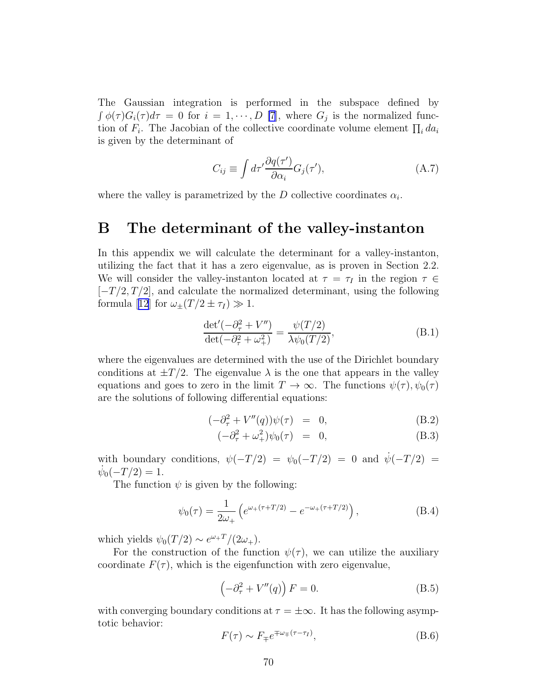<span id="page-70-0"></span>The Gaussian integration is performed in the subspace defined by  $\int \phi(\tau)G_i(\tau)d\tau = 0$  for  $i = 1, \dots, D$  [\[7](#page-76-0)], where  $G_j$  is the normalized function of  $F_i$ . The Jacobian of the collective coordinate volume element  $\prod_i da_i$ is given by the determinant of

$$
C_{ij} \equiv \int d\tau' \frac{\partial q(\tau')}{\partial \alpha_i} G_j(\tau'), \tag{A.7}
$$

where the valley is parametrized by the  $D$  collective coordinates  $\alpha_i$ .

## B The determinant of the valley-instanton

In this appendix we will calculate the determinant for a valley-instanton, utilizing the fact that it has a zero eigenvalue, as is proven in Section 2.2. We will consider the valley-instanton located at  $\tau = \tau_I$  in the region  $\tau \in$  $[-T/2, T/2]$ , and calculate the normalized determinant, using the following formula[[12](#page-76-0)] for  $\omega_{\pm}(T/2 \pm \tau_I) \gg 1$ .

$$
\frac{\det'(-\partial_{\tau}^{2} + V'')}{\det(-\partial_{\tau}^{2} + \omega_{+}^{2})} = \frac{\psi(T/2)}{\lambda \psi_{0}(T/2)},
$$
\n(B.1)

where the eigenvalues are determined with the use of the Dirichlet boundary conditions at  $\pm T/2$ . The eigenvalue  $\lambda$  is the one that appears in the valley equations and goes to zero in the limit  $T \to \infty$ . The functions  $\psi(\tau)$ ,  $\psi_0(\tau)$ are the solutions of following differential equations:

$$
(-\partial_{\tau}^{2} + V''(q))\psi(\tau) = 0, \qquad (B.2)
$$

$$
(-\partial_{\tau}^{2} + \omega_{+}^{2})\psi_{0}(\tau) = 0, \qquad (B.3)
$$

with boundary conditions,  $\psi(-T/2) = \psi_0(-T/2) = 0$  and  $\psi(-T/2) =$  $\dot{\psi}_0(-T/2) = 1.$ 

The function  $\psi$  is given by the following:

$$
\psi_0(\tau) = \frac{1}{2\omega_+} \left( e^{\omega_+(\tau + T/2)} - e^{-\omega_+(\tau + T/2)} \right), \tag{B.4}
$$

which yields  $\psi_0(T/2) \sim e^{\omega_+ T}/(2\omega_+).$ 

For the construction of the function  $\psi(\tau)$ , we can utilize the auxiliary coordinate  $F(\tau)$ , which is the eigenfunction with zero eigenvalue,

$$
\left(-\partial_{\tau}^{2} + V''(q)\right)F = 0.
$$
\n(B.5)

with converging boundary conditions at  $\tau = \pm \infty$ . It has the following asymptotic behavior:

$$
F(\tau) \sim F_{\mp} e^{\mp \omega_{\mp} (\tau - \tau_I)}, \tag{B.6}
$$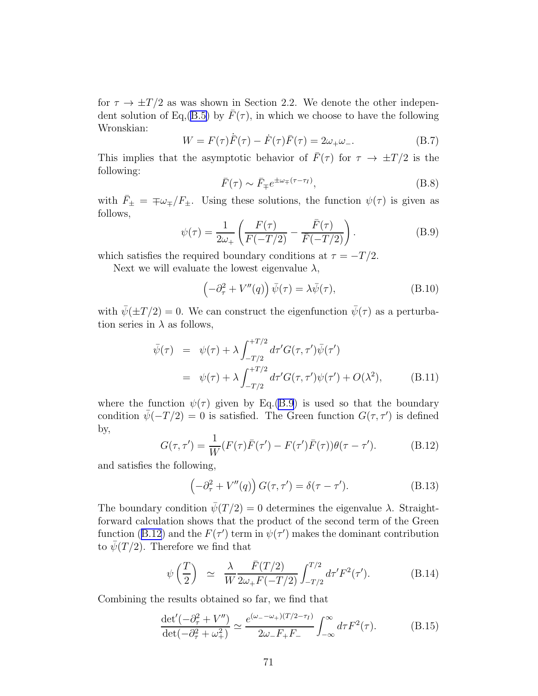for  $\tau \to \pm T/2$  as was shown in Section 2.2. We denote the other indepen-dent solution of Eq,[\(B.5\)](#page-70-0) by  $\bar{F}(\tau)$ , in which we choose to have the following Wronskian:

$$
W = F(\tau)\dot{F}(\tau) - \dot{F}(\tau)\bar{F}(\tau) = 2\omega_{+}\omega_{-}.
$$
 (B.7)

This implies that the asymptotic behavior of  $\bar{F}(\tau)$  for  $\tau \to \pm T/2$  is the following:

$$
\bar{F}(\tau) \sim \bar{F}_{\mp} e^{\pm \omega_{\mp} (\tau - \tau_I)},\tag{B.8}
$$

with  $\bar{F}_{\pm} = \pm \omega_{\mp}/F_{\pm}$ . Using these solutions, the function  $\psi(\tau)$  is given as follows,

$$
\psi(\tau) = \frac{1}{2\omega_+} \left( \frac{F(\tau)}{F(-T/2)} - \frac{\bar{F}(\tau)}{\bar{F}(-T/2)} \right). \tag{B.9}
$$

which satisfies the required boundary conditions at  $\tau = -T/2$ .

Next we will evaluate the lowest eigenvalue  $\lambda$ ,

$$
\left(-\partial_{\tau}^{2} + V''(q)\right)\bar{\psi}(\tau) = \lambda\bar{\psi}(\tau),\tag{B.10}
$$

with  $\bar{\psi}(\pm T/2) = 0$ . We can construct the eigenfunction  $\bar{\psi}(\tau)$  as a perturbation series in  $\lambda$  as follows,

$$
\bar{\psi}(\tau) = \psi(\tau) + \lambda \int_{-T/2}^{+T/2} d\tau' G(\tau, \tau') \bar{\psi}(\tau')
$$
\n
$$
= \psi(\tau) + \lambda \int_{-T/2}^{+T/2} d\tau' G(\tau, \tau') \psi(\tau') + O(\lambda^2), \quad (B.11)
$$

where the function  $\psi(\tau)$  given by Eq.(B.9) is used so that the boundary condition  $\bar{\psi}(-T/2) = 0$  is satisfied. The Green function  $G(\tau, \tau')$  is defined by,

$$
G(\tau, \tau') = \frac{1}{W}(F(\tau)\bar{F}(\tau') - F(\tau')\bar{F}(\tau))\theta(\tau - \tau').
$$
 (B.12)

and satisfies the following,

$$
\left(-\partial_{\tau}^{2} + V''(q)\right)G(\tau,\tau') = \delta(\tau-\tau').
$$
\n(B.13)

The boundary condition  $\bar{\psi}(T/2) = 0$  determines the eigenvalue  $\lambda$ . Straightforward calculation shows that the product of the second term of the Green function (B.12) and the  $F(\tau')$  term in  $\psi(\tau')$  makes the dominant contribution to  $\bar{\psi}(T/2)$ . Therefore we find that

$$
\psi\left(\frac{T}{2}\right) \simeq \frac{\lambda}{W} \frac{\bar{F}(T/2)}{2\omega_{+}F(-T/2)} \int_{-T/2}^{T/2} d\tau' F^{2}(\tau'). \tag{B.14}
$$

Combining the results obtained so far, we find that

$$
\frac{\det'(-\partial_{\tau}^2 + V'')}{\det(-\partial_{\tau}^2 + \omega_+^2)} \simeq \frac{e^{(\omega_- - \omega_+)(T/2 - \tau_I)}}{2\omega_- F_+ F_-} \int_{-\infty}^{\infty} d\tau F^2(\tau). \tag{B.15}
$$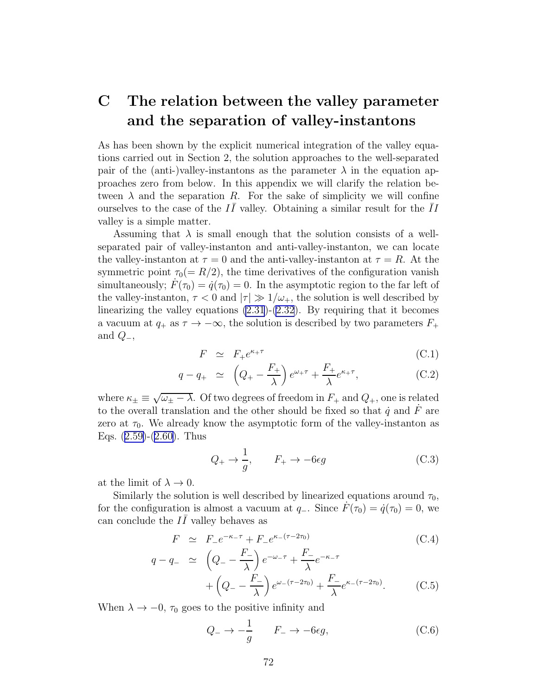## <span id="page-72-0"></span>C The relation between the valley parameter and the separation of valley-instantons

As has been shown by the explicit numerical integration of the valley equations carried out in Section 2, the solution approaches to the well-separated pair of the (anti-)valley-instantons as the parameter  $\lambda$  in the equation approaches zero from below. In this appendix we will clarify the relation between  $\lambda$  and the separation R. For the sake of simplicity we will confine ourselves to the case of the  $I\bar{I}$  valley. Obtaining a similar result for the  $\bar{I}I$ valley is a simple matter.

Assuming that  $\lambda$  is small enough that the solution consists of a wellseparated pair of valley-instanton and anti-valley-instanton, we can locate the valley-instanton at  $\tau = 0$  and the anti-valley-instanton at  $\tau = R$ . At the symmetric point  $\tau_0(= R/2)$ , the time derivatives of the configuration vanish simultaneously;  $F(\tau_0) = \dot{q}(\tau_0) = 0$ . In the asymptotic region to the far left of the valley-instanton,  $\tau < 0$  and  $|\tau| \gg 1/\omega_{+}$ , the solution is well described by linearizing the valley equations  $(2.31)-(2.32)$  $(2.31)-(2.32)$  $(2.31)-(2.32)$ . By requiring that it becomes a vacuum at  $q_+$  as  $\tau \to -\infty$ , the solution is described by two parameters  $F_+$ and  $Q_-,$ 

$$
F \simeq F_{+}e^{\kappa_{+}\tau} \tag{C.1}
$$

$$
q - q_+ \simeq \left( Q_+ - \frac{F_+}{\lambda} \right) e^{\omega_+ \tau} + \frac{F_+}{\lambda} e^{\kappa_+ \tau}, \tag{C.2}
$$

where  $\kappa_{\pm} \equiv \sqrt{\omega_{\pm} - \lambda}$ . Of two degrees of freedom in  $F_+$  and  $Q_+$ , one is related to the overall translation and the other should be fixed so that  $\dot{q}$  and  $F$  are zero at  $\tau_0$ . We already know the asymptotic form of the valley-instanton as Eqs.([2.59\)](#page-17-0)-([2.60\)](#page-17-0). Thus

$$
Q_{+} \rightarrow \frac{1}{g}, \qquad F_{+} \rightarrow -6\epsilon g \tag{C.3}
$$

at the limit of  $\lambda \to 0$ .

Similarly the solution is well described by linearized equations around  $\tau_0$ , for the configuration is almost a vacuum at  $q_$ . Since  $F(\tau_0) = \dot{q}(\tau_0) = 0$ , we can conclude the  $I\bar{I}$  valley behaves as

$$
F \simeq F_{-}e^{-\kappa_{-}\tau} + F_{-}e^{\kappa_{-}(\tau - 2\tau_{0})}
$$
\n(C.4)

$$
q - q_- \simeq \left( Q_- - \frac{F_-}{\lambda} \right) e^{-\omega_- \tau} + \frac{F_-}{\lambda} e^{-\kappa_- \tau} + \left( Q_- - \frac{F_-}{\lambda} \right) e^{\omega_- (\tau - 2\tau_0)} + \frac{F_-}{\lambda} e^{\kappa_- (\tau - 2\tau_0)}.
$$
 (C.5)

When  $\lambda \to -0$ ,  $\tau_0$  goes to the positive infinity and

$$
Q_{-} \to -\frac{1}{g} \qquad F_{-} \to -6\epsilon g, \tag{C.6}
$$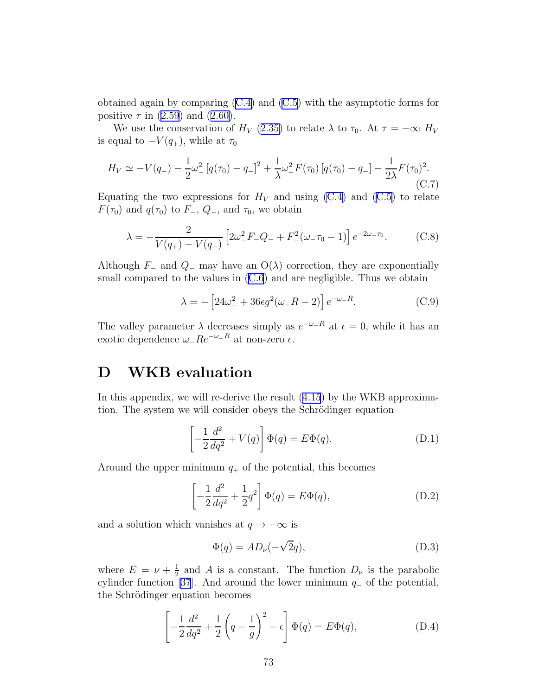<span id="page-73-0"></span>obtained again by comparing [\(C.4\)](#page-72-0) and [\(C.5\)](#page-72-0) with the asymptotic forms for positive $\tau$  in [\(2.59](#page-17-0)) and ([2.60\)](#page-17-0).

We use the conservation of  $H_V$  ([2.35\)](#page-10-0) to relate  $\lambda$  to  $\tau_0$ . At  $\tau = -\infty$   $H_V$ is equal to  $-V(q_{+})$ , while at  $\tau_0$ 

$$
H_V \simeq -V(q_{-}) - \frac{1}{2}\omega_{-}^{2} [q(\tau_0) - q_{-}]^{2} + \frac{1}{\lambda}\omega_{-}^{2} F(\tau_0) [q(\tau_0) - q_{-}] - \frac{1}{2\lambda} F(\tau_0)^{2}.
$$
\n(C.7)

Equating the two expressions for  $H_V$  and using [\(C.4\)](#page-72-0) and [\(C.5\)](#page-72-0) to relate  $F(\tau_0)$  and  $q(\tau_0)$  to  $F_-, Q_-,$  and  $\tau_0$ , we obtain

$$
\lambda = -\frac{2}{V(q_+) - V(q_-)} \left[ 2\omega_-^2 F_- Q_- + F_-^2 (\omega_- \tau_0 - 1) \right] e^{-2\omega_- \tau_0}.
$$
 (C.8)

Although  $F_-\$  and  $Q_-\$  may have an  $O(\lambda)$  correction, they are exponentially smallcompared to the values in  $(C.6)$  $(C.6)$  $(C.6)$  and are negligible. Thus we obtain

$$
\lambda = -\left[24\omega_-^2 + 36\epsilon g^2(\omega_- R - 2)\right]e^{-\omega_- R}.\tag{C.9}
$$

The valley parameter  $\lambda$  decreases simply as  $e^{-\omega_-R}$  at  $\epsilon = 0$ , while it has an exotic dependence  $ω<sub>-</sub>Re<sup>−ω<sub>-</sub>R</sup>$  at non-zero  $ε$ .

## D WKB evaluation

In this appendix, we will re-derive the result([4.15](#page-37-0)) by the WKB approximation. The system we will consider obeys the Schrödinger equation

$$
\left[-\frac{1}{2}\frac{d^2}{dq^2} + V(q)\right]\Phi(q) = E\Phi(q). \tag{D.1}
$$

Around the upper minimum  $q_+$  of the potential, this becomes

$$
\left[ -\frac{1}{2}\frac{d^2}{dq^2} + \frac{1}{2}q^2 \right] \Phi(q) = E\Phi(q),\tag{D.2}
$$

and a solution which vanishes at  $q \to -\infty$  is

$$
\Phi(q) = AD_{\nu}(-\sqrt{2}q),\tag{D.3}
$$

where  $E = \nu + \frac{1}{2}$  $\frac{1}{2}$  and A is a constant. The function  $D_{\nu}$  is the parabolic cylinderfunction [[37](#page-77-0)]. And around the lower minimum  $q_-\$  of the potential, the Schrödinger equation becomes

$$
\left[ -\frac{1}{2}\frac{d^2}{dq^2} + \frac{1}{2}\left(q - \frac{1}{g}\right)^2 - \epsilon \right] \Phi(q) = E\Phi(q),
$$
 (D.4)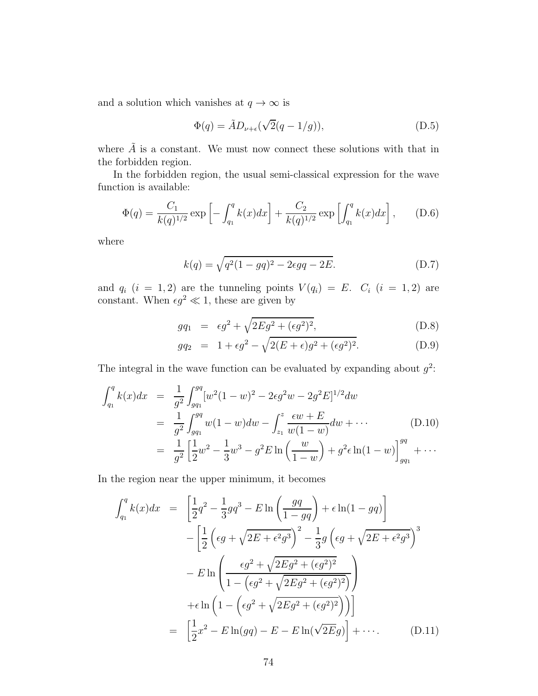<span id="page-74-0"></span>and a solution which vanishes at  $q\to\infty$  is

$$
\Phi(q) = \tilde{A} D_{\nu+\epsilon} (\sqrt{2}(q-1/g)), \tag{D.5}
$$

where  $\tilde{A}$  is a constant. We must now connect these solutions with that in the forbidden region.

In the forbidden region, the usual semi-classical expression for the wave function is available:

$$
\Phi(q) = \frac{C_1}{k(q)^{1/2}} \exp\left[-\int_{q_1}^q k(x)dx\right] + \frac{C_2}{k(q)^{1/2}} \exp\left[\int_{q_1}^q k(x)dx\right],\tag{D.6}
$$

where

$$
k(q) = \sqrt{q^2(1 - gq)^2 - 2\epsilon gq - 2E}.
$$
 (D.7)

and  $q_i$   $(i = 1, 2)$  are the tunneling points  $V(q_i) = E$ .  $C_i$   $(i = 1, 2)$  are constant. When  $\epsilon g^2 \ll 1$ , these are given by

$$
g q_1 = \epsilon g^2 + \sqrt{2Eg^2 + (\epsilon g^2)^2}, \tag{D.8}
$$

$$
gq_2 = 1 + \epsilon g^2 - \sqrt{2(E + \epsilon)g^2 + (\epsilon g^2)^2}.
$$
 (D.9)

The integral in the wave function can be evaluated by expanding about  $g^2$ :

$$
\int_{q_1}^{q} k(x)dx = \frac{1}{g^2} \int_{gq_1}^{gq} [w^2(1-w)^2 - 2\epsilon g^2 w - 2g^2 E]^{1/2} dw
$$
  
\n
$$
= \frac{1}{g^2} \int_{gq_1}^{gq} w(1-w)dw - \int_{z_1}^{z} \frac{\epsilon w + E}{w(1-w)} dw + \cdots
$$
(D.10)  
\n
$$
= \frac{1}{g^2} \left[ \frac{1}{2} w^2 - \frac{1}{3} w^3 - g^2 E \ln \left( \frac{w}{1-w} \right) + g^2 \epsilon \ln(1-w) \right]_{gq_1}^{gq} + \cdots
$$

In the region near the upper minimum, it becomes

$$
\int_{q_1}^{q} k(x)dx = \left[\frac{1}{2}q^2 - \frac{1}{3}gq^3 - E\ln\left(\frac{gq}{1 - gq}\right) + \epsilon\ln(1 - gq)\right] \n- \left[\frac{1}{2}\left(\epsilon g + \sqrt{2E + \epsilon^2 g^3}\right)^2 - \frac{1}{3}g\left(\epsilon g + \sqrt{2E + \epsilon^2 g^3}\right)^3\right] \n- E\ln\left(\frac{\epsilon g^2 + \sqrt{2Eg^2 + (\epsilon g^2)^2}}{1 - (\epsilon g^2 + \sqrt{2Eg^2 + (\epsilon g^2)^2})}\right) \n+ \epsilon\ln\left(1 - \left(\epsilon g^2 + \sqrt{2Eg^2 + (\epsilon g^2)^2}\right)\right) \n= \left[\frac{1}{2}x^2 - E\ln(gq) - E - E\ln(\sqrt{2E}g)\right] + \cdots
$$
\n(D.11)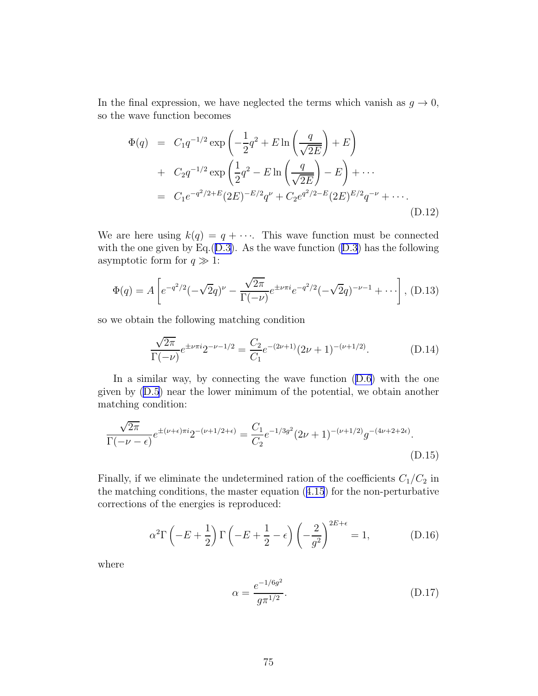In the final expression, we have neglected the terms which vanish as  $g \to 0$ , so the wave function becomes

$$
\Phi(q) = C_1 q^{-1/2} \exp\left(-\frac{1}{2}q^2 + E \ln\left(\frac{q}{\sqrt{2E}}\right) + E\right) \n+ C_2 q^{-1/2} \exp\left(\frac{1}{2}q^2 - E \ln\left(\frac{q}{\sqrt{2E}}\right) - E\right) + \cdots \n= C_1 e^{-q^2/2 + E} (2E)^{-E/2} q^{\nu} + C_2 e^{q^2/2 - E} (2E)^{E/2} q^{-\nu} + \cdots
$$
\n(D.12)

We are here using  $k(q) = q + \cdots$ . This wave function must be connected with the one given by Eq. $(D.3)$  $(D.3)$ . As the wave function  $(D.3)$  has the following asymptotic form for  $q \gg 1$ :

$$
\Phi(q) = A \left[ e^{-q^2/2} (-\sqrt{2}q)^{\nu} - \frac{\sqrt{2\pi}}{\Gamma(-\nu)} e^{\pm \nu \pi i} e^{-q^2/2} (-\sqrt{2}q)^{-\nu - 1} + \cdots \right], \text{(D.13)}
$$

so we obtain the following matching condition

$$
\frac{\sqrt{2\pi}}{\Gamma(-\nu)}e^{\pm\nu\pi i}2^{-\nu-1/2} = \frac{C_2}{C_1}e^{-(2\nu+1)}(2\nu+1)^{-(\nu+1/2)}.
$$
 (D.14)

Ina similar way, by connecting the wave function  $(D.6)$  $(D.6)$  with the one given by [\(D.5](#page-74-0)) near the lower minimum of the potential, we obtain another matching condition:

$$
\frac{\sqrt{2\pi}}{\Gamma(-\nu - \epsilon)} e^{\pm(\nu + \epsilon)\pi i} 2^{-(\nu + 1/2 + \epsilon)} = \frac{C_1}{C_2} e^{-1/3g^2} (2\nu + 1)^{-(\nu + 1/2)} g^{-(4\nu + 2 + 2\epsilon)}.
$$
\n(D.15)

Finally, if we eliminate the undetermined ration of the coefficients  $C_1/C_2$  in the matching conditions, the master equation([4.15](#page-37-0)) for the non-perturbative corrections of the energies is reproduced:

$$
\alpha^2 \Gamma \left( -E + \frac{1}{2} \right) \Gamma \left( -E + \frac{1}{2} - \epsilon \right) \left( -\frac{2}{g^2} \right)^{2E + \epsilon} = 1, \tag{D.16}
$$

where

$$
\alpha = \frac{e^{-1/6g^2}}{g\pi^{1/2}}.\tag{D.17}
$$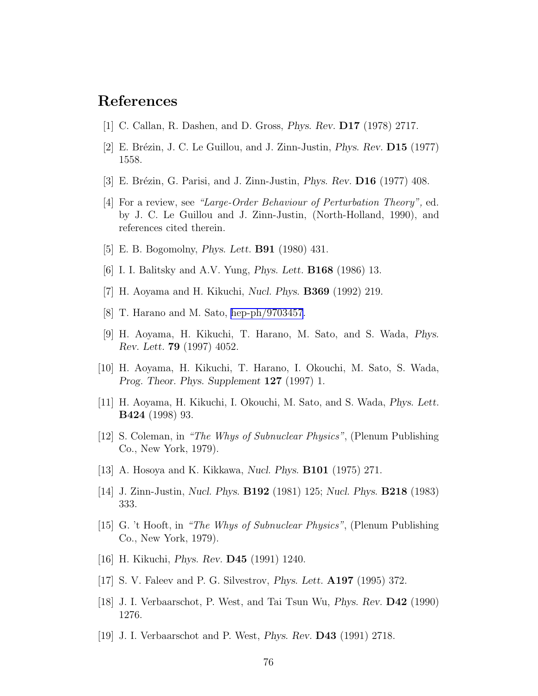## References

- [1] C. Callan, R. Dashen, and D. Gross, Phys. Rev. D17 (1978) 2717.
- [2] E. Brézin, J. C. Le Guillou, and J. Zinn-Justin, *Phys. Rev.* **D15** (1977) 1558.
- [3] E. Brézin, G. Parisi, and J. Zinn-Justin, *Phys. Rev.* **D16** (1977) 408.
- [4] For a review, see "Large-Order Behaviour of Perturbation Theory", ed. by J. C. Le Guillou and J. Zinn-Justin, (North-Holland, 1990), and references cited therein.
- [5] E. B. Bogomolny, Phys. Lett. B91 (1980) 431.
- [6] I. I. Balitsky and A.V. Yung, Phys. Lett. B168 (1986) 13.
- [7] H. Aoyama and H. Kikuchi, Nucl. Phys. B369 (1992) 219.
- [8] T. Harano and M. Sato, [hep-ph/9703457](http://arxiv.org/abs/hep-ph/9703457).
- [9] H. Aoyama, H. Kikuchi, T. Harano, M. Sato, and S. Wada, Phys. Rev. Lett. 79 (1997) 4052.
- [10] H. Aoyama, H. Kikuchi, T. Harano, I. Okouchi, M. Sato, S. Wada, Prog. Theor. Phys. Supplement 127 (1997) 1.
- [11] H. Aoyama, H. Kikuchi, I. Okouchi, M. Sato, and S. Wada, Phys. Lett. B424 (1998) 93.
- [12] S. Coleman, in "The Whys of Subnuclear Physics", (Plenum Publishing Co., New York, 1979).
- [13] A. Hosoya and K. Kikkawa, Nucl. Phys. B101 (1975) 271.
- [14] J. Zinn-Justin, Nucl. Phys. B192 (1981) 125; Nucl. Phys. B218 (1983) 333.
- [15] G. 't Hooft, in "The Whys of Subnuclear Physics", (Plenum Publishing Co., New York, 1979).
- [16] H. Kikuchi, Phys. Rev. D45 (1991) 1240.
- [17] S. V. Faleev and P. G. Silvestrov, Phys. Lett. A197 (1995) 372.
- [18] J. I. Verbaarschot, P. West, and Tai Tsun Wu, Phys. Rev. D42 (1990) 1276.
- [19] J. I. Verbaarschot and P. West, Phys. Rev. D43 (1991) 2718.